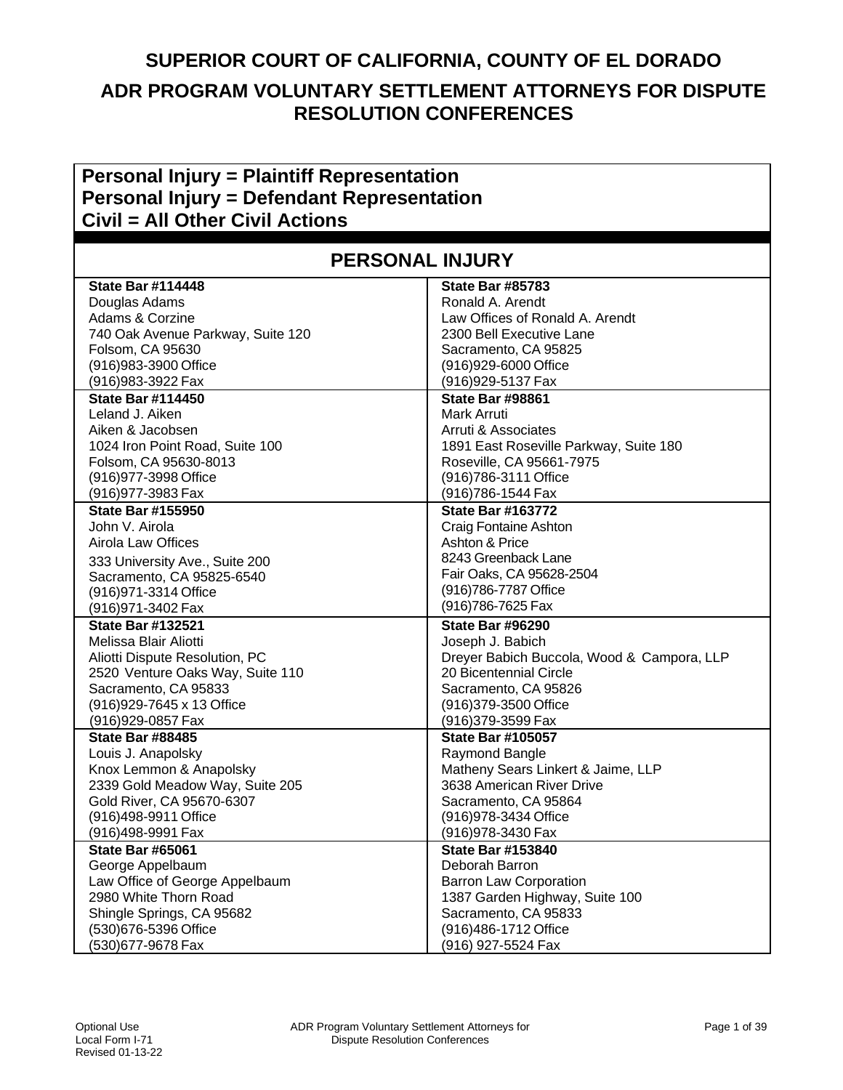## **SUPERIOR COURT OF CALIFORNIA, COUNTY OF EL DORADO ADR PROGRAM VOLUNTARY SETTLEMENT ATTORNEYS FOR DISPUTE RESOLUTION CONFERENCES**

## **Personal Injury = Plaintiff Representation Personal Injury = Defendant Representation Civil = All Other Civil Actions**

| <b>PERSONAL INJURY</b>            |                                            |
|-----------------------------------|--------------------------------------------|
| <b>State Bar #114448</b>          | <b>State Bar #85783</b>                    |
| Douglas Adams                     | Ronald A. Arendt                           |
| Adams & Corzine                   | Law Offices of Ronald A. Arendt            |
| 740 Oak Avenue Parkway, Suite 120 | 2300 Bell Executive Lane                   |
| Folsom, CA 95630                  | Sacramento, CA 95825                       |
| (916) 983-3900 Office             | (916)929-6000 Office                       |
| (916) 983-3922 Fax                | (916) 929-5137 Fax                         |
| <b>State Bar #114450</b>          | <b>State Bar #98861</b>                    |
| Leland J. Aiken                   | Mark Arruti                                |
| Aiken & Jacobsen                  | Arruti & Associates                        |
| 1024 Iron Point Road, Suite 100   | 1891 East Roseville Parkway, Suite 180     |
| Folsom, CA 95630-8013             | Roseville, CA 95661-7975                   |
| (916) 977-3998 Office             | (916) 786-3111 Office                      |
| (916) 977-3983 Fax                | (916) 786-1544 Fax                         |
| <b>State Bar #155950</b>          | <b>State Bar #163772</b>                   |
| John V. Airola                    | Craig Fontaine Ashton                      |
| <b>Airola Law Offices</b>         | Ashton & Price                             |
| 333 University Ave., Suite 200    | 8243 Greenback Lane                        |
| Sacramento, CA 95825-6540         | Fair Oaks, CA 95628-2504                   |
| (916) 971-3314 Office             | (916) 786-7787 Office                      |
| (916) 971-3402 Fax                | (916) 786-7625 Fax                         |
| <b>State Bar #132521</b>          | <b>State Bar #96290</b>                    |
| Melissa Blair Aliotti             | Joseph J. Babich                           |
| Aliotti Dispute Resolution, PC    | Dreyer Babich Buccola, Wood & Campora, LLP |
| 2520 Venture Oaks Way, Suite 110  | 20 Bicentennial Circle                     |
| Sacramento, CA 95833              | Sacramento, CA 95826                       |
| (916) 929-7645 x 13 Office        | (916) 379-3500 Office                      |
| (916) 929-0857 Fax                | (916)379-3599 Fax                          |
| <b>State Bar #88485</b>           | <b>State Bar #105057</b>                   |
| Louis J. Anapolsky                | Raymond Bangle                             |
| Knox Lemmon & Anapolsky           | Matheny Sears Linkert & Jaime, LLP         |
| 2339 Gold Meadow Way, Suite 205   | 3638 American River Drive                  |
| Gold River, CA 95670-6307         | Sacramento, CA 95864                       |
| (916)498-9911 Office              | (916) 978-3434 Office                      |
| (916)498-9991 Fax                 | (916) 978-3430 Fax                         |
| <b>State Bar #65061</b>           | <b>State Bar #153840</b>                   |
| George Appelbaum                  | Deborah Barron                             |
| Law Office of George Appelbaum    | <b>Barron Law Corporation</b>              |
| 2980 White Thorn Road             | 1387 Garden Highway, Suite 100             |
| Shingle Springs, CA 95682         | Sacramento, CA 95833                       |
| (530)676-5396 Office              | (916)486-1712 Office                       |
| (530)677-9678 Fax                 | (916) 927-5524 Fax                         |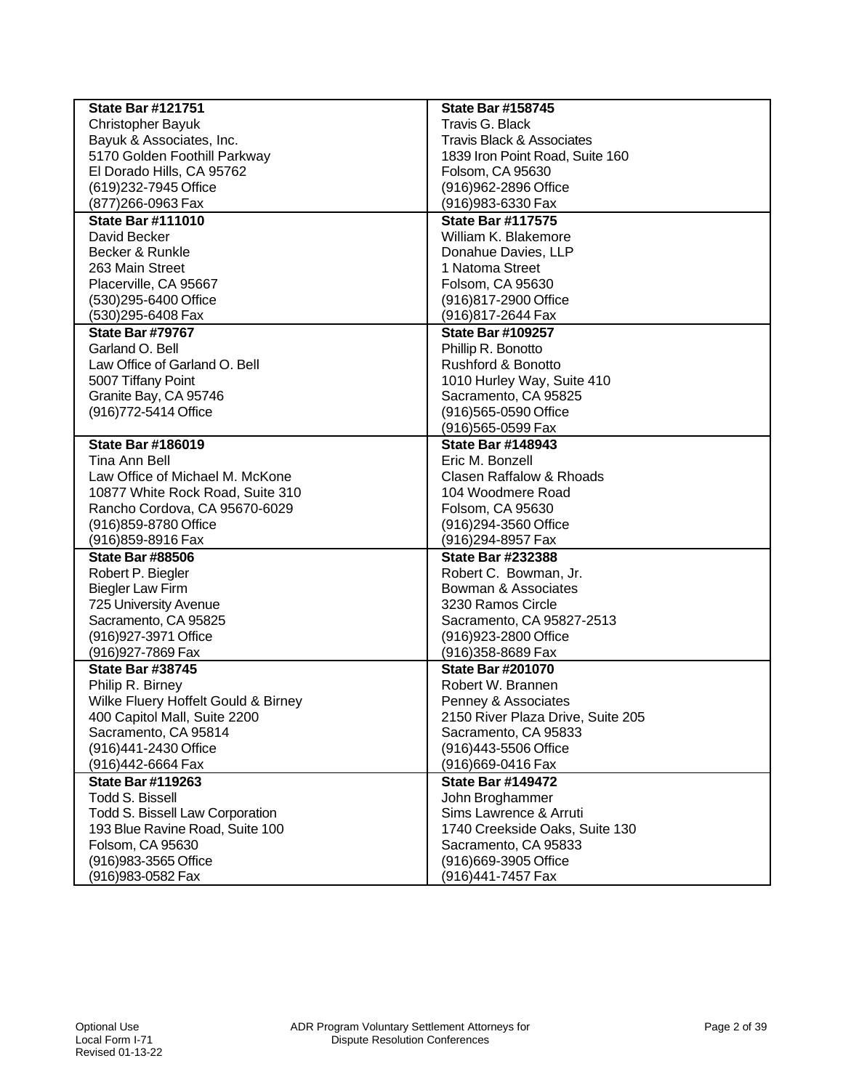| <b>State Bar #121751</b>            | <b>State Bar #158745</b>             |
|-------------------------------------|--------------------------------------|
| <b>Christopher Bayuk</b>            | Travis G. Black                      |
| Bayuk & Associates, Inc.            | <b>Travis Black &amp; Associates</b> |
| 5170 Golden Foothill Parkway        | 1839 Iron Point Road, Suite 160      |
| El Dorado Hills, CA 95762           | Folsom, CA 95630                     |
| (619)232-7945 Office                | (916) 962-2896 Office                |
| (877) 266-0963 Fax                  | (916) 983-6330 Fax                   |
| <b>State Bar #111010</b>            | <b>State Bar #117575</b>             |
| David Becker                        | William K. Blakemore                 |
| Becker & Runkle                     | Donahue Davies, LLP                  |
| 263 Main Street                     | 1 Natoma Street                      |
| Placerville, CA 95667               | Folsom, CA 95630                     |
| (530)295-6400 Office                | (916)817-2900 Office                 |
| (530)295-6408 Fax                   | (916) 817-2644 Fax                   |
| <b>State Bar #79767</b>             | <b>State Bar #109257</b>             |
| Garland O. Bell                     | Phillip R. Bonotto                   |
| Law Office of Garland O. Bell       | Rushford & Bonotto                   |
| 5007 Tiffany Point                  | 1010 Hurley Way, Suite 410           |
| Granite Bay, CA 95746               | Sacramento, CA 95825                 |
| (916) 772-5414 Office               | (916)565-0590 Office                 |
|                                     | (916)565-0599 Fax                    |
| <b>State Bar #186019</b>            | <b>State Bar #148943</b>             |
| Tina Ann Bell                       | Eric M. Bonzell                      |
| Law Office of Michael M. McKone     | <b>Clasen Raffalow &amp; Rhoads</b>  |
| 10877 White Rock Road, Suite 310    | 104 Woodmere Road                    |
| Rancho Cordova, CA 95670-6029       | Folsom, CA 95630                     |
| (916) 859-8780 Office               | (916)294-3560 Office                 |
| (916) 859-8916 Fax                  | (916)294-8957 Fax                    |
| <b>State Bar #88506</b>             | <b>State Bar #232388</b>             |
| Robert P. Biegler                   | Robert C. Bowman, Jr.                |
| <b>Biegler Law Firm</b>             | Bowman & Associates                  |
| 725 University Avenue               | 3230 Ramos Circle                    |
| Sacramento, CA 95825                | Sacramento, CA 95827-2513            |
| (916) 927-3971 Office               | (916) 923-2800 Office                |
| (916) 927-7869 Fax                  | (916)358-8689 Fax                    |
| <b>State Bar #38745</b>             | <b>State Bar #201070</b>             |
| Philip R. Birney                    | Robert W. Brannen                    |
| Wilke Fluery Hoffelt Gould & Birney | Penney & Associates                  |
| 400 Capitol Mall, Suite 2200        | 2150 River Plaza Drive, Suite 205    |
| Sacramento, CA 95814                | Sacramento, CA 95833                 |
| (916)441-2430 Office                | (916)443-5506 Office                 |
| (916)442-6664 Fax                   | (916) 669-0416 Fax                   |
| <b>State Bar #119263</b>            | <b>State Bar #149472</b>             |
| Todd S. Bissell                     | John Broghammer                      |
| Todd S. Bissell Law Corporation     | Sims Lawrence & Arruti               |
| 193 Blue Ravine Road, Suite 100     | 1740 Creekside Oaks, Suite 130       |
| Folsom, CA 95630                    | Sacramento, CA 95833                 |
| (916) 983-3565 Office               | (916)669-3905 Office                 |
| (916) 983-0582 Fax                  | (916)441-7457 Fax                    |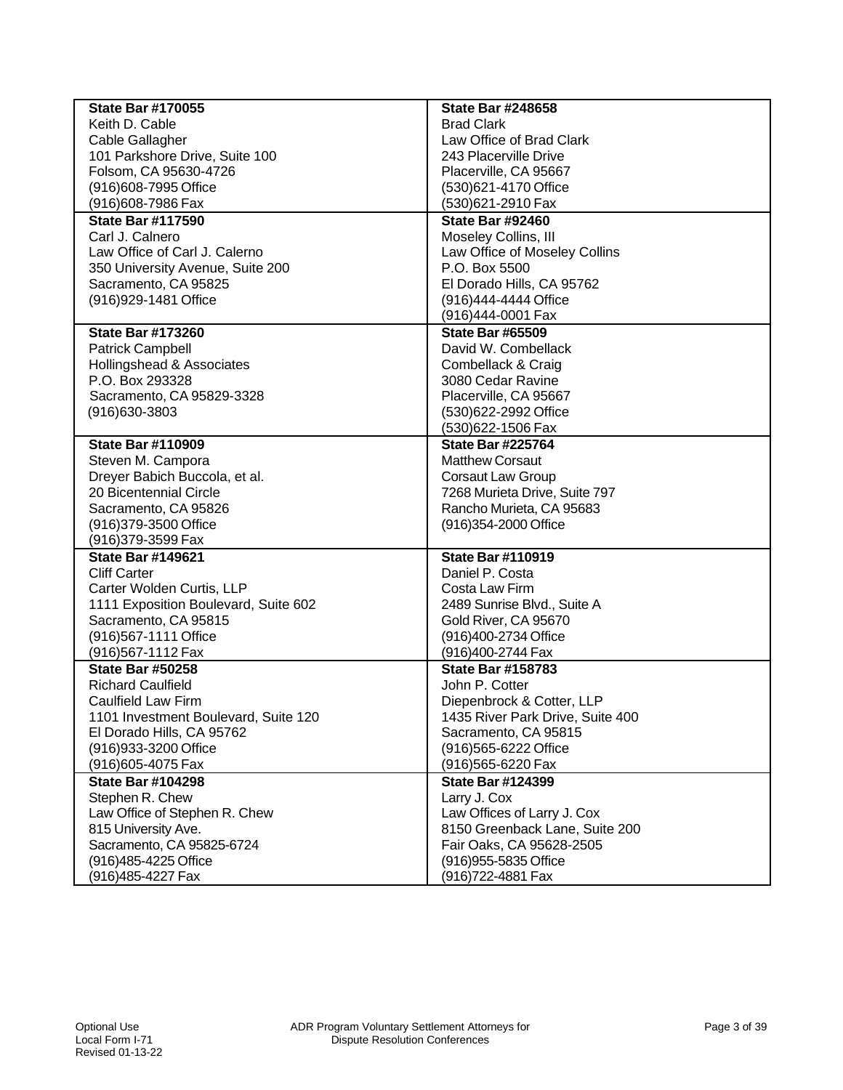| <b>State Bar #170055</b>                                | <b>State Bar #248658</b>         |
|---------------------------------------------------------|----------------------------------|
| Keith D. Cable                                          | <b>Brad Clark</b>                |
| Cable Gallagher                                         | Law Office of Brad Clark         |
| 101 Parkshore Drive, Suite 100                          | 243 Placerville Drive            |
| Folsom, CA 95630-4726                                   | Placerville, CA 95667            |
| (916)608-7995 Office                                    | (530)621-4170 Office             |
| (916) 608-7986 Fax                                      | (530)621-2910 Fax                |
| <b>State Bar #117590</b>                                | <b>State Bar #92460</b>          |
| Carl J. Calnero                                         | Moseley Collins, III             |
| Law Office of Carl J. Calerno                           | Law Office of Moseley Collins    |
| 350 University Avenue, Suite 200                        | P.O. Box 5500                    |
| Sacramento, CA 95825                                    | El Dorado Hills, CA 95762        |
| (916) 929-1481 Office                                   | (916)444-4444 Office             |
|                                                         | (916)444-0001 Fax                |
| <b>State Bar #173260</b>                                | <b>State Bar #65509</b>          |
| <b>Patrick Campbell</b>                                 | David W. Combellack              |
| Hollingshead & Associates                               | Combellack & Craig               |
| P.O. Box 293328                                         | 3080 Cedar Ravine                |
| Sacramento, CA 95829-3328                               | Placerville, CA 95667            |
| (916) 630-3803                                          | (530)622-2992 Office             |
|                                                         | (530)622-1506 Fax                |
| <b>State Bar #110909</b>                                | <b>State Bar #225764</b>         |
|                                                         | <b>Matthew Corsaut</b>           |
| Steven M. Campora                                       |                                  |
| Dreyer Babich Buccola, et al.<br>20 Bicentennial Circle | <b>Corsaut Law Group</b>         |
|                                                         | 7268 Murieta Drive, Suite 797    |
| Sacramento, CA 95826                                    | Rancho Murieta, CA 95683         |
| (916) 379-3500 Office                                   | (916) 354-2000 Office            |
| (916) 379-3599 Fax                                      |                                  |
| <b>State Bar #149621</b>                                | <b>State Bar #110919</b>         |
| <b>Cliff Carter</b>                                     | Daniel P. Costa                  |
| Carter Wolden Curtis, LLP                               | Costa Law Firm                   |
| 1111 Exposition Boulevard, Suite 602                    | 2489 Sunrise Blvd., Suite A      |
| Sacramento, CA 95815                                    | Gold River, CA 95670             |
| (916) 567-1111 Office                                   | (916)400-2734 Office             |
| (916) 567-1112 Fax                                      | (916)400-2744 Fax                |
| <b>State Bar #50258</b>                                 | <b>State Bar #158783</b>         |
| <b>Richard Caulfield</b>                                | John P. Cotter                   |
| Caulfield Law Firm                                      | Diepenbrock & Cotter, LLP        |
| 1101 Investment Boulevard, Suite 120                    | 1435 River Park Drive, Suite 400 |
| El Dorado Hills, CA 95762                               | Sacramento, CA 95815             |
| (916) 933-3200 Office                                   | (916) 565-6222 Office            |
| (916) 605-4075 Fax                                      | (916)565-6220 Fax                |
| <b>State Bar #104298</b>                                | <b>State Bar #124399</b>         |
| Stephen R. Chew                                         | Larry J. Cox                     |
| Law Office of Stephen R. Chew                           | Law Offices of Larry J. Cox      |
| 815 University Ave.                                     | 8150 Greenback Lane, Suite 200   |
| Sacramento, CA 95825-6724                               | Fair Oaks, CA 95628-2505         |
| (916) 485-4225 Office                                   | (916) 955-5835 Office            |
| (916)485-4227 Fax                                       | (916)722-4881 Fax                |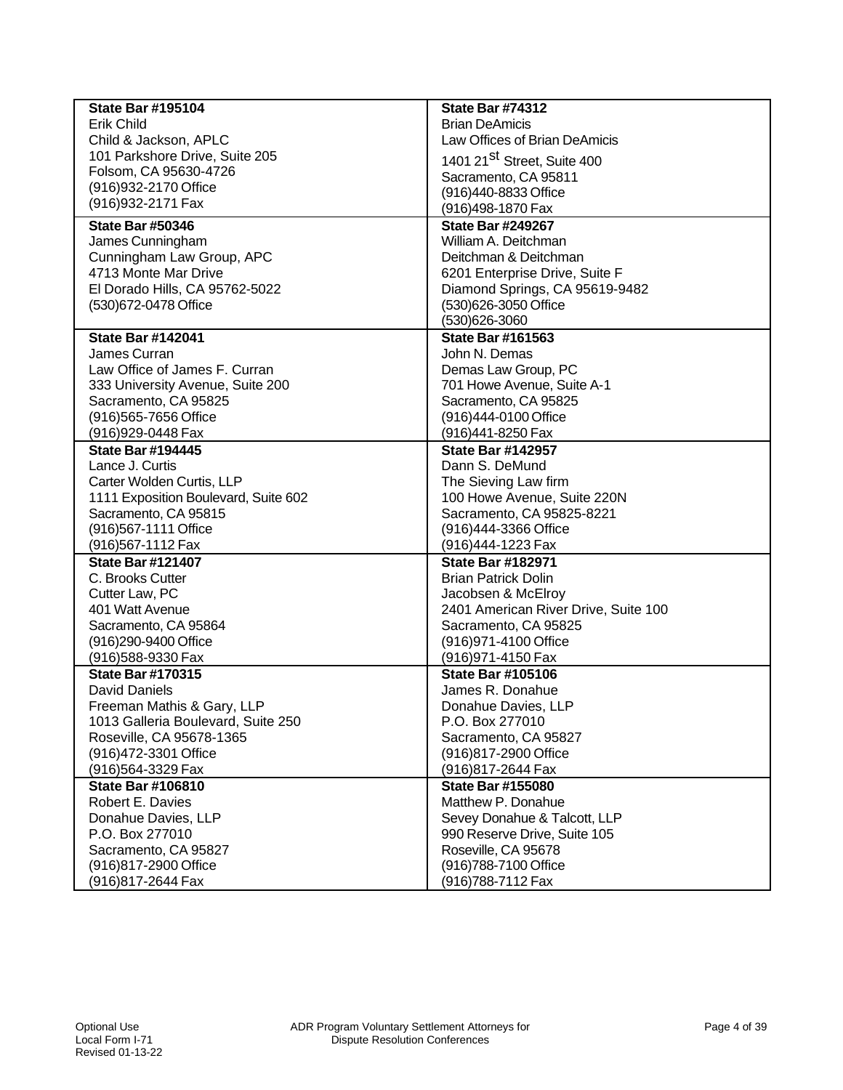| <b>State Bar #195104</b>                         | <b>State Bar #74312</b>                       |
|--------------------------------------------------|-----------------------------------------------|
| <b>Erik Child</b>                                | <b>Brian DeAmicis</b>                         |
| Child & Jackson, APLC                            | Law Offices of Brian DeAmicis                 |
| 101 Parkshore Drive, Suite 205                   | 1401 21 <sup>St</sup> Street, Suite 400       |
| Folsom, CA 95630-4726                            | Sacramento, CA 95811                          |
| (916) 932-2170 Office                            | (916)440-8833 Office                          |
| (916) 932-2171 Fax                               | (916)498-1870 Fax                             |
| <b>State Bar #50346</b>                          | <b>State Bar #249267</b>                      |
| James Cunningham                                 | William A. Deitchman                          |
| Cunningham Law Group, APC                        | Deitchman & Deitchman                         |
| 4713 Monte Mar Drive                             | 6201 Enterprise Drive, Suite F                |
| El Dorado Hills, CA 95762-5022                   | Diamond Springs, CA 95619-9482                |
| (530)672-0478 Office                             | (530)626-3050 Office                          |
|                                                  | (530)626-3060                                 |
| <b>State Bar #142041</b>                         | <b>State Bar #161563</b>                      |
| James Curran                                     | John N. Demas                                 |
| Law Office of James F. Curran                    | Demas Law Group, PC                           |
| 333 University Avenue, Suite 200                 | 701 Howe Avenue, Suite A-1                    |
| Sacramento, CA 95825                             | Sacramento, CA 95825                          |
| (916) 565-7656 Office                            | (916)444-0100 Office                          |
| (916) 929-0448 Fax                               | (916)441-8250 Fax                             |
| <b>State Bar #194445</b>                         | <b>State Bar #142957</b>                      |
| Lance J. Curtis                                  | Dann S. DeMund                                |
| Carter Wolden Curtis, LLP                        | The Sieving Law firm                          |
| 1111 Exposition Boulevard, Suite 602             | 100 Howe Avenue, Suite 220N                   |
| Sacramento, CA 95815                             | Sacramento, CA 95825-8221                     |
| (916) 567-1111 Office                            | (916)444-3366 Office                          |
| (916) 567-1112 Fax                               | (916)444-1223 Fax                             |
| <b>State Bar #121407</b>                         | <b>State Bar #182971</b>                      |
| C. Brooks Cutter                                 | <b>Brian Patrick Dolin</b>                    |
| Cutter Law, PC                                   | Jacobsen & McElroy                            |
| 401 Watt Avenue                                  | 2401 American River Drive, Suite 100          |
| Sacramento, CA 95864                             |                                               |
| (916)290-9400 Office                             | Sacramento, CA 95825<br>(916) 971-4100 Office |
| (916) 588-9330 Fax                               |                                               |
|                                                  | (916) 971-4150 Fax                            |
| <b>State Bar #170315</b><br><b>David Daniels</b> | <b>State Bar #105106</b><br>James R. Donahue  |
| Freeman Mathis & Gary, LLP                       |                                               |
| 1013 Galleria Boulevard, Suite 250               | Donahue Davies, LLP<br>P.O. Box 277010        |
| Roseville, CA 95678-1365                         | Sacramento, CA 95827                          |
| (916) 472-3301 Office                            | (916)817-2900 Office                          |
| (916)564-3329 Fax                                | (916)817-2644 Fax                             |
| <b>State Bar #106810</b>                         | <b>State Bar #155080</b>                      |
| Robert E. Davies                                 | Matthew P. Donahue                            |
|                                                  |                                               |
| Donahue Davies, LLP<br>P.O. Box 277010           | Sevey Donahue & Talcott, LLP                  |
|                                                  | 990 Reserve Drive, Suite 105                  |
| Sacramento, CA 95827                             | Roseville, CA 95678                           |
| (916)817-2900 Office                             | (916)788-7100 Office                          |
| (916) 817-2644 Fax                               | (916)788-7112 Fax                             |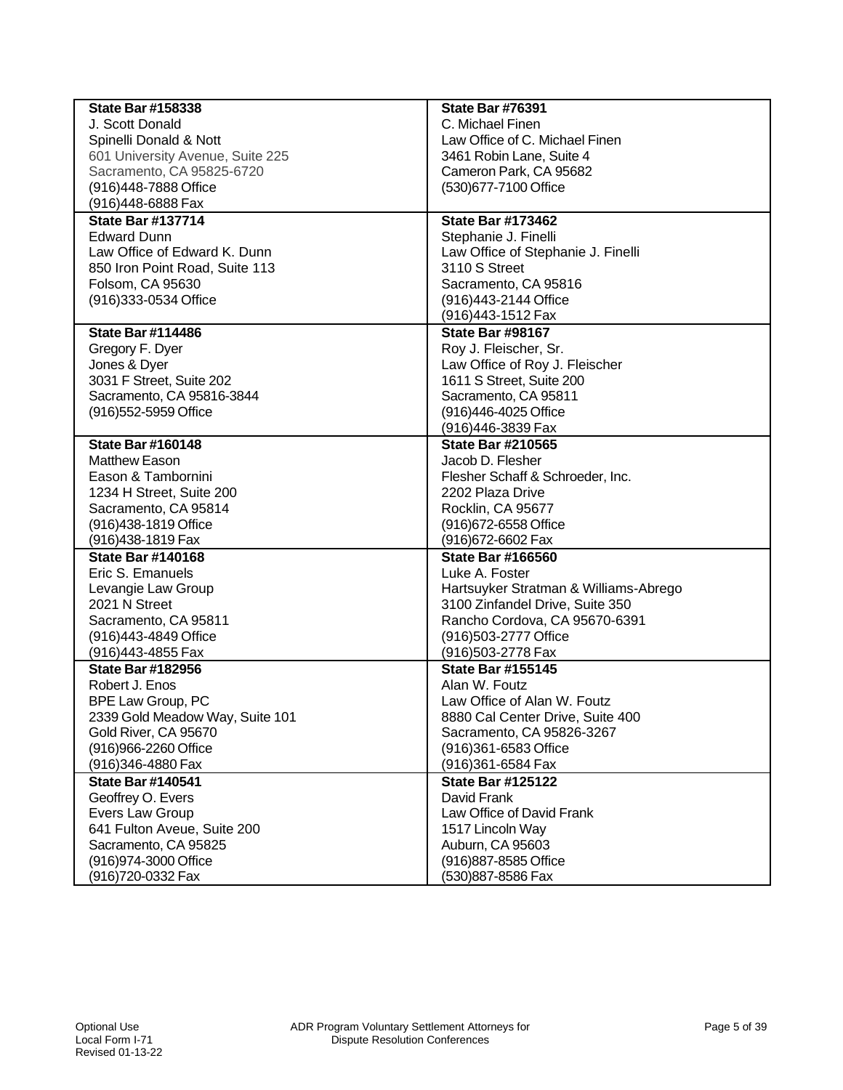| <b>State Bar #158338</b>         | <b>State Bar #76391</b>               |
|----------------------------------|---------------------------------------|
| J. Scott Donald                  | C. Michael Finen                      |
| Spinelli Donald & Nott           | Law Office of C. Michael Finen        |
| 601 University Avenue, Suite 225 | 3461 Robin Lane, Suite 4              |
| Sacramento, CA 95825-6720        | Cameron Park, CA 95682                |
| (916)448-7888 Office             | (530) 677-7100 Office                 |
| (916)448-6888 Fax                |                                       |
| <b>State Bar #137714</b>         | <b>State Bar #173462</b>              |
| <b>Edward Dunn</b>               | Stephanie J. Finelli                  |
| Law Office of Edward K. Dunn     | Law Office of Stephanie J. Finelli    |
| 850 Iron Point Road, Suite 113   | 3110 S Street                         |
| Folsom, CA 95630                 | Sacramento, CA 95816                  |
| (916) 333-0534 Office            | (916)443-2144 Office                  |
|                                  | (916)443-1512 Fax                     |
| <b>State Bar #114486</b>         | <b>State Bar #98167</b>               |
| Gregory F. Dyer                  | Roy J. Fleischer, Sr.                 |
| Jones & Dyer                     | Law Office of Roy J. Fleischer        |
| 3031 F Street, Suite 202         | 1611 S Street, Suite 200              |
| Sacramento, CA 95816-3844        | Sacramento, CA 95811                  |
| (916) 552-5959 Office            | (916)446-4025 Office                  |
|                                  | (916)446-3839 Fax                     |
| <b>State Bar #160148</b>         | <b>State Bar #210565</b>              |
| <b>Matthew Eason</b>             | Jacob D. Flesher                      |
| Eason & Tambornini               | Flesher Schaff & Schroeder, Inc.      |
| 1234 H Street, Suite 200         | 2202 Plaza Drive                      |
| Sacramento, CA 95814             | Rocklin, CA 95677                     |
| (916)438-1819 Office             | (916) 672-6558 Office                 |
| (916) 438-1819 Fax               | (916) 672-6602 Fax                    |
| <b>State Bar #140168</b>         | <b>State Bar #166560</b>              |
| Eric S. Emanuels                 | Luke A. Foster                        |
| Levangie Law Group               | Hartsuyker Stratman & Williams-Abrego |
| 2021 N Street                    | 3100 Zinfandel Drive, Suite 350       |
| Sacramento, CA 95811             | Rancho Cordova, CA 95670-6391         |
| (916)443-4849 Office             | (916)503-2777 Office                  |
| (916)443-4855 Fax                | (916) 503-2778 Fax                    |
| <b>State Bar #182956</b>         | <b>State Bar #155145</b>              |
| Robert J. Enos                   | Alan W. Foutz                         |
| BPE Law Group, PC                | Law Office of Alan W. Foutz           |
| 2339 Gold Meadow Way, Suite 101  | 8880 Cal Center Drive, Suite 400      |
| Gold River, CA 95670             | Sacramento, CA 95826-3267             |
| (916)966-2260 Office             | (916)361-6583 Office                  |
| (916)346-4880 Fax                | (916)361-6584 Fax                     |
| <b>State Bar #140541</b>         | <b>State Bar #125122</b>              |
| Geoffrey O. Evers                | David Frank                           |
| Evers Law Group                  | Law Office of David Frank             |
| 641 Fulton Aveue, Suite 200      | 1517 Lincoln Way                      |
| Sacramento, CA 95825             | Auburn, CA 95603                      |
| (916) 974-3000 Office            | (916) 887-8585 Office                 |
| (916)720-0332 Fax                | (530)887-8586 Fax                     |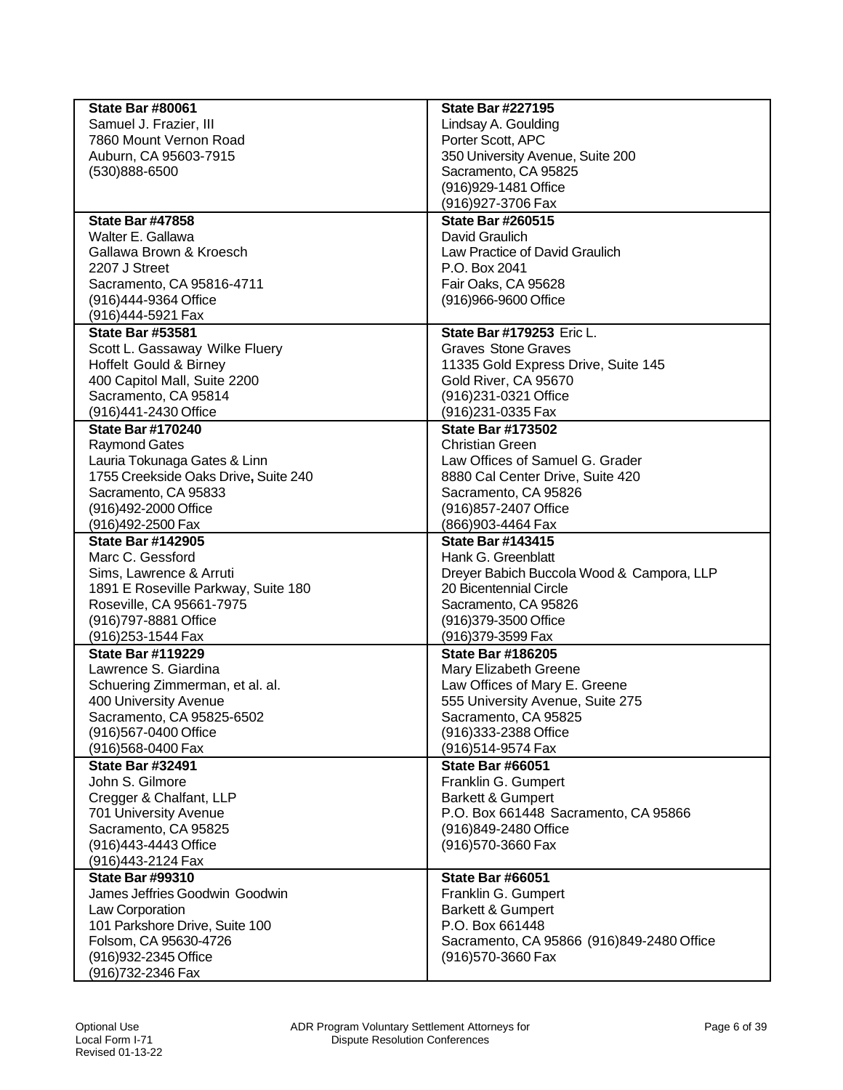| <b>State Bar #80061</b>              | <b>State Bar #227195</b>                  |
|--------------------------------------|-------------------------------------------|
| Samuel J. Frazier, III               | Lindsay A. Goulding                       |
| 7860 Mount Vernon Road               | Porter Scott, APC                         |
| Auburn, CA 95603-7915                | 350 University Avenue, Suite 200          |
| (530)888-6500                        | Sacramento, CA 95825                      |
|                                      | (916) 929-1481 Office                     |
|                                      | (916) 927-3706 Fax                        |
| <b>State Bar #47858</b>              | <b>State Bar #260515</b>                  |
| Walter E. Gallawa                    | David Graulich                            |
| Gallawa Brown & Kroesch              | Law Practice of David Graulich            |
| 2207 J Street                        | P.O. Box 2041                             |
| Sacramento, CA 95816-4711            | Fair Oaks, CA 95628                       |
| (916)444-9364 Office                 | (916)966-9600 Office                      |
| (916)444-5921 Fax                    |                                           |
| <b>State Bar #53581</b>              | <b>State Bar #179253 Eric L.</b>          |
| Scott L. Gassaway Wilke Fluery       | <b>Graves Stone Graves</b>                |
| <b>Hoffelt Gould &amp; Birney</b>    | 11335 Gold Express Drive, Suite 145       |
| 400 Capitol Mall, Suite 2200         | Gold River, CA 95670                      |
| Sacramento, CA 95814                 | (916)231-0321 Office                      |
| (916)441-2430 Office                 | (916)231-0335 Fax                         |
| <b>State Bar #170240</b>             | <b>State Bar #173502</b>                  |
| <b>Raymond Gates</b>                 | <b>Christian Green</b>                    |
| Lauria Tokunaga Gates & Linn         | Law Offices of Samuel G. Grader           |
| 1755 Creekside Oaks Drive, Suite 240 | 8880 Cal Center Drive, Suite 420          |
| Sacramento, CA 95833                 | Sacramento, CA 95826                      |
| (916)492-2000 Office                 | (916) 857-2407 Office                     |
| (916)492-2500 Fax                    | (866)903-4464 Fax                         |
| <b>State Bar #142905</b>             | <b>State Bar #143415</b>                  |
| Marc C. Gessford                     | Hank G. Greenblatt                        |
| Sims, Lawrence & Arruti              | Dreyer Babich Buccola Wood & Campora, LLP |
| 1891 E Roseville Parkway, Suite 180  | 20 Bicentennial Circle                    |
| Roseville, CA 95661-7975             | Sacramento, CA 95826                      |
| (916)797-8881 Office                 | (916)379-3500 Office                      |
| (916) 253-1544 Fax                   | (916)379-3599 Fax                         |
| <b>State Bar #119229</b>             | <b>State Bar #186205</b>                  |
| Lawrence S. Giardina                 | Mary Elizabeth Greene                     |
| Schuering Zimmerman, et al. al.      | Law Offices of Mary E. Greene             |
| 400 University Avenue                | 555 University Avenue, Suite 275          |
| Sacramento, CA 95825-6502            | Sacramento, CA 95825                      |
| (916)567-0400 Office                 | (916)333-2388 Office                      |
| (916)568-0400 Fax                    | (916)514-9574 Fax                         |
| <b>State Bar #32491</b>              | <b>State Bar #66051</b>                   |
| John S. Gilmore                      | Franklin G. Gumpert                       |
| Cregger & Chalfant, LLP              | <b>Barkett &amp; Gumpert</b>              |
| 701 University Avenue                | P.O. Box 661448 Sacramento, CA 95866      |
| Sacramento, CA 95825                 | (916)849-2480 Office                      |
| (916)443-4443 Office                 | (916) 570-3660 Fax                        |
| (916)443-2124 Fax                    |                                           |
| <b>State Bar #99310</b>              | <b>State Bar #66051</b>                   |
| James Jeffries Goodwin Goodwin       | Franklin G. Gumpert                       |
| Law Corporation                      | <b>Barkett &amp; Gumpert</b>              |
| 101 Parkshore Drive, Suite 100       | P.O. Box 661448                           |
| Folsom, CA 95630-4726                | Sacramento, CA 95866 (916)849-2480 Office |
| (916) 932-2345 Office                | (916) 570-3660 Fax                        |
| (916) 732-2346 Fax                   |                                           |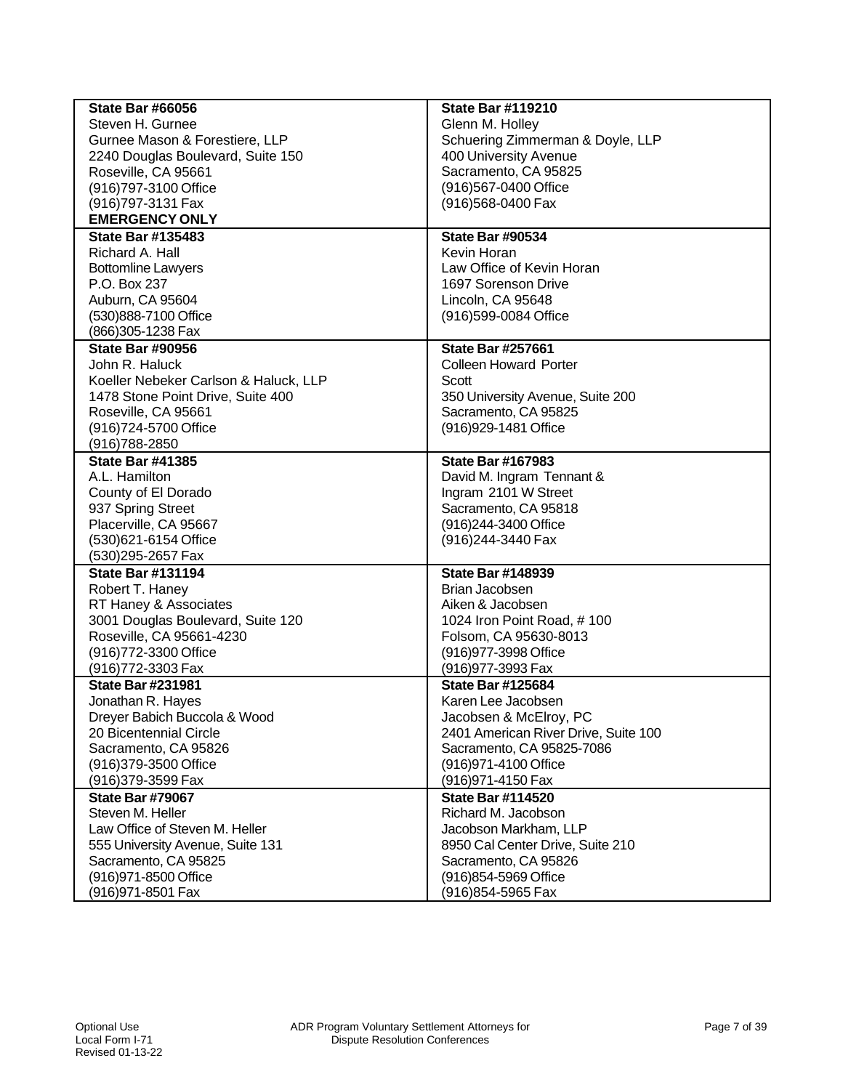| <b>State Bar #66056</b>               | <b>State Bar #119210</b>             |
|---------------------------------------|--------------------------------------|
| Steven H. Gurnee                      | Glenn M. Holley                      |
| Gurnee Mason & Forestiere, LLP        | Schuering Zimmerman & Doyle, LLP     |
| 2240 Douglas Boulevard, Suite 150     | 400 University Avenue                |
| Roseville, CA 95661                   | Sacramento, CA 95825                 |
| (916) 797-3100 Office                 | (916)567-0400 Office                 |
| (916)797-3131 Fax                     | (916)568-0400 Fax                    |
| <b>EMERGENCY ONLY</b>                 |                                      |
| <b>State Bar #135483</b>              | <b>State Bar #90534</b>              |
| Richard A. Hall                       | Kevin Horan                          |
| <b>Bottomline Lawyers</b>             | Law Office of Kevin Horan            |
| P.O. Box 237                          | 1697 Sorenson Drive                  |
| Auburn, CA 95604                      | Lincoln, CA 95648                    |
| (530)888-7100 Office                  | (916)599-0084 Office                 |
| (866) 305-1238 Fax                    |                                      |
| <b>State Bar #90956</b>               | <b>State Bar #257661</b>             |
| John R. Haluck                        | <b>Colleen Howard Porter</b>         |
| Koeller Nebeker Carlson & Haluck, LLP | Scott                                |
| 1478 Stone Point Drive, Suite 400     | 350 University Avenue, Suite 200     |
| Roseville, CA 95661                   | Sacramento, CA 95825                 |
| (916)724-5700 Office                  | (916) 929-1481 Office                |
| (916) 788-2850                        |                                      |
| <b>State Bar #41385</b>               | <b>State Bar #167983</b>             |
| A.L. Hamilton                         | David M. Ingram Tennant &            |
| County of El Dorado                   | Ingram 2101 W Street                 |
| 937 Spring Street                     | Sacramento, CA 95818                 |
| Placerville, CA 95667                 | (916)244-3400 Office                 |
| (530)621-6154 Office                  | (916) 244-3440 Fax                   |
| (530)295-2657 Fax                     |                                      |
| <b>State Bar #131194</b>              | <b>State Bar #148939</b>             |
| Robert T. Haney                       | Brian Jacobsen                       |
| RT Haney & Associates                 | Aiken & Jacobsen                     |
| 3001 Douglas Boulevard, Suite 120     | 1024 Iron Point Road, #100           |
| Roseville, CA 95661-4230              | Folsom, CA 95630-8013                |
| (916) 772-3300 Office                 | (916) 977-3998 Office                |
| (916) 772-3303 Fax                    | (916) 977-3993 Fax                   |
| <b>State Bar #231981</b>              | <b>State Bar #125684</b>             |
| Jonathan R. Hayes                     | Karen Lee Jacobsen                   |
| Dreyer Babich Buccola & Wood          | Jacobsen & McElroy, PC               |
| 20 Bicentennial Circle                | 2401 American River Drive, Suite 100 |
| Sacramento, CA 95826                  | Sacramento, CA 95825-7086            |
|                                       |                                      |
| (916) 379-3500 Office                 | (916) 971-4100 Office                |
| (916) 379-3599 Fax                    | (916) 971-4150 Fax                   |
| <b>State Bar #79067</b>               | <b>State Bar #114520</b>             |
| Steven M. Heller                      | Richard M. Jacobson                  |
| Law Office of Steven M. Heller        | Jacobson Markham, LLP                |
| 555 University Avenue, Suite 131      | 8950 Cal Center Drive, Suite 210     |
| Sacramento, CA 95825                  | Sacramento, CA 95826                 |
| (916) 971-8500 Office                 | (916) 854-5969 Office                |
| (916) 971-8501 Fax                    | (916)854-5965 Fax                    |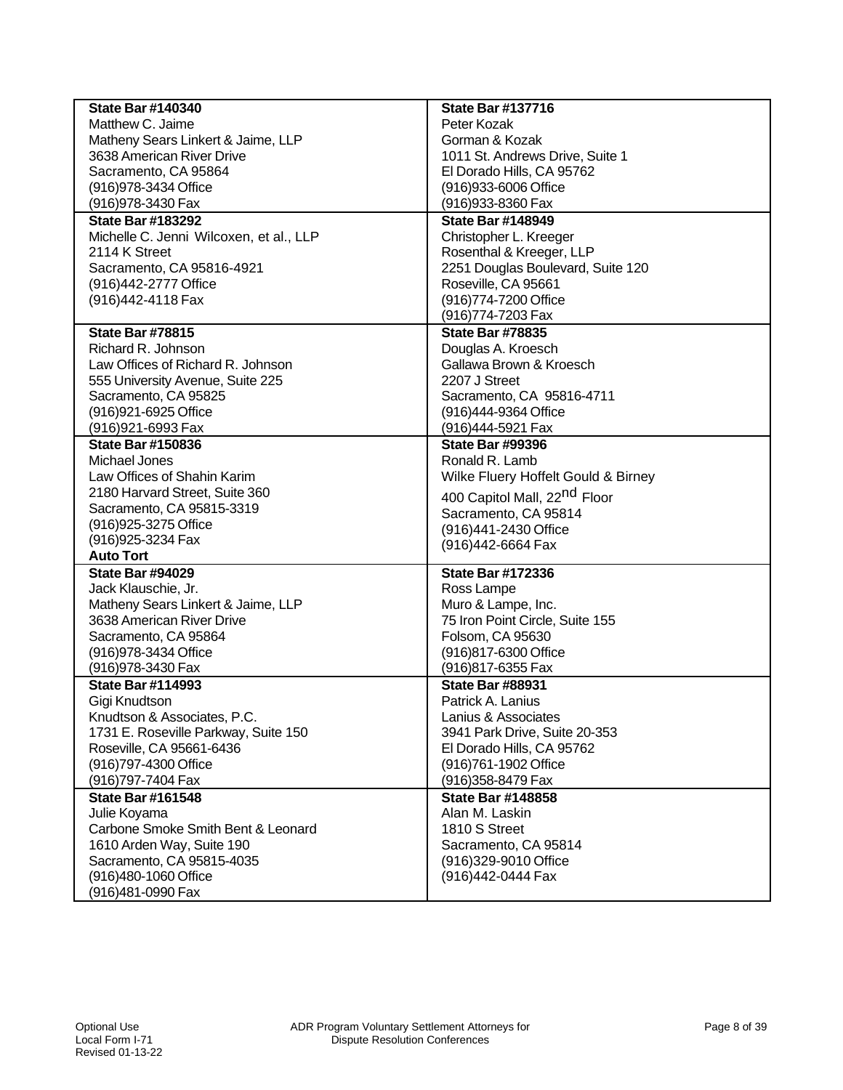| <b>State Bar #140340</b>                | <b>State Bar #137716</b>                 |
|-----------------------------------------|------------------------------------------|
| Matthew C. Jaime                        | Peter Kozak                              |
| Matheny Sears Linkert & Jaime, LLP      | Gorman & Kozak                           |
| 3638 American River Drive               | 1011 St. Andrews Drive, Suite 1          |
| Sacramento, CA 95864                    | El Dorado Hills, CA 95762                |
| (916) 978-3434 Office                   | (916) 933-6006 Office                    |
| (916) 978-3430 Fax                      | (916) 933-8360 Fax                       |
| <b>State Bar #183292</b>                | <b>State Bar #148949</b>                 |
| Michelle C. Jenni Wilcoxen, et al., LLP | Christopher L. Kreeger                   |
| 2114 K Street                           | Rosenthal & Kreeger, LLP                 |
| Sacramento, CA 95816-4921               | 2251 Douglas Boulevard, Suite 120        |
| (916)442-2777 Office                    | Roseville, CA 95661                      |
| (916) 442-4118 Fax                      | (916)774-7200 Office                     |
|                                         | (916)774-7203 Fax                        |
|                                         |                                          |
| <b>State Bar #78815</b>                 | <b>State Bar #78835</b>                  |
| Richard R. Johnson                      | Douglas A. Kroesch                       |
| Law Offices of Richard R. Johnson       | Gallawa Brown & Kroesch                  |
| 555 University Avenue, Suite 225        | 2207 J Street                            |
| Sacramento, CA 95825                    | Sacramento, CA 95816-4711                |
| (916) 921-6925 Office                   | (916)444-9364 Office                     |
| (916) 921-6993 Fax                      | (916)444-5921 Fax                        |
| <b>State Bar #150836</b>                | <b>State Bar #99396</b>                  |
| Michael Jones                           | Ronald R. Lamb                           |
| Law Offices of Shahin Karim             | Wilke Fluery Hoffelt Gould & Birney      |
| 2180 Harvard Street, Suite 360          | 400 Capitol Mall, 22 <sup>nd</sup> Floor |
| Sacramento, CA 95815-3319               | Sacramento, CA 95814                     |
| (916) 925-3275 Office                   | (916)441-2430 Office                     |
| (916) 925-3234 Fax                      | (916)442-6664 Fax                        |
| <b>Auto Tort</b>                        |                                          |
| <b>State Bar #94029</b>                 | <b>State Bar #172336</b>                 |
| Jack Klauschie, Jr.                     | Ross Lampe                               |
| Matheny Sears Linkert & Jaime, LLP      | Muro & Lampe, Inc.                       |
| 3638 American River Drive               | 75 Iron Point Circle, Suite 155          |
| Sacramento, CA 95864                    | Folsom, CA 95630                         |
| (916) 978-3434 Office                   | (916)817-6300 Office                     |
| (916) 978-3430 Fax                      | (916)817-6355 Fax                        |
| <b>State Bar #114993</b>                | <b>State Bar #88931</b>                  |
|                                         |                                          |
| Gigi Knudtson                           | Patrick A. Lanius                        |
| Knudtson & Associates, P.C.             | Lanius & Associates                      |
| 1731 E. Roseville Parkway, Suite 150    | 3941 Park Drive, Suite 20-353            |
| Roseville, CA 95661-6436                | El Dorado Hills, CA 95762                |
| (916)797-4300 Office                    | (916)761-1902 Office                     |
| (916)797-7404 Fax                       | (916) 358-8479 Fax                       |
| <b>State Bar #161548</b>                | <b>State Bar #148858</b>                 |
| Julie Koyama                            | Alan M. Laskin                           |
| Carbone Smoke Smith Bent & Leonard      | 1810 S Street                            |
| 1610 Arden Way, Suite 190               | Sacramento, CA 95814                     |
| Sacramento, CA 95815-4035               | (916)329-9010 Office                     |
| (916)480-1060 Office                    | (916)442-0444 Fax                        |
| (916)481-0990 Fax                       |                                          |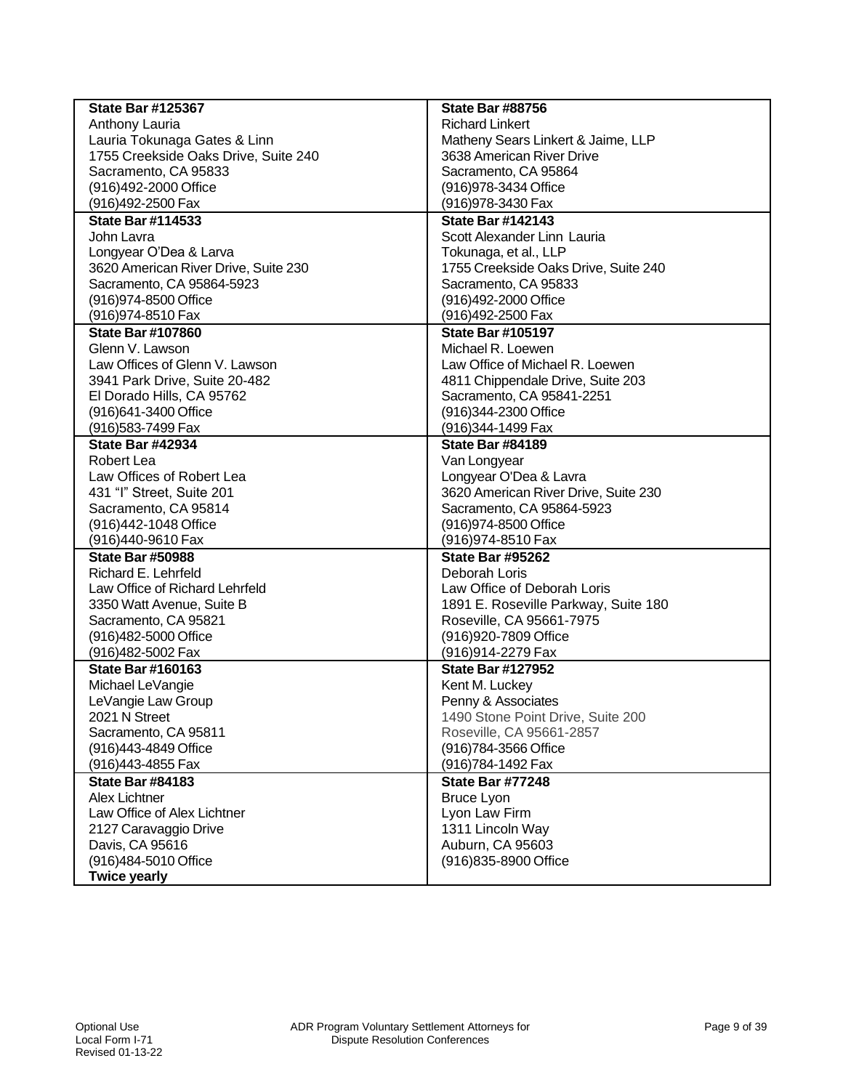| <b>State Bar #125367</b>             | <b>State Bar #88756</b>              |
|--------------------------------------|--------------------------------------|
| Anthony Lauria                       | <b>Richard Linkert</b>               |
| Lauria Tokunaga Gates & Linn         | Matheny Sears Linkert & Jaime, LLP   |
| 1755 Creekside Oaks Drive, Suite 240 | 3638 American River Drive            |
| Sacramento, CA 95833                 | Sacramento, CA 95864                 |
| (916)492-2000 Office                 | (916) 978-3434 Office                |
| (916)492-2500 Fax                    | (916) 978-3430 Fax                   |
| <b>State Bar #114533</b>             | <b>State Bar #142143</b>             |
| John Lavra                           | Scott Alexander Linn Lauria          |
| Longyear O'Dea & Larva               | Tokunaga, et al., LLP                |
| 3620 American River Drive, Suite 230 | 1755 Creekside Oaks Drive, Suite 240 |
| Sacramento, CA 95864-5923            | Sacramento, CA 95833                 |
| (916) 974-8500 Office                | (916)492-2000 Office                 |
| (916) 974-8510 Fax                   | (916)492-2500 Fax                    |
| <b>State Bar #107860</b>             | <b>State Bar #105197</b>             |
| Glenn V. Lawson                      | Michael R. Loewen                    |
| Law Offices of Glenn V. Lawson       | Law Office of Michael R. Loewen      |
| 3941 Park Drive, Suite 20-482        | 4811 Chippendale Drive, Suite 203    |
| El Dorado Hills, CA 95762            | Sacramento, CA 95841-2251            |
| (916) 641-3400 Office                | (916)344-2300 Office                 |
| (916)583-7499 Fax                    | (916)344-1499 Fax                    |
| <b>State Bar #42934</b>              | <b>State Bar #84189</b>              |
| Robert Lea                           | Van Longyear                         |
| Law Offices of Robert Lea            | Longyear O'Dea & Lavra               |
| 431 "I" Street, Suite 201            | 3620 American River Drive, Suite 230 |
| Sacramento, CA 95814                 | Sacramento, CA 95864-5923            |
| (916)442-1048 Office                 | (916) 974-8500 Office                |
| (916)440-9610 Fax                    | (916) 974-8510 Fax                   |
| <b>State Bar #50988</b>              | <b>State Bar #95262</b>              |
| Richard E. Lehrfeld                  | Deborah Loris                        |
| Law Office of Richard Lehrfeld       | Law Office of Deborah Loris          |
| 3350 Watt Avenue, Suite B            | 1891 E. Roseville Parkway, Suite 180 |
| Sacramento, CA 95821                 | Roseville, CA 95661-7975             |
| (916)482-5000 Office                 | (916) 920-7809 Office                |
| (916)482-5002 Fax                    | (916)914-2279 Fax                    |
| <b>State Bar #160163</b>             | <b>State Bar #127952</b>             |
| Michael LeVangie                     | Kent M. Luckey                       |
| LeVangie Law Group                   | Penny & Associates                   |
| 2021 N Street                        | 1490 Stone Point Drive, Suite 200    |
| Sacramento, CA 95811                 | Roseville, CA 95661-2857             |
| (916)443-4849 Office                 | (916) 784-3566 Office                |
| (916)443-4855 Fax                    | (916)784-1492 Fax                    |
| <b>State Bar #84183</b>              | <b>State Bar #77248</b>              |
| <b>Alex Lichtner</b>                 | <b>Bruce Lyon</b>                    |
| Law Office of Alex Lichtner          | Lyon Law Firm                        |
| 2127 Caravaggio Drive                | 1311 Lincoln Way                     |
| Davis, CA 95616                      | Auburn, CA 95603                     |
| (916)484-5010 Office                 | (916) 835-8900 Office                |
| <b>Twice yearly</b>                  |                                      |
|                                      |                                      |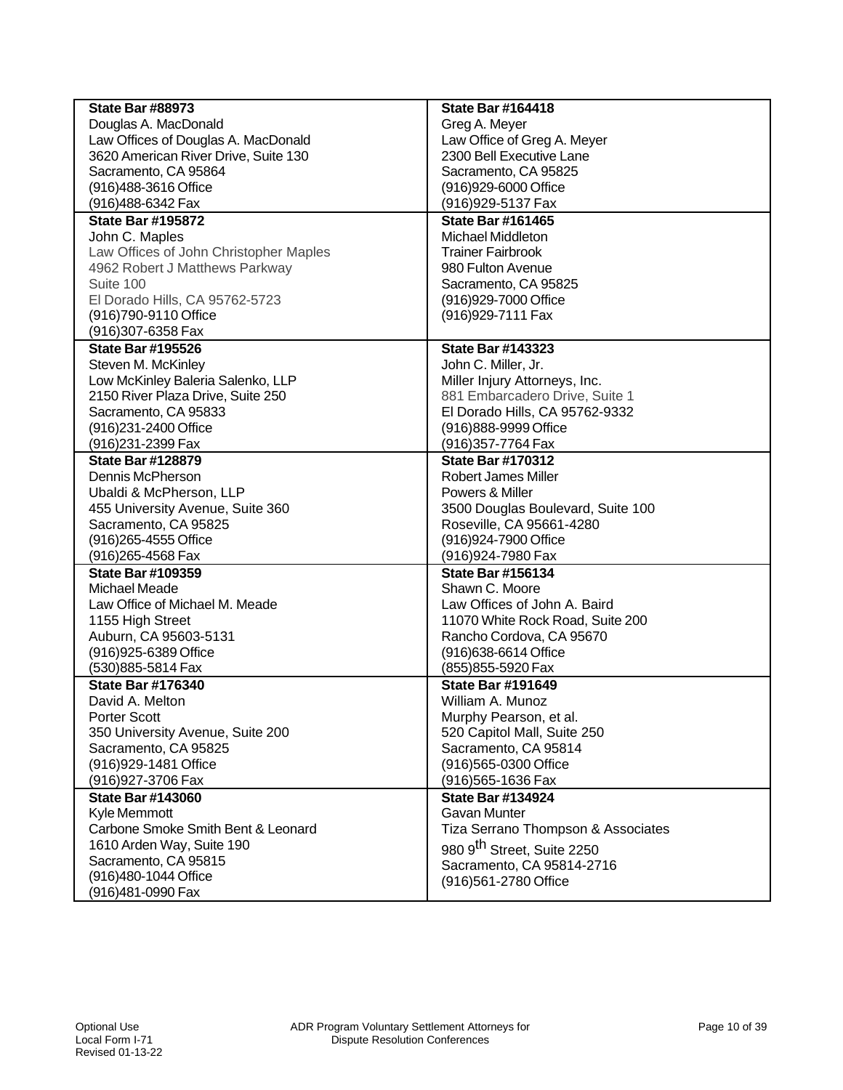| <b>State Bar #88973</b>                | <b>State Bar #164418</b>           |
|----------------------------------------|------------------------------------|
| Douglas A. MacDonald                   | Greg A. Meyer                      |
| Law Offices of Douglas A. MacDonald    | Law Office of Greg A. Meyer        |
| 3620 American River Drive, Suite 130   | 2300 Bell Executive Lane           |
| Sacramento, CA 95864                   | Sacramento, CA 95825               |
| (916)488-3616 Office                   | (916)929-6000 Office               |
| (916)488-6342 Fax                      | (916) 929-5137 Fax                 |
| <b>State Bar #195872</b>               | <b>State Bar #161465</b>           |
| John C. Maples                         | <b>Michael Middleton</b>           |
| Law Offices of John Christopher Maples | <b>Trainer Fairbrook</b>           |
| 4962 Robert J Matthews Parkway         | 980 Fulton Avenue                  |
| Suite 100                              | Sacramento, CA 95825               |
| El Dorado Hills, CA 95762-5723         | (916)929-7000 Office               |
| (916)790-9110 Office                   | (916) 929-7111 Fax                 |
| (916) 307-6358 Fax                     |                                    |
| <b>State Bar #195526</b>               | <b>State Bar #143323</b>           |
| Steven M. McKinley                     | John C. Miller, Jr.                |
| Low McKinley Baleria Salenko, LLP      | Miller Injury Attorneys, Inc.      |
| 2150 River Plaza Drive, Suite 250      | 881 Embarcadero Drive, Suite 1     |
| Sacramento, CA 95833                   | El Dorado Hills, CA 95762-9332     |
| (916)231-2400 Office                   | (916)888-9999 Office               |
| (916)231-2399 Fax                      | (916) 357-7764 Fax                 |
| <b>State Bar #128879</b>               | <b>State Bar #170312</b>           |
| Dennis McPherson                       | <b>Robert James Miller</b>         |
| Ubaldi & McPherson, LLP                | Powers & Miller                    |
| 455 University Avenue, Suite 360       | 3500 Douglas Boulevard, Suite 100  |
| Sacramento, CA 95825                   | Roseville, CA 95661-4280           |
| (916) 265-4555 Office                  | (916)924-7900 Office               |
| (916) 265-4568 Fax                     | (916) 924-7980 Fax                 |
| <b>State Bar #109359</b>               | <b>State Bar #156134</b>           |
| Michael Meade                          | Shawn C. Moore                     |
| Law Office of Michael M. Meade         | Law Offices of John A. Baird       |
| 1155 High Street                       | 11070 White Rock Road, Suite 200   |
| Auburn, CA 95603-5131                  | Rancho Cordova, CA 95670           |
| (916) 925-6389 Office                  | (916) 638-6614 Office              |
| (530)885-5814 Fax                      | (855) 855-5920 Fax                 |
| <b>State Bar #176340</b>               | <b>State Bar #191649</b>           |
| David A. Melton                        | William A. Munoz                   |
| Porter Scott                           | Murphy Pearson, et al.             |
| 350 University Avenue, Suite 200       | 520 Capitol Mall, Suite 250        |
| Sacramento, CA 95825                   | Sacramento, CA 95814               |
| (916) 929-1481 Office                  | (916)565-0300 Office               |
| (916) 927-3706 Fax                     | (916) 565-1636 Fax                 |
| <b>State Bar #143060</b>               | <b>State Bar #134924</b>           |
| Kyle Memmott                           | Gavan Munter                       |
| Carbone Smoke Smith Bent & Leonard     | Tiza Serrano Thompson & Associates |
| 1610 Arden Way, Suite 190              | 980 9th Street, Suite 2250         |
| Sacramento, CA 95815                   | Sacramento, CA 95814-2716          |
| (916)480-1044 Office                   | (916)561-2780 Office               |
| (916)481-0990 Fax                      |                                    |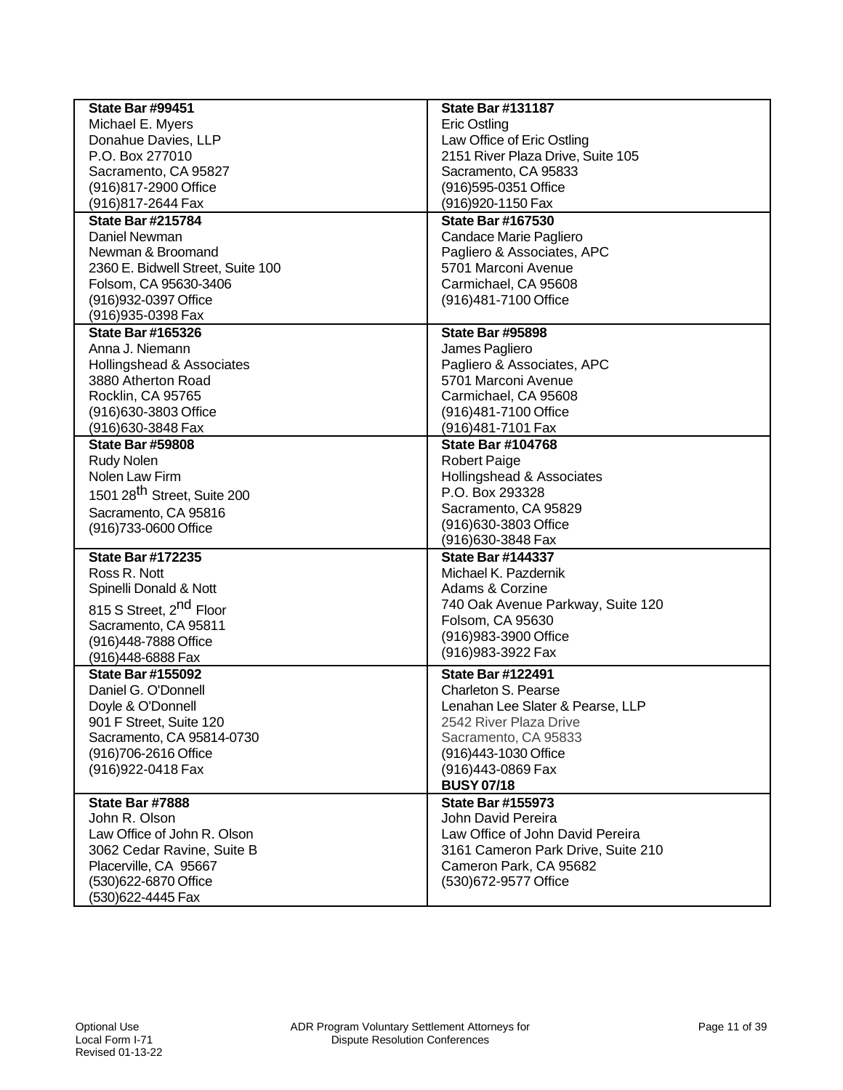| <b>State Bar #99451</b>                 | <b>State Bar #131187</b>           |
|-----------------------------------------|------------------------------------|
| Michael E. Myers                        | <b>Eric Ostling</b>                |
| Donahue Davies, LLP                     | Law Office of Eric Ostling         |
| P.O. Box 277010                         | 2151 River Plaza Drive, Suite 105  |
| Sacramento, CA 95827                    | Sacramento, CA 95833               |
| (916)817-2900 Office                    | (916)595-0351 Office               |
| (916) 817-2644 Fax                      | (916) 920-1150 Fax                 |
| <b>State Bar #215784</b>                | <b>State Bar #167530</b>           |
| Daniel Newman                           | Candace Marie Pagliero             |
| Newman & Broomand                       | Pagliero & Associates, APC         |
| 2360 E. Bidwell Street, Suite 100       | 5701 Marconi Avenue                |
| Folsom, CA 95630-3406                   | Carmichael, CA 95608               |
| (916) 932-0397 Office                   | (916)481-7100 Office               |
| (916) 935-0398 Fax                      |                                    |
| <b>State Bar #165326</b>                | <b>State Bar #95898</b>            |
|                                         |                                    |
| Anna J. Niemann                         | James Pagliero                     |
| Hollingshead & Associates               | Pagliero & Associates, APC         |
| 3880 Atherton Road                      | 5701 Marconi Avenue                |
| Rocklin, CA 95765                       | Carmichael, CA 95608               |
| (916)630-3803 Office                    | (916)481-7100 Office               |
| (916) 630-3848 Fax                      | (916) 481-7101 Fax                 |
| <b>State Bar #59808</b>                 | <b>State Bar #104768</b>           |
| <b>Rudy Nolen</b>                       | <b>Robert Paige</b>                |
| Nolen Law Firm                          | Hollingshead & Associates          |
| 1501 28 <sup>th</sup> Street, Suite 200 | P.O. Box 293328                    |
| Sacramento, CA 95816                    | Sacramento, CA 95829               |
| (916)733-0600 Office                    | (916)630-3803 Office               |
|                                         | (916)630-3848 Fax                  |
| <b>State Bar #172235</b>                | <b>State Bar #144337</b>           |
| Ross R. Nott                            | Michael K. Pazdernik               |
| Spinelli Donald & Nott                  | Adams & Corzine                    |
| 815 S Street, 2 <sup>nd</sup> Floor     | 740 Oak Avenue Parkway, Suite 120  |
|                                         | Folsom, CA 95630                   |
| Sacramento, CA 95811                    | (916) 983-3900 Office              |
| (916)448-7888 Office                    | (916) 983-3922 Fax                 |
| (916)448-6888 Fax                       |                                    |
| <b>State Bar #155092</b>                | <b>State Bar #122491</b>           |
| Daniel G. O'Donnell                     | <b>Charleton S. Pearse</b>         |
| Doyle & O'Donnell                       | Lenahan Lee Slater & Pearse, LLP   |
| 901 F Street, Suite 120                 | 2542 River Plaza Drive             |
| Sacramento, CA 95814-0730               | Sacramento, CA 95833               |
| (916) 706-2616 Office                   | (916)443-1030 Office               |
| (916) 922-0418 Fax                      | (916)443-0869 Fax                  |
|                                         | <b>BUSY 07/18</b>                  |
| State Bar #7888                         | <b>State Bar #155973</b>           |
| John R. Olson                           | John David Pereira                 |
| Law Office of John R. Olson             | Law Office of John David Pereira   |
| 3062 Cedar Ravine, Suite B              | 3161 Cameron Park Drive, Suite 210 |
| Placerville, CA 95667                   | Cameron Park, CA 95682             |
| (530)622-6870 Office                    | (530)672-9577 Office               |
| (530)622-4445 Fax                       |                                    |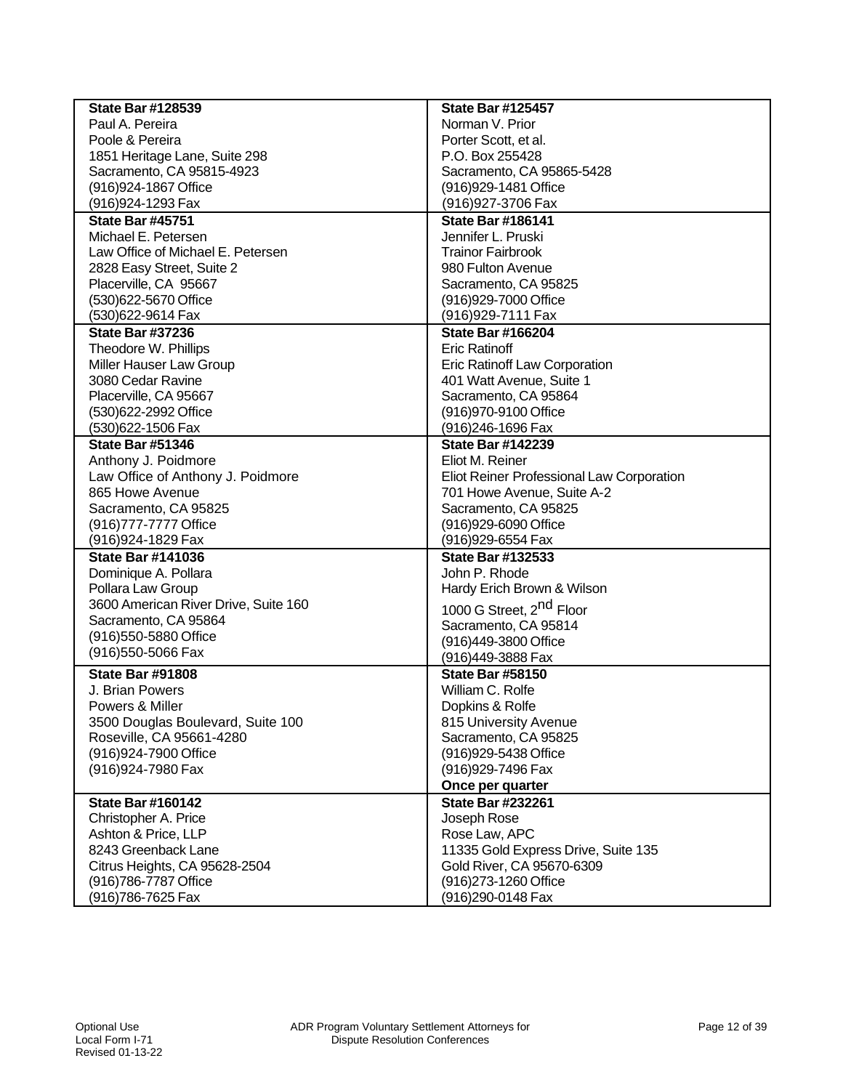| <b>State Bar #128539</b>             | <b>State Bar #125457</b>                  |
|--------------------------------------|-------------------------------------------|
| Paul A. Pereira                      | Norman V. Prior                           |
| Poole & Pereira                      | Porter Scott, et al.                      |
| 1851 Heritage Lane, Suite 298        | P.O. Box 255428                           |
| Sacramento, CA 95815-4923            | Sacramento, CA 95865-5428                 |
| (916) 924-1867 Office                | (916) 929-1481 Office                     |
| (916) 924-1293 Fax                   | (916) 927-3706 Fax                        |
| <b>State Bar #45751</b>              | <b>State Bar #186141</b>                  |
| Michael E. Petersen                  | Jennifer L. Pruski                        |
| Law Office of Michael E. Petersen    | <b>Trainor Fairbrook</b>                  |
| 2828 Easy Street, Suite 2            | 980 Fulton Avenue                         |
| Placerville, CA 95667                | Sacramento, CA 95825                      |
| (530)622-5670 Office                 | (916) 929-7000 Office                     |
| (530)622-9614 Fax                    | (916) 929-7111 Fax                        |
| <b>State Bar #37236</b>              | <b>State Bar #166204</b>                  |
| Theodore W. Phillips                 | <b>Eric Ratinoff</b>                      |
| Miller Hauser Law Group              | Eric Ratinoff Law Corporation             |
| 3080 Cedar Ravine                    | 401 Watt Avenue, Suite 1                  |
| Placerville, CA 95667                | Sacramento, CA 95864                      |
| (530)622-2992 Office                 | (916) 970-9100 Office                     |
| (530)622-1506 Fax                    | (916)246-1696 Fax                         |
| <b>State Bar #51346</b>              | <b>State Bar #142239</b>                  |
| Anthony J. Poidmore                  | Eliot M. Reiner                           |
| Law Office of Anthony J. Poidmore    | Eliot Reiner Professional Law Corporation |
| 865 Howe Avenue                      | 701 Howe Avenue, Suite A-2                |
| Sacramento, CA 95825                 | Sacramento, CA 95825                      |
| (916) 777-7777 Office                | (916)929-6090 Office                      |
| (916) 924-1829 Fax                   | (916) 929-6554 Fax                        |
| <b>State Bar #141036</b>             | <b>State Bar #132533</b>                  |
| Dominique A. Pollara                 | John P. Rhode                             |
| Pollara Law Group                    | Hardy Erich Brown & Wilson                |
| 3600 American River Drive, Suite 160 | 1000 G Street, 2 <sup>nd</sup> Floor      |
| Sacramento, CA 95864                 | Sacramento, CA 95814                      |
| (916) 550-5880 Office                | (916)449-3800 Office                      |
| (916) 550-5066 Fax                   | (916)449-3888 Fax                         |
| <b>State Bar #91808</b>              | <b>State Bar #58150</b>                   |
| J. Brian Powers                      | William C. Rolfe                          |
| Powers & Miller                      | Dopkins & Rolfe                           |
| 3500 Douglas Boulevard, Suite 100    | 815 University Avenue                     |
| Roseville, CA 95661-4280             | Sacramento, CA 95825                      |
| (916) 924-7900 Office                | (916) 929-5438 Office                     |
| (916) 924-7980 Fax                   | (916) 929-7496 Fax                        |
|                                      | Once per quarter                          |
| <b>State Bar #160142</b>             | <b>State Bar #232261</b>                  |
| Christopher A. Price                 | Joseph Rose                               |
| Ashton & Price, LLP                  | Rose Law, APC                             |
| 8243 Greenback Lane                  | 11335 Gold Express Drive, Suite 135       |
| Citrus Heights, CA 95628-2504        | Gold River, CA 95670-6309                 |
| (916) 786-7787 Office                | (916) 273-1260 Office                     |
| (916)786-7625 Fax                    | (916) 290-0148 Fax                        |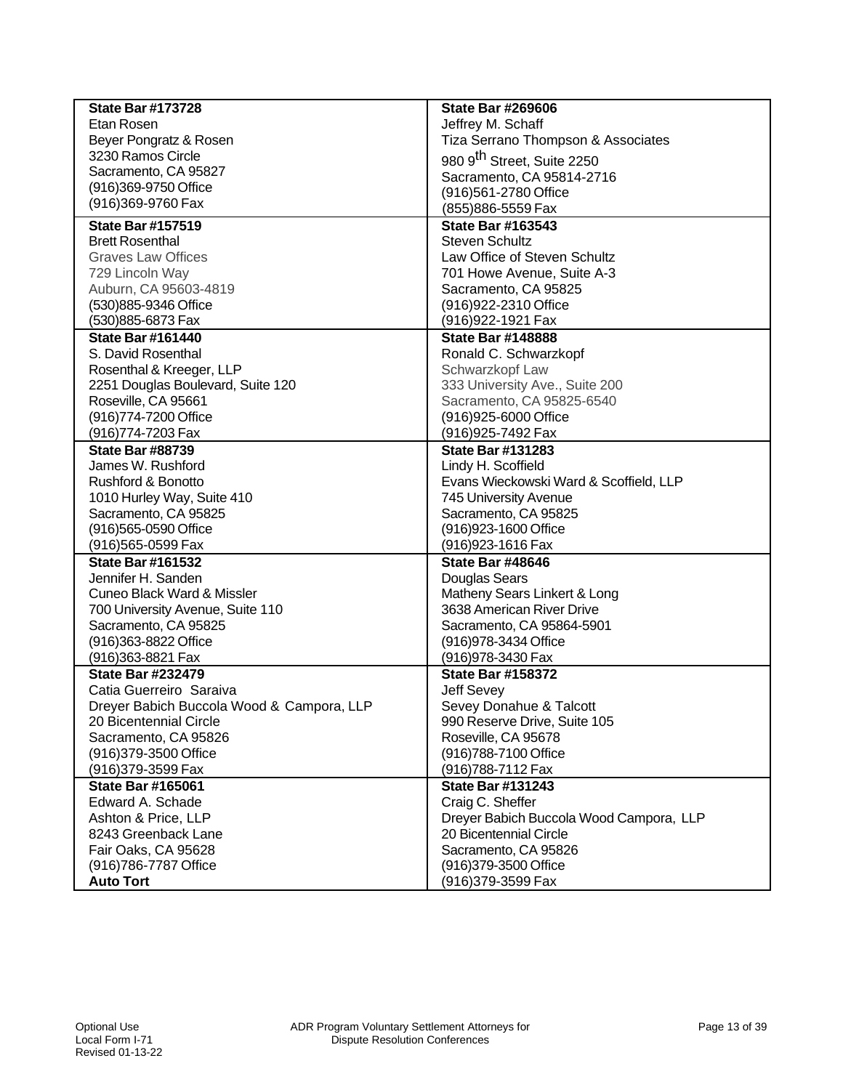| <b>State Bar #173728</b>                  | <b>State Bar #269606</b>                |
|-------------------------------------------|-----------------------------------------|
| Etan Rosen                                | Jeffrey M. Schaff                       |
| Beyer Pongratz & Rosen                    | Tiza Serrano Thompson & Associates      |
| 3230 Ramos Circle                         | 980 9 <sup>th</sup> Street, Suite 2250  |
| Sacramento, CA 95827                      | Sacramento, CA 95814-2716               |
| (916)369-9750 Office                      | (916)561-2780 Office                    |
| (916)369-9760 Fax                         | (855) 886-5559 Fax                      |
| <b>State Bar #157519</b>                  | <b>State Bar #163543</b>                |
| <b>Brett Rosenthal</b>                    | <b>Steven Schultz</b>                   |
| <b>Graves Law Offices</b>                 | Law Office of Steven Schultz            |
| 729 Lincoln Way                           | 701 Howe Avenue, Suite A-3              |
| Auburn, CA 95603-4819                     | Sacramento, CA 95825                    |
| (530)885-9346 Office                      | (916) 922-2310 Office                   |
| (530)885-6873 Fax                         | (916) 922-1921 Fax                      |
| <b>State Bar #161440</b>                  | <b>State Bar #148888</b>                |
| S. David Rosenthal                        | Ronald C. Schwarzkopf                   |
| Rosenthal & Kreeger, LLP                  | Schwarzkopf Law                         |
| 2251 Douglas Boulevard, Suite 120         | 333 University Ave., Suite 200          |
| Roseville, CA 95661                       | Sacramento, CA 95825-6540               |
| (916) 774-7200 Office                     | (916)925-6000 Office                    |
| (916)774-7203 Fax                         | (916) 925-7492 Fax                      |
| <b>State Bar #88739</b>                   | <b>State Bar #131283</b>                |
| James W. Rushford                         | Lindy H. Scoffield                      |
| <b>Rushford &amp; Bonotto</b>             | Evans Wieckowski Ward & Scoffield, LLP  |
| 1010 Hurley Way, Suite 410                | 745 University Avenue                   |
| Sacramento, CA 95825                      | Sacramento, CA 95825                    |
| (916) 565-0590 Office                     | (916) 923-1600 Office                   |
| (916)565-0599 Fax                         | (916)923-1616 Fax                       |
| <b>State Bar #161532</b>                  | <b>State Bar #48646</b>                 |
| Jennifer H. Sanden                        | Douglas Sears                           |
| <b>Cuneo Black Ward &amp; Missler</b>     | Matheny Sears Linkert & Long            |
| 700 University Avenue, Suite 110          | 3638 American River Drive               |
| Sacramento, CA 95825                      | Sacramento, CA 95864-5901               |
| (916)363-8822 Office                      | (916) 978-3434 Office                   |
| (916) 363-8821 Fax                        | (916) 978-3430 Fax                      |
| <b>State Bar #232479</b>                  | <b>State Bar #158372</b>                |
| Catia Guerreiro Saraiva                   | <b>Jeff Sevey</b>                       |
| Dreyer Babich Buccola Wood & Campora, LLP | Sevey Donahue & Talcott                 |
| 20 Bicentennial Circle                    | 990 Reserve Drive, Suite 105            |
| Sacramento, CA 95826                      | Roseville, CA 95678                     |
| (916) 379-3500 Office                     | (916)788-7100 Office                    |
| (916) 379-3599 Fax                        | (916)788-7112 Fax                       |
| <b>State Bar #165061</b>                  | <b>State Bar #131243</b>                |
| Edward A. Schade                          | Craig C. Sheffer                        |
| Ashton & Price, LLP                       | Dreyer Babich Buccola Wood Campora, LLP |
| 8243 Greenback Lane                       | 20 Bicentennial Circle                  |
| Fair Oaks, CA 95628                       | Sacramento, CA 95826                    |
| (916) 786-7787 Office                     | (916)379-3500 Office                    |
| <b>Auto Tort</b>                          | (916)379-3599 Fax                       |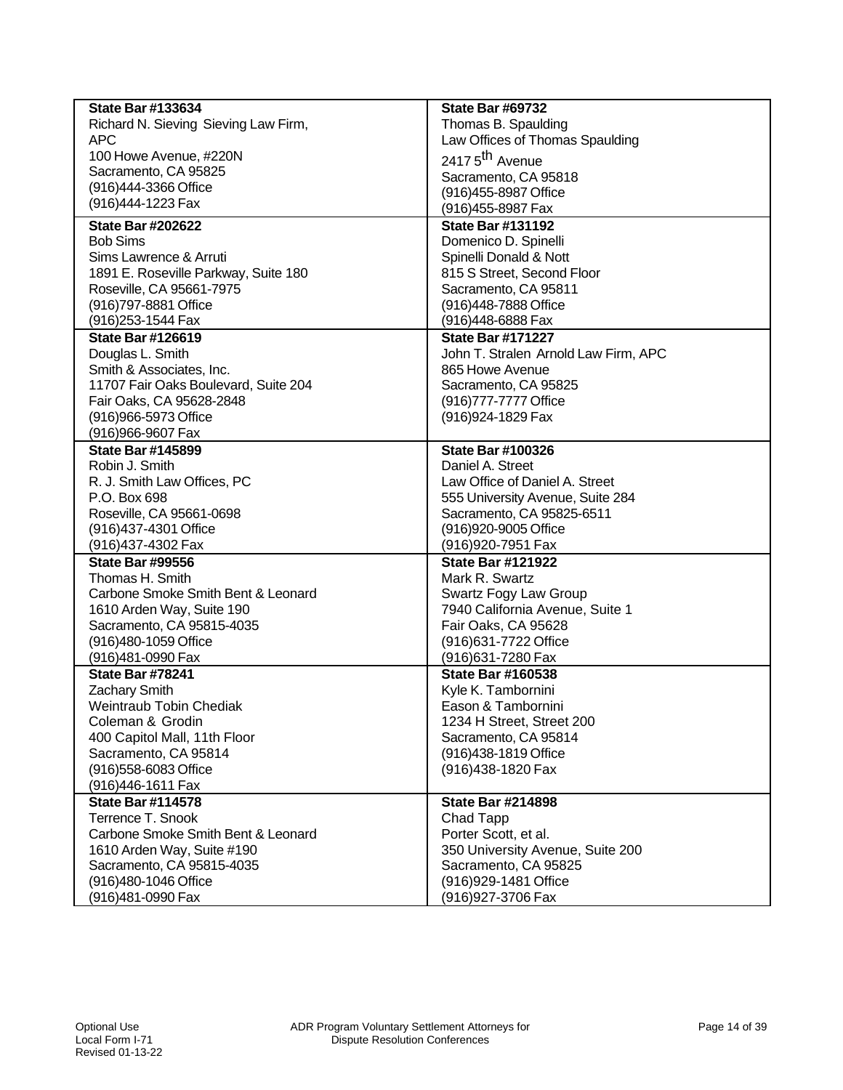| <b>State Bar #133634</b>             | <b>State Bar #69732</b>              |
|--------------------------------------|--------------------------------------|
| Richard N. Sieving Sieving Law Firm, | Thomas B. Spaulding                  |
| <b>APC</b>                           | Law Offices of Thomas Spaulding      |
| 100 Howe Avenue, #220N               | 2417 5 <sup>th</sup> Avenue          |
| Sacramento, CA 95825                 | Sacramento, CA 95818                 |
| (916)444-3366 Office                 | (916)455-8987 Office                 |
| (916)444-1223 Fax                    | (916) 455-8987 Fax                   |
| <b>State Bar #202622</b>             | <b>State Bar #131192</b>             |
| <b>Bob Sims</b>                      | Domenico D. Spinelli                 |
| Sims Lawrence & Arruti               | Spinelli Donald & Nott               |
| 1891 E. Roseville Parkway, Suite 180 | 815 S Street, Second Floor           |
| Roseville, CA 95661-7975             | Sacramento, CA 95811                 |
| (916) 797-8881 Office                | (916)448-7888 Office                 |
| (916) 253-1544 Fax                   | (916)448-6888 Fax                    |
| <b>State Bar #126619</b>             | <b>State Bar #171227</b>             |
| Douglas L. Smith                     | John T. Stralen Arnold Law Firm, APC |
| Smith & Associates, Inc.             | 865 Howe Avenue                      |
| 11707 Fair Oaks Boulevard, Suite 204 | Sacramento, CA 95825                 |
| Fair Oaks, CA 95628-2848             | (916) 777-7777 Office                |
| (916)966-5973 Office                 | (916) 924-1829 Fax                   |
| (916)966-9607 Fax                    |                                      |
| <b>State Bar #145899</b>             | <b>State Bar #100326</b>             |
| Robin J. Smith                       | Daniel A. Street                     |
| R. J. Smith Law Offices, PC          | Law Office of Daniel A. Street       |
| P.O. Box 698                         | 555 University Avenue, Suite 284     |
| Roseville, CA 95661-0698             | Sacramento, CA 95825-6511            |
| (916)437-4301 Office                 | (916)920-9005 Office                 |
| (916)437-4302 Fax                    | (916)920-7951 Fax                    |
| <b>State Bar #99556</b>              | <b>State Bar #121922</b>             |
| Thomas H. Smith                      | Mark R. Swartz                       |
| Carbone Smoke Smith Bent & Leonard   | Swartz Fogy Law Group                |
| 1610 Arden Way, Suite 190            | 7940 California Avenue, Suite 1      |
| Sacramento, CA 95815-4035            | Fair Oaks, CA 95628                  |
| (916)480-1059 Office                 | (916) 631-7722 Office                |
| (916)481-0990 Fax                    | (916) 631-7280 Fax                   |
| State Bar #78241                     | <b>State Bar #160538</b>             |
| <b>Zachary Smith</b>                 | Kyle K. Tambornini                   |
| <b>Weintraub Tobin Chediak</b>       | Eason & Tambornini                   |
| Coleman & Grodin                     | 1234 H Street, Street 200            |
| 400 Capitol Mall, 11th Floor         | Sacramento, CA 95814                 |
| Sacramento, CA 95814                 | (916)438-1819 Office                 |
| (916) 558-6083 Office                | (916)438-1820 Fax                    |
| (916)446-1611 Fax                    |                                      |
| <b>State Bar #114578</b>             | <b>State Bar #214898</b>             |
| Terrence T. Snook                    | Chad Tapp                            |
| Carbone Smoke Smith Bent & Leonard   | Porter Scott, et al.                 |
| 1610 Arden Way, Suite #190           | 350 University Avenue, Suite 200     |
| Sacramento, CA 95815-4035            | Sacramento, CA 95825                 |
| (916)480-1046 Office                 | (916) 929-1481 Office                |
| (916)481-0990 Fax                    | (916) 927-3706 Fax                   |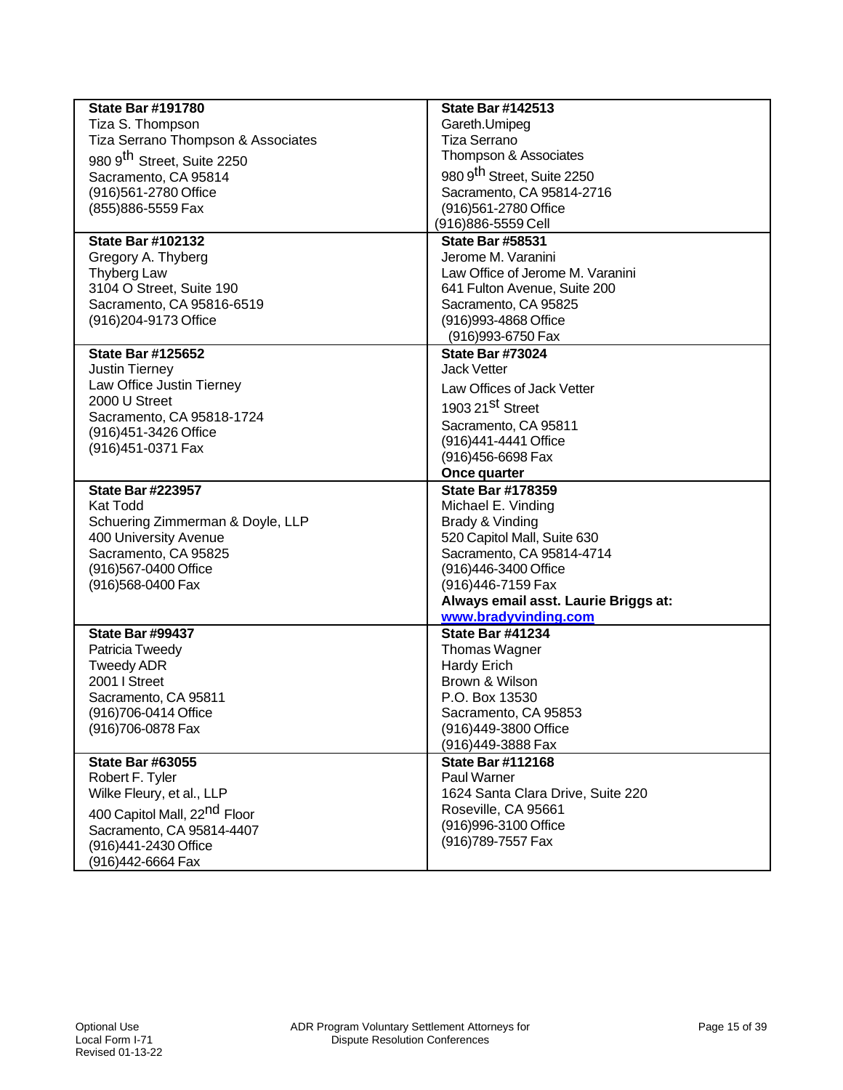| <b>State Bar #191780</b><br>Tiza S. Thompson<br>Tiza Serrano Thompson & Associates<br>980 9 <sup>th</sup> Street, Suite 2250<br>Sacramento, CA 95814<br>(916)561-2780 Office<br>(855) 886-5559 Fax<br><b>State Bar #102132</b><br>Gregory A. Thyberg<br>Thyberg Law<br>3104 O Street, Suite 190<br>Sacramento, CA 95816-6519 | <b>State Bar #142513</b><br>Gareth.Umipeg<br><b>Tiza Serrano</b><br>Thompson & Associates<br>980 9 <sup>th</sup> Street, Suite 2250<br>Sacramento, CA 95814-2716<br>(916)561-2780 Office<br>(916) 886-5559 Cell<br><b>State Bar #58531</b><br>Jerome M. Varanini<br>Law Office of Jerome M. Varanini<br>641 Fulton Avenue, Suite 200<br>Sacramento, CA 95825 |
|------------------------------------------------------------------------------------------------------------------------------------------------------------------------------------------------------------------------------------------------------------------------------------------------------------------------------|--------------------------------------------------------------------------------------------------------------------------------------------------------------------------------------------------------------------------------------------------------------------------------------------------------------------------------------------------------------|
| (916) 204-9173 Office                                                                                                                                                                                                                                                                                                        | (916) 993-4868 Office<br>(916) 993-6750 Fax                                                                                                                                                                                                                                                                                                                  |
| <b>State Bar #125652</b><br><b>Justin Tierney</b><br>Law Office Justin Tierney<br>2000 U Street<br>Sacramento, CA 95818-1724<br>(916)451-3426 Office<br>(916) 451-0371 Fax                                                                                                                                                   | <b>State Bar #73024</b><br>Jack Vetter<br>Law Offices of Jack Vetter<br>1903 21 <sup>St</sup> Street<br>Sacramento, CA 95811<br>(916)441-4441 Office<br>(916)456-6698 Fax<br>Once quarter                                                                                                                                                                    |
| <b>State Bar #223957</b><br><b>Kat Todd</b><br>Schuering Zimmerman & Doyle, LLP<br>400 University Avenue<br>Sacramento, CA 95825<br>(916)567-0400 Office<br>(916)568-0400 Fax                                                                                                                                                | <b>State Bar #178359</b><br>Michael E. Vinding<br>Brady & Vinding<br>520 Capitol Mall, Suite 630<br>Sacramento, CA 95814-4714<br>(916)446-3400 Office<br>(916)446-7159 Fax<br>Always email asst. Laurie Briggs at:<br>www.bradyvinding.com                                                                                                                   |
| State Bar #99437<br>Patricia Tweedy<br><b>Tweedy ADR</b><br>2001   Street<br>Sacramento, CA 95811<br>(916)706-0414 Office<br>(916) 706-0878 Fax                                                                                                                                                                              | <b>State Bar #41234</b><br>Thomas Wagner<br><b>Hardy Erich</b><br>Brown & Wilson<br>P.O. Box 13530<br>Sacramento, CA 95853<br>(916)449-3800 Office<br>(916)449-3888 Fax                                                                                                                                                                                      |
| <b>State Bar #63055</b><br>Robert F. Tyler<br>Wilke Fleury, et al., LLP<br>400 Capitol Mall, 22 <sup>nd</sup> Floor<br>Sacramento, CA 95814-4407<br>(916)441-2430 Office<br>(916)442-6664 Fax                                                                                                                                | <b>State Bar #112168</b><br>Paul Warner<br>1624 Santa Clara Drive, Suite 220<br>Roseville, CA 95661<br>(916)996-3100 Office<br>(916)789-7557 Fax                                                                                                                                                                                                             |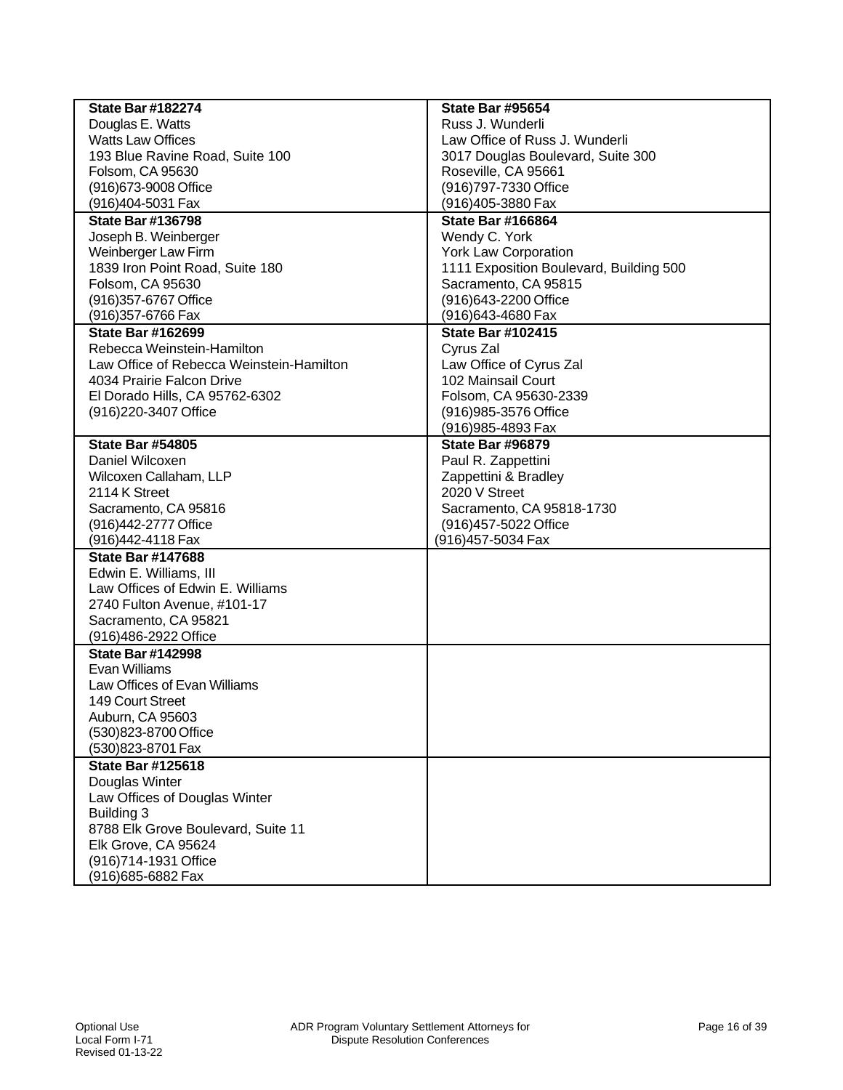| <b>State Bar #182274</b>                 | <b>State Bar #95654</b>                 |
|------------------------------------------|-----------------------------------------|
| Douglas E. Watts                         | Russ J. Wunderli                        |
| <b>Watts Law Offices</b>                 | Law Office of Russ J. Wunderli          |
| 193 Blue Ravine Road, Suite 100          | 3017 Douglas Boulevard, Suite 300       |
| Folsom, CA 95630                         | Roseville, CA 95661                     |
| (916) 673-9008 Office                    | (916) 797-7330 Office                   |
| (916)404-5031 Fax                        | (916)405-3880 Fax                       |
| <b>State Bar #136798</b>                 | <b>State Bar #166864</b>                |
| Joseph B. Weinberger                     | Wendy C. York                           |
| Weinberger Law Firm                      | <b>York Law Corporation</b>             |
| 1839 Iron Point Road, Suite 180          | 1111 Exposition Boulevard, Building 500 |
| Folsom, CA 95630                         | Sacramento, CA 95815                    |
| (916) 357-6767 Office                    | (916) 643-2200 Office                   |
| (916) 357-6766 Fax                       | (916)643-4680 Fax                       |
| <b>State Bar #162699</b>                 | <b>State Bar #102415</b>                |
| Rebecca Weinstein-Hamilton               | Cyrus Zal                               |
| Law Office of Rebecca Weinstein-Hamilton | Law Office of Cyrus Zal                 |
| 4034 Prairie Falcon Drive                | 102 Mainsail Court                      |
| El Dorado Hills, CA 95762-6302           | Folsom, CA 95630-2339                   |
| (916) 220-3407 Office                    | (916) 985-3576 Office                   |
|                                          | (916) 985-4893 Fax                      |
| <b>State Bar #54805</b>                  | <b>State Bar #96879</b>                 |
| Daniel Wilcoxen                          | Paul R. Zappettini                      |
| Wilcoxen Callaham, LLP                   | Zappettini & Bradley                    |
| 2114 K Street                            | 2020 V Street                           |
| Sacramento, CA 95816                     | Sacramento, CA 95818-1730               |
| (916)442-2777 Office                     | (916)457-5022 Office                    |
| (916)442-4118 Fax                        | (916) 457-5034 Fax                      |
| <b>State Bar #147688</b>                 |                                         |
| Edwin E. Williams, III                   |                                         |
| Law Offices of Edwin E. Williams         |                                         |
| 2740 Fulton Avenue, #101-17              |                                         |
| Sacramento, CA 95821                     |                                         |
| (916)486-2922 Office                     |                                         |
| <b>State Bar #142998</b>                 |                                         |
| Evan Williams                            |                                         |
| Law Offices of Evan Williams             |                                         |
| 149 Court Street                         |                                         |
| Auburn, CA 95603                         |                                         |
| (530)823-8700 Office                     |                                         |
| (530)823-8701 Fax                        |                                         |
| <b>State Bar #125618</b>                 |                                         |
| Douglas Winter                           |                                         |
| Law Offices of Douglas Winter            |                                         |
| <b>Building 3</b>                        |                                         |
| 8788 Elk Grove Boulevard, Suite 11       |                                         |
| Elk Grove, CA 95624                      |                                         |
| (916)714-1931 Office                     |                                         |
| (916)685-6882 Fax                        |                                         |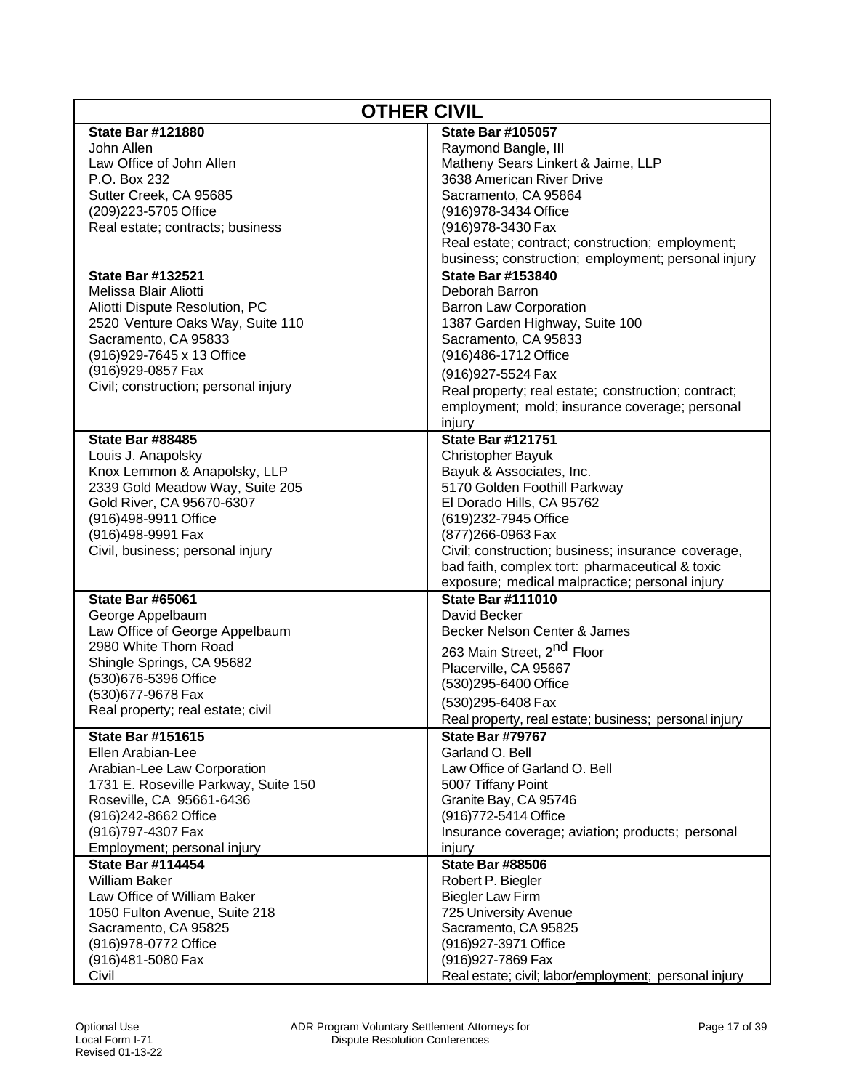| <b>OTHER CIVIL</b>                   |                                                       |
|--------------------------------------|-------------------------------------------------------|
| <b>State Bar #121880</b>             | <b>State Bar #105057</b>                              |
| John Allen                           | Raymond Bangle, III                                   |
| Law Office of John Allen             | Matheny Sears Linkert & Jaime, LLP                    |
| P.O. Box 232                         | 3638 American River Drive                             |
| Sutter Creek, CA 95685               | Sacramento, CA 95864                                  |
| (209) 223-5705 Office                | (916) 978-3434 Office                                 |
| Real estate; contracts; business     | (916) 978-3430 Fax                                    |
|                                      | Real estate; contract; construction; employment;      |
|                                      | business; construction; employment; personal injury   |
| <b>State Bar #132521</b>             | <b>State Bar #153840</b>                              |
| Melissa Blair Aliotti                | Deborah Barron                                        |
| Aliotti Dispute Resolution, PC       | <b>Barron Law Corporation</b>                         |
| 2520 Venture Oaks Way, Suite 110     | 1387 Garden Highway, Suite 100                        |
| Sacramento, CA 95833                 | Sacramento, CA 95833                                  |
| (916) 929-7645 x 13 Office           | (916)486-1712 Office                                  |
| (916) 929-0857 Fax                   | (916) 927-5524 Fax                                    |
| Civil; construction; personal injury | Real property; real estate; construction; contract;   |
|                                      | employment; mold; insurance coverage; personal        |
|                                      | injury                                                |
| <b>State Bar #88485</b>              | <b>State Bar #121751</b>                              |
| Louis J. Anapolsky                   | <b>Christopher Bayuk</b>                              |
| Knox Lemmon & Anapolsky, LLP         | Bayuk & Associates, Inc.                              |
| 2339 Gold Meadow Way, Suite 205      | 5170 Golden Foothill Parkway                          |
| Gold River, CA 95670-6307            | El Dorado Hills, CA 95762                             |
| (916)498-9911 Office                 | (619) 232-7945 Office                                 |
| (916)498-9991 Fax                    | (877) 266-0963 Fax                                    |
| Civil, business; personal injury     | Civil; construction; business; insurance coverage,    |
|                                      | bad faith, complex tort: pharmaceutical & toxic       |
|                                      | exposure; medical malpractice; personal injury        |
| <b>State Bar #65061</b>              | <b>State Bar #111010</b>                              |
| George Appelbaum                     | David Becker                                          |
| Law Office of George Appelbaum       | Becker Nelson Center & James                          |
| 2980 White Thorn Road                | 263 Main Street, 2 <sup>nd</sup> Floor                |
| Shingle Springs, CA 95682            | Placerville, CA 95667                                 |
| (530)676-5396 Office                 | (530)295-6400 Office                                  |
| (530) 677-9678 Fax                   | (530)295-6408 Fax                                     |
| Real property; real estate; civil    | Real property, real estate; business; personal injury |
| <b>State Bar #151615</b>             | <b>State Bar #79767</b>                               |
| Ellen Arabian-Lee                    | Garland O. Bell                                       |
| Arabian-Lee Law Corporation          | Law Office of Garland O. Bell                         |
| 1731 E. Roseville Parkway, Suite 150 | 5007 Tiffany Point                                    |
| Roseville, CA 95661-6436             | Granite Bay, CA 95746                                 |
| (916)242-8662 Office                 | (916) 772-5414 Office                                 |
| (916) 797-4307 Fax                   | Insurance coverage; aviation; products; personal      |
| Employment; personal injury          | injury                                                |
| <b>State Bar #114454</b>             | <b>State Bar #88506</b>                               |
| <b>William Baker</b>                 | Robert P. Biegler                                     |
| Law Office of William Baker          | <b>Biegler Law Firm</b>                               |
| 1050 Fulton Avenue, Suite 218        | 725 University Avenue                                 |
| Sacramento, CA 95825                 | Sacramento, CA 95825                                  |
| (916) 978-0772 Office                | (916) 927-3971 Office                                 |
| (916)481-5080 Fax                    | (916) 927-7869 Fax                                    |
| Civil                                | Real estate; civil; labor/employment; personal injury |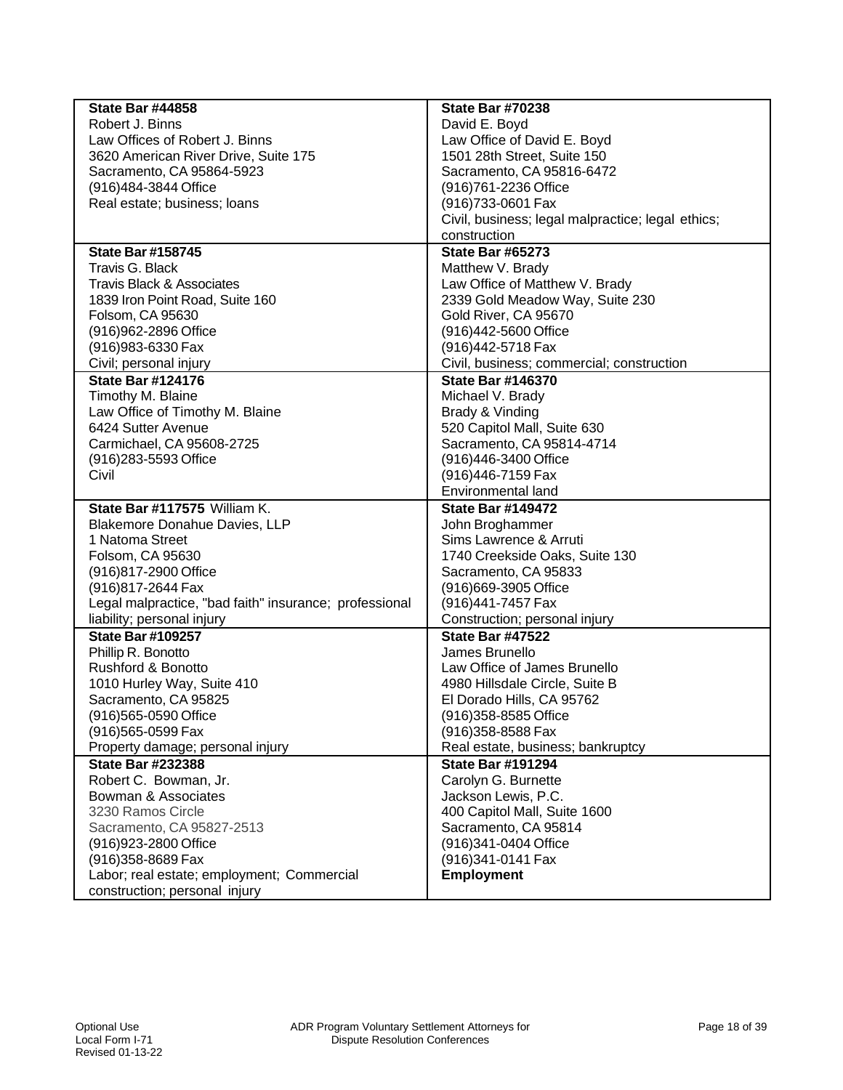| <b>State Bar #44858</b>                                | <b>State Bar #70238</b>                           |
|--------------------------------------------------------|---------------------------------------------------|
| Robert J. Binns                                        | David E. Boyd                                     |
| Law Offices of Robert J. Binns                         | Law Office of David E. Boyd                       |
| 3620 American River Drive, Suite 175                   | 1501 28th Street, Suite 150                       |
| Sacramento, CA 95864-5923                              | Sacramento, CA 95816-6472                         |
| (916)484-3844 Office                                   | (916) 761-2236 Office                             |
| Real estate; business; loans                           | (916)733-0601 Fax                                 |
|                                                        | Civil, business; legal malpractice; legal ethics; |
|                                                        | construction                                      |
| <b>State Bar #158745</b>                               | <b>State Bar #65273</b>                           |
| Travis G. Black                                        | Matthew V. Brady                                  |
| <b>Travis Black &amp; Associates</b>                   | Law Office of Matthew V. Brady                    |
| 1839 Iron Point Road, Suite 160                        | 2339 Gold Meadow Way, Suite 230                   |
| Folsom, CA 95630                                       | Gold River, CA 95670                              |
| (916) 962-2896 Office                                  | (916)442-5600 Office                              |
| (916) 983-6330 Fax                                     | (916)442-5718 Fax                                 |
|                                                        |                                                   |
| Civil; personal injury                                 | Civil, business; commercial; construction         |
| <b>State Bar #124176</b>                               | <b>State Bar #146370</b>                          |
| Timothy M. Blaine                                      | Michael V. Brady                                  |
| Law Office of Timothy M. Blaine                        | Brady & Vinding                                   |
| 6424 Sutter Avenue                                     | 520 Capitol Mall, Suite 630                       |
| Carmichael, CA 95608-2725                              | Sacramento, CA 95814-4714                         |
| (916)283-5593 Office                                   | (916)446-3400 Office                              |
| Civil                                                  | (916)446-7159 Fax                                 |
|                                                        | Environmental land                                |
| State Bar #117575 William K.                           | <b>State Bar #149472</b>                          |
| Blakemore Donahue Davies, LLP                          | John Broghammer                                   |
| 1 Natoma Street                                        | Sims Lawrence & Arruti                            |
| Folsom, CA 95630                                       | 1740 Creekside Oaks, Suite 130                    |
| (916)817-2900 Office                                   | Sacramento, CA 95833                              |
| (916) 817-2644 Fax                                     | (916)669-3905 Office                              |
| Legal malpractice, "bad faith" insurance; professional | (916)441-7457 Fax                                 |
| liability; personal injury                             | Construction; personal injury                     |
| <b>State Bar #109257</b>                               | <b>State Bar #47522</b>                           |
| Phillip R. Bonotto                                     | James Brunello                                    |
| Rushford & Bonotto                                     | Law Office of James Brunello                      |
| 1010 Hurley Way, Suite 410                             | 4980 Hillsdale Circle, Suite B                    |
| Sacramento, CA 95825                                   | El Dorado Hills, CA 95762                         |
| (916)565-0590 Office                                   | (916) 358-8585 Office                             |
| (916)565-0599 Fax                                      | (916) 358-8588 Fax                                |
| Property damage; personal injury                       | Real estate, business; bankruptcy                 |
| <b>State Bar #232388</b>                               | <b>State Bar #191294</b>                          |
| Robert C. Bowman, Jr.                                  | Carolyn G. Burnette                               |
| Bowman & Associates                                    | Jackson Lewis, P.C.                               |
| 3230 Ramos Circle                                      | 400 Capitol Mall, Suite 1600                      |
| Sacramento, CA 95827-2513                              | Sacramento, CA 95814                              |
| (916) 923-2800 Office                                  | (916)341-0404 Office                              |
| (916) 358-8689 Fax                                     | (916)341-0141 Fax                                 |
| Labor; real estate; employment; Commercial             | <b>Employment</b>                                 |
| construction; personal injury                          |                                                   |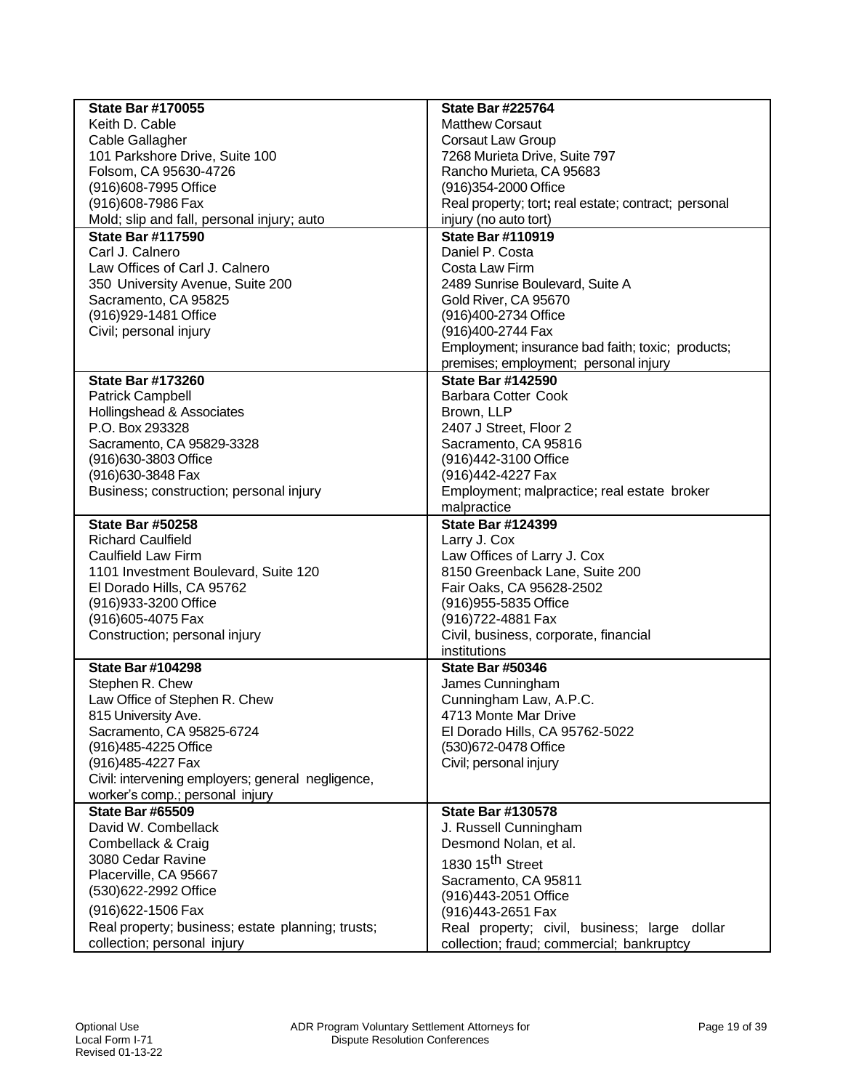| <b>State Bar #170055</b>                          | <b>State Bar #225764</b>                             |
|---------------------------------------------------|------------------------------------------------------|
| Keith D. Cable                                    | <b>Matthew Corsaut</b>                               |
| Cable Gallagher                                   | <b>Corsaut Law Group</b>                             |
| 101 Parkshore Drive, Suite 100                    | 7268 Murieta Drive, Suite 797                        |
| Folsom, CA 95630-4726                             | Rancho Murieta, CA 95683                             |
| (916) 608-7995 Office                             | (916)354-2000 Office                                 |
| (916) 608-7986 Fax                                | Real property; tort; real estate; contract; personal |
| Mold; slip and fall, personal injury; auto        | injury (no auto tort)                                |
| <b>State Bar #117590</b>                          | <b>State Bar #110919</b>                             |
| Carl J. Calnero                                   | Daniel P. Costa                                      |
| Law Offices of Carl J. Calnero                    | Costa Law Firm                                       |
| 350 University Avenue, Suite 200                  | 2489 Sunrise Boulevard, Suite A                      |
| Sacramento, CA 95825                              | Gold River, CA 95670                                 |
| (916) 929-1481 Office                             | (916)400-2734 Office                                 |
| Civil; personal injury                            | (916)400-2744 Fax                                    |
|                                                   | Employment; insurance bad faith; toxic; products;    |
|                                                   | premises; employment; personal injury                |
| <b>State Bar #173260</b>                          | <b>State Bar #142590</b>                             |
| <b>Patrick Campbell</b>                           | <b>Barbara Cotter Cook</b>                           |
| Hollingshead & Associates                         | Brown, LLP                                           |
| P.O. Box 293328                                   | 2407 J Street, Floor 2                               |
| Sacramento, CA 95829-3328                         | Sacramento, CA 95816                                 |
| (916) 630-3803 Office                             | (916)442-3100 Office                                 |
| (916) 630-3848 Fax                                | (916)442-4227 Fax                                    |
| Business; construction; personal injury           | Employment; malpractice; real estate broker          |
|                                                   | malpractice                                          |
| <b>State Bar #50258</b>                           | <b>State Bar #124399</b>                             |
| <b>Richard Caulfield</b>                          | Larry J. Cox                                         |
| <b>Caulfield Law Firm</b>                         | Law Offices of Larry J. Cox                          |
| 1101 Investment Boulevard, Suite 120              | 8150 Greenback Lane, Suite 200                       |
| El Dorado Hills, CA 95762                         | Fair Oaks, CA 95628-2502                             |
| (916) 933-3200 Office                             | (916) 955-5835 Office                                |
| (916) 605-4075 Fax                                | (916) 722-4881 Fax                                   |
| Construction; personal injury                     | Civil, business, corporate, financial                |
|                                                   | institutions                                         |
| <b>State Bar #104298</b>                          | <b>State Bar #50346</b>                              |
| Stephen R. Chew                                   | James Cunningham                                     |
| Law Office of Stephen R. Chew                     | Cunningham Law, A.P.C.                               |
| 815 University Ave.                               | 4713 Monte Mar Drive                                 |
| Sacramento, CA 95825-6724                         | El Dorado Hills, CA 95762-5022                       |
| (916)485-4225 Office                              | (530)672-0478 Office                                 |
| (916) 485-4227 Fax                                | Civil; personal injury                               |
| Civil: intervening employers; general negligence, |                                                      |
| worker's comp.; personal injury                   |                                                      |
| <b>State Bar #65509</b>                           | <b>State Bar #130578</b>                             |
| David W. Combellack                               | J. Russell Cunningham                                |
| Combellack & Craig                                | Desmond Nolan, et al.                                |
| 3080 Cedar Ravine                                 | 1830 15 <sup>th</sup> Street                         |
| Placerville, CA 95667                             |                                                      |
| (530)622-2992 Office                              | Sacramento, CA 95811                                 |
| (916) 622-1506 Fax                                | (916)443-2051 Office                                 |
|                                                   | (916)443-2651 Fax                                    |
| Real property; business; estate planning; trusts; | Real property; civil, business; large dollar         |
| collection; personal injury                       | collection; fraud; commercial; bankruptcy            |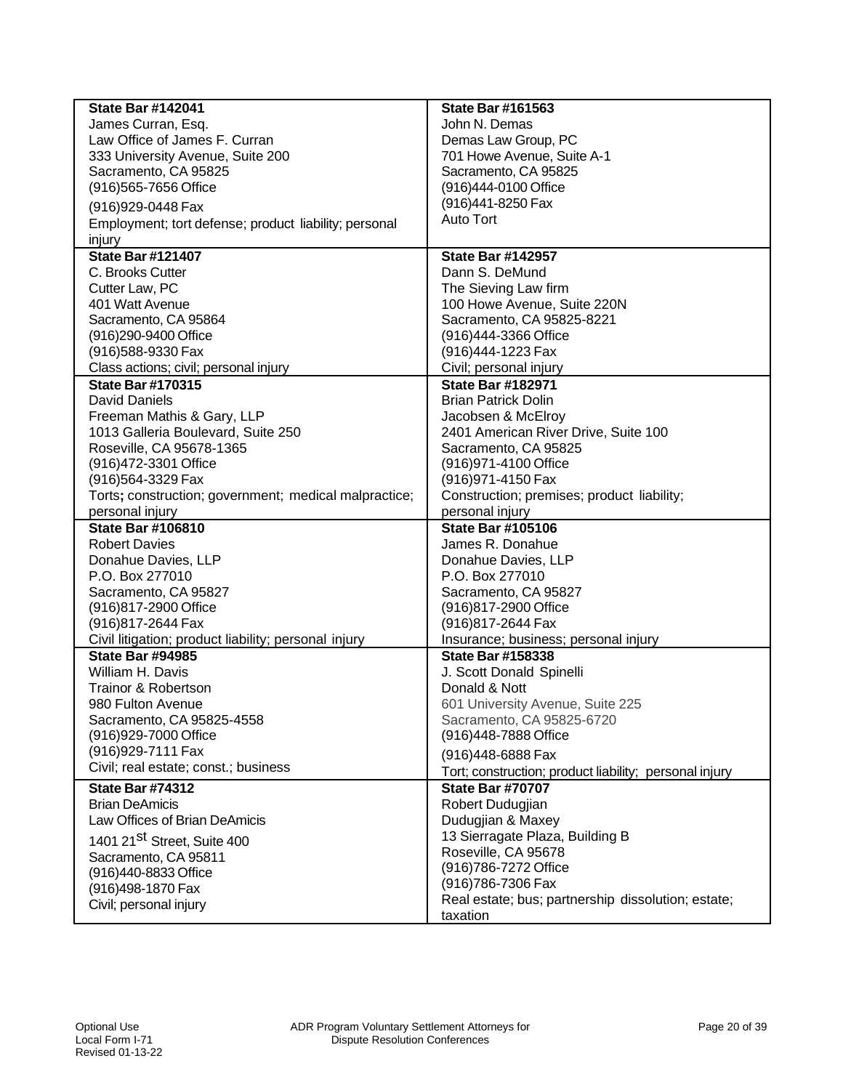| <b>State Bar #142041</b>                              | <b>State Bar #161563</b>                                       |
|-------------------------------------------------------|----------------------------------------------------------------|
| James Curran, Esq.                                    | John N. Demas                                                  |
| Law Office of James F. Curran                         | Demas Law Group, PC                                            |
| 333 University Avenue, Suite 200                      | 701 Howe Avenue, Suite A-1                                     |
| Sacramento, CA 95825                                  | Sacramento, CA 95825                                           |
| (916) 565-7656 Office                                 | (916)444-0100 Office                                           |
| (916) 929-0448 Fax                                    | (916)441-8250 Fax                                              |
| Employment; tort defense; product liability; personal | Auto Tort                                                      |
| injury                                                |                                                                |
| <b>State Bar #121407</b>                              | <b>State Bar #142957</b>                                       |
| C. Brooks Cutter                                      | Dann S. DeMund                                                 |
| Cutter Law, PC                                        | The Sieving Law firm                                           |
| 401 Watt Avenue                                       | 100 Howe Avenue, Suite 220N                                    |
| Sacramento, CA 95864                                  | Sacramento, CA 95825-8221                                      |
| (916)290-9400 Office                                  | (916)444-3366 Office                                           |
| (916) 588-9330 Fax                                    | (916)444-1223 Fax                                              |
| Class actions; civil; personal injury                 | Civil; personal injury                                         |
| <b>State Bar #170315</b>                              | <b>State Bar #182971</b>                                       |
| David Daniels                                         | <b>Brian Patrick Dolin</b>                                     |
| Freeman Mathis & Gary, LLP                            | Jacobsen & McElroy                                             |
| 1013 Galleria Boulevard, Suite 250                    | 2401 American River Drive, Suite 100                           |
| Roseville, CA 95678-1365                              | Sacramento, CA 95825                                           |
| (916) 472-3301 Office                                 | (916) 971-4100 Office                                          |
| (916)564-3329 Fax                                     | (916) 971-4150 Fax                                             |
| Torts; construction; government; medical malpractice; | Construction; premises; product liability;                     |
| personal injury                                       | personal injury                                                |
| <b>State Bar #106810</b>                              | <b>State Bar #105106</b>                                       |
| <b>Robert Davies</b>                                  | James R. Donahue                                               |
| Donahue Davies, LLP                                   | Donahue Davies, LLP                                            |
| P.O. Box 277010                                       | P.O. Box 277010                                                |
| Sacramento, CA 95827                                  | Sacramento, CA 95827                                           |
| (916)817-2900 Office                                  | (916)817-2900 Office                                           |
| (916) 817-2644 Fax                                    | (916)817-2644 Fax                                              |
| Civil litigation; product liability; personal injury  | Insurance; business; personal injury                           |
| <b>State Bar #94985</b>                               | <b>State Bar #158338</b>                                       |
| William H. Davis                                      | J. Scott Donald Spinelli                                       |
| <b>Trainor &amp; Robertson</b>                        | Donald & Nott                                                  |
| 980 Fulton Avenue                                     | 601 University Avenue, Suite 225                               |
| Sacramento, CA 95825-4558                             | Sacramento, CA 95825-6720                                      |
| (916) 929-7000 Office<br>(916) 929-7111 Fax           | (916)448-7888 Office                                           |
| Civil; real estate; const.; business                  | (916)448-6888 Fax                                              |
|                                                       | Tort; construction; product liability; personal injury         |
|                                                       |                                                                |
| <b>State Bar #74312</b>                               | <b>State Bar #70707</b>                                        |
| <b>Brian DeAmicis</b>                                 | Robert Dudugjian                                               |
| Law Offices of Brian DeAmicis                         | Dudugjian & Maxey                                              |
| 1401 21 <sup>St</sup> Street, Suite 400               | 13 Sierragate Plaza, Building B                                |
| Sacramento, CA 95811                                  | Roseville, CA 95678                                            |
| (916)440-8833 Office                                  | (916) 786-7272 Office                                          |
| (916)498-1870 Fax                                     | (916)786-7306 Fax                                              |
| Civil; personal injury                                | Real estate; bus; partnership dissolution; estate;<br>taxation |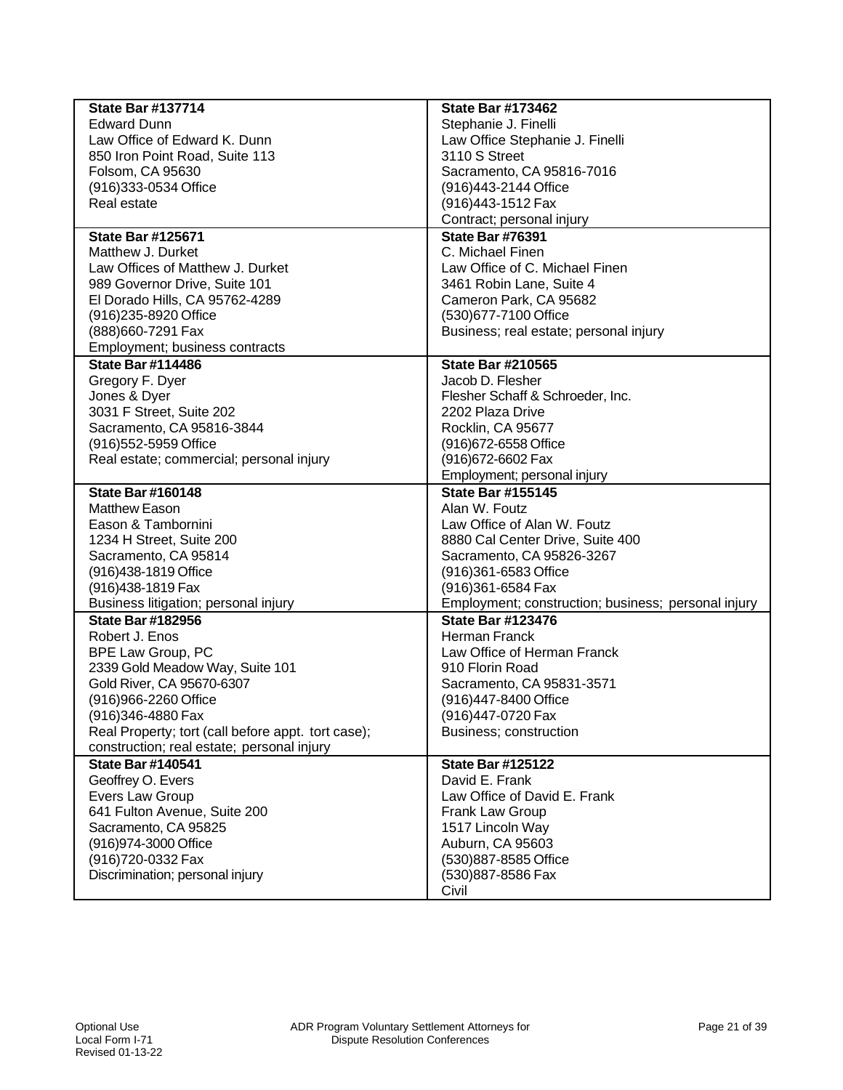| <b>State Bar #137714</b>                           | <b>State Bar #173462</b>                            |
|----------------------------------------------------|-----------------------------------------------------|
| <b>Edward Dunn</b>                                 | Stephanie J. Finelli                                |
| Law Office of Edward K. Dunn                       | Law Office Stephanie J. Finelli                     |
| 850 Iron Point Road, Suite 113                     | 3110 S Street                                       |
| Folsom, CA 95630                                   | Sacramento, CA 95816-7016                           |
| (916) 333-0534 Office                              | (916)443-2144 Office                                |
| Real estate                                        | (916)443-1512 Fax                                   |
|                                                    | Contract; personal injury                           |
| <b>State Bar #125671</b>                           | <b>State Bar #76391</b>                             |
| Matthew J. Durket                                  | C. Michael Finen                                    |
| Law Offices of Matthew J. Durket                   | Law Office of C. Michael Finen                      |
| 989 Governor Drive, Suite 101                      | 3461 Robin Lane, Suite 4                            |
| El Dorado Hills, CA 95762-4289                     | Cameron Park, CA 95682                              |
| (916)235-8920 Office                               | (530)677-7100 Office                                |
| (888) 660-7291 Fax                                 | Business; real estate; personal injury              |
| Employment; business contracts                     |                                                     |
| <b>State Bar #114486</b>                           | <b>State Bar #210565</b>                            |
| Gregory F. Dyer                                    | Jacob D. Flesher                                    |
| Jones & Dyer                                       | Flesher Schaff & Schroeder, Inc.                    |
| 3031 F Street, Suite 202                           | 2202 Plaza Drive                                    |
| Sacramento, CA 95816-3844                          | Rocklin, CA 95677                                   |
| (916) 552-5959 Office                              | (916) 672-6558 Office                               |
| Real estate; commercial; personal injury           | (916) 672-6602 Fax                                  |
|                                                    | Employment; personal injury                         |
| <b>State Bar #160148</b>                           | <b>State Bar #155145</b>                            |
| <b>Matthew Eason</b>                               | Alan W. Foutz                                       |
| Eason & Tambornini                                 | Law Office of Alan W. Foutz                         |
| 1234 H Street, Suite 200                           | 8880 Cal Center Drive, Suite 400                    |
| Sacramento, CA 95814                               | Sacramento, CA 95826-3267                           |
| (916)438-1819 Office                               | (916)361-6583 Office                                |
| (916) 438-1819 Fax                                 | (916)361-6584 Fax                                   |
| Business litigation; personal injury               | Employment; construction; business; personal injury |
| <b>State Bar #182956</b>                           | <b>State Bar #123476</b>                            |
| Robert J. Enos                                     | <b>Herman Franck</b>                                |
| BPE Law Group, PC                                  | Law Office of Herman Franck                         |
| 2339 Gold Meadow Way, Suite 101                    | 910 Florin Road                                     |
| Gold River, CA 95670-6307                          | Sacramento, CA 95831-3571                           |
| (916)966-2260 Office                               | (916)447-8400 Office                                |
| (916)346-4880 Fax                                  | (916)447-0720 Fax                                   |
| Real Property; tort (call before appt. tort case); | Business; construction                              |
| construction; real estate; personal injury         |                                                     |
| <b>State Bar #140541</b>                           | <b>State Bar #125122</b>                            |
| Geoffrey O. Evers                                  | David E. Frank                                      |
| Evers Law Group                                    | Law Office of David E. Frank                        |
| 641 Fulton Avenue, Suite 200                       | Frank Law Group                                     |
| Sacramento, CA 95825                               | 1517 Lincoln Way                                    |
| (916)974-3000 Office                               | Auburn, CA 95603                                    |
| (916) 720-0332 Fax                                 | (530)887-8585 Office                                |
| Discrimination; personal injury                    | (530)887-8586 Fax                                   |
|                                                    | Civil                                               |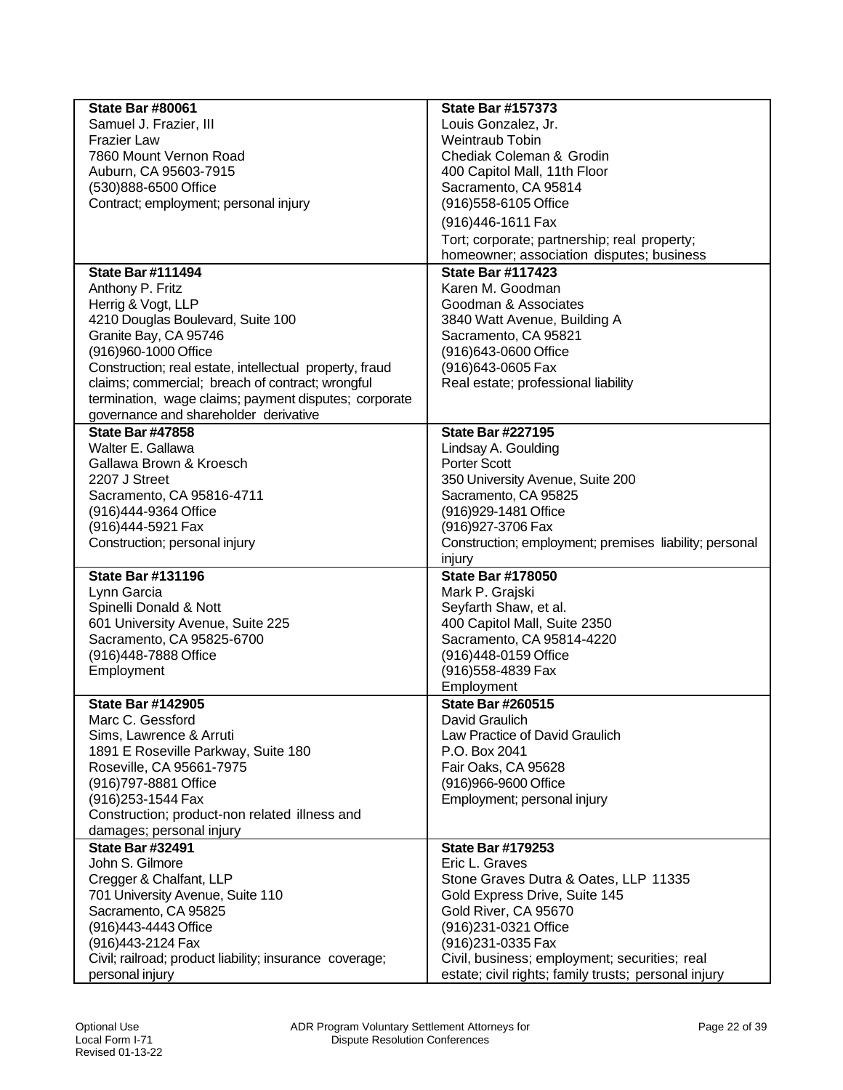| <b>State Bar #80061</b>                                    | <b>State Bar #157373</b>                               |
|------------------------------------------------------------|--------------------------------------------------------|
| Samuel J. Frazier, III                                     | Louis Gonzalez, Jr.                                    |
| <b>Frazier Law</b>                                         | Weintraub Tobin                                        |
| 7860 Mount Vernon Road                                     | Chediak Coleman & Grodin                               |
| Auburn, CA 95603-7915                                      | 400 Capitol Mall, 11th Floor                           |
| (530)888-6500 Office                                       | Sacramento, CA 95814                                   |
| Contract; employment; personal injury                      | (916) 558-6105 Office                                  |
|                                                            | (916)446-1611 Fax                                      |
|                                                            | Tort; corporate; partnership; real property;           |
|                                                            | homeowner; association disputes; business              |
| <b>State Bar #111494</b>                                   | <b>State Bar #117423</b>                               |
| Anthony P. Fritz                                           | Karen M. Goodman                                       |
| Herrig & Vogt, LLP                                         | Goodman & Associates                                   |
| 4210 Douglas Boulevard, Suite 100                          | 3840 Watt Avenue, Building A                           |
| Granite Bay, CA 95746                                      | Sacramento, CA 95821                                   |
| (916)960-1000 Office                                       | (916)643-0600 Office                                   |
| Construction; real estate, intellectual property, fraud    | (916)643-0605 Fax                                      |
| claims; commercial; breach of contract; wrongful           | Real estate; professional liability                    |
| termination, wage claims; payment disputes; corporate      |                                                        |
| governance and shareholder derivative                      |                                                        |
| <b>State Bar #47858</b>                                    | <b>State Bar #227195</b>                               |
| Walter E. Gallawa                                          | Lindsay A. Goulding                                    |
| Gallawa Brown & Kroesch                                    | <b>Porter Scott</b>                                    |
| 2207 J Street                                              | 350 University Avenue, Suite 200                       |
| Sacramento, CA 95816-4711                                  | Sacramento, CA 95825                                   |
| (916)444-9364 Office                                       | (916) 929-1481 Office                                  |
| (916)444-5921 Fax                                          | (916) 927-3706 Fax                                     |
| Construction; personal injury                              | Construction; employment; premises liability; personal |
| <b>State Bar #131196</b>                                   | injury<br><b>State Bar #178050</b>                     |
|                                                            | Mark P. Grajski                                        |
| Lynn Garcia                                                |                                                        |
| Spinelli Donald & Nott<br>601 University Avenue, Suite 225 | Seyfarth Shaw, et al.<br>400 Capitol Mall, Suite 2350  |
| Sacramento, CA 95825-6700                                  | Sacramento, CA 95814-4220                              |
| (916)448-7888 Office                                       | (916)448-0159 Office                                   |
| Employment                                                 | (916) 558-4839 Fax                                     |
|                                                            | Employment                                             |
| <b>State Bar #142905</b>                                   | <b>State Bar #260515</b>                               |
| Marc C. Gessford                                           | David Graulich                                         |
| Sims, Lawrence & Arruti                                    | Law Practice of David Graulich                         |
| 1891 E Roseville Parkway, Suite 180                        | P.O. Box 2041                                          |
| Roseville, CA 95661-7975                                   | Fair Oaks, CA 95628                                    |
| (916) 797-8881 Office                                      | (916)966-9600 Office                                   |
| (916) 253-1544 Fax                                         | Employment; personal injury                            |
| Construction; product-non related illness and              |                                                        |
| damages; personal injury                                   |                                                        |
| <b>State Bar #32491</b>                                    | <b>State Bar #179253</b>                               |
| John S. Gilmore                                            | Eric L. Graves                                         |
| Cregger & Chalfant, LLP                                    | Stone Graves Dutra & Oates, LLP 11335                  |
| 701 University Avenue, Suite 110                           | Gold Express Drive, Suite 145                          |
| Sacramento, CA 95825                                       | Gold River, CA 95670                                   |
| (916)443-4443 Office                                       | (916)231-0321 Office                                   |
| (916)443-2124 Fax                                          | (916) 231-0335 Fax                                     |
| Civil; railroad; product liability; insurance coverage;    | Civil, business; employment; securities; real          |
| personal injury                                            | estate; civil rights; family trusts; personal injury   |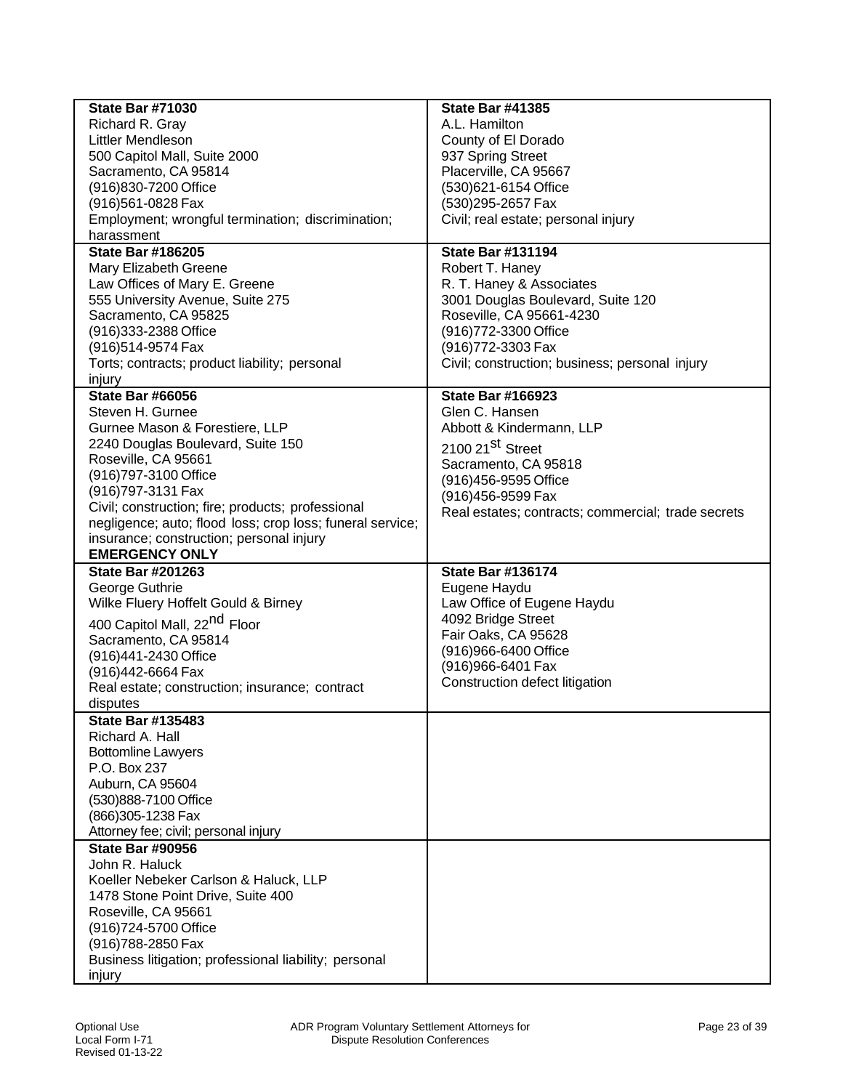| Richard R. Gray<br>A.L. Hamilton                                                                        |  |
|---------------------------------------------------------------------------------------------------------|--|
| Littler Mendleson<br>County of El Dorado                                                                |  |
| 937 Spring Street<br>500 Capitol Mall, Suite 2000                                                       |  |
| Placerville, CA 95667<br>Sacramento, CA 95814                                                           |  |
| (916)830-7200 Office<br>(530)621-6154 Office                                                            |  |
| (916)561-0828 Fax<br>(530) 295-2657 Fax                                                                 |  |
| Employment; wrongful termination; discrimination;<br>Civil; real estate; personal injury                |  |
| harassment                                                                                              |  |
| <b>State Bar #131194</b><br><b>State Bar #186205</b>                                                    |  |
| Robert T. Haney<br>Mary Elizabeth Greene                                                                |  |
| Law Offices of Mary E. Greene<br>R. T. Haney & Associates                                               |  |
| 555 University Avenue, Suite 275<br>3001 Douglas Boulevard, Suite 120                                   |  |
| Roseville, CA 95661-4230<br>Sacramento, CA 95825                                                        |  |
| (916) 772-3300 Office<br>(916)333-2388 Office                                                           |  |
| (916) 772-3303 Fax<br>(916)514-9574 Fax                                                                 |  |
| Civil; construction; business; personal injury<br>Torts; contracts; product liability; personal         |  |
| injury                                                                                                  |  |
| <b>State Bar #66056</b><br><b>State Bar #166923</b>                                                     |  |
| Glen C. Hansen<br>Steven H. Gurnee                                                                      |  |
| Gurnee Mason & Forestiere, LLP<br>Abbott & Kindermann, LLP                                              |  |
| 2240 Douglas Boulevard, Suite 150<br>2100 21 <sup>St</sup> Street                                       |  |
| Roseville, CA 95661<br>Sacramento, CA 95818                                                             |  |
| (916)797-3100 Office<br>(916)456-9595 Office                                                            |  |
| (916)797-3131 Fax<br>(916)456-9599 Fax                                                                  |  |
| Civil; construction; fire; products; professional<br>Real estates; contracts; commercial; trade secrets |  |
| negligence; auto; flood loss; crop loss; funeral service;                                               |  |
| insurance; construction; personal injury                                                                |  |
| <b>EMERGENCY ONLY</b>                                                                                   |  |
| <b>State Bar #201263</b><br><b>State Bar #136174</b>                                                    |  |
| George Guthrie<br>Eugene Haydu                                                                          |  |
| Wilke Fluery Hoffelt Gould & Birney<br>Law Office of Eugene Haydu                                       |  |
| 4092 Bridge Street<br>400 Capitol Mall, 22 <sup>nd</sup> Floor                                          |  |
| Fair Oaks, CA 95628<br>Sacramento, CA 95814                                                             |  |
| (916)966-6400 Office<br>(916)441-2430 Office                                                            |  |
| (916) 966-6401 Fax<br>(916)442-6664 Fax                                                                 |  |
| Construction defect litigation<br>Real estate; construction; insurance; contract                        |  |
| disputes                                                                                                |  |
| <b>State Bar #135483</b>                                                                                |  |
| Richard A. Hall                                                                                         |  |
| <b>Bottomline Lawyers</b>                                                                               |  |
| P.O. Box 237                                                                                            |  |
| Auburn, CA 95604                                                                                        |  |
| (530)888-7100 Office                                                                                    |  |
| (866) 305-1238 Fax                                                                                      |  |
| Attorney fee; civil; personal injury                                                                    |  |
| <b>State Bar #90956</b>                                                                                 |  |
| John R. Haluck                                                                                          |  |
| Koeller Nebeker Carlson & Haluck, LLP                                                                   |  |
| 1478 Stone Point Drive, Suite 400                                                                       |  |
| Roseville, CA 95661                                                                                     |  |
| (916)724-5700 Office                                                                                    |  |
| (916)788-2850 Fax                                                                                       |  |
| Business litigation; professional liability; personal                                                   |  |
| injury                                                                                                  |  |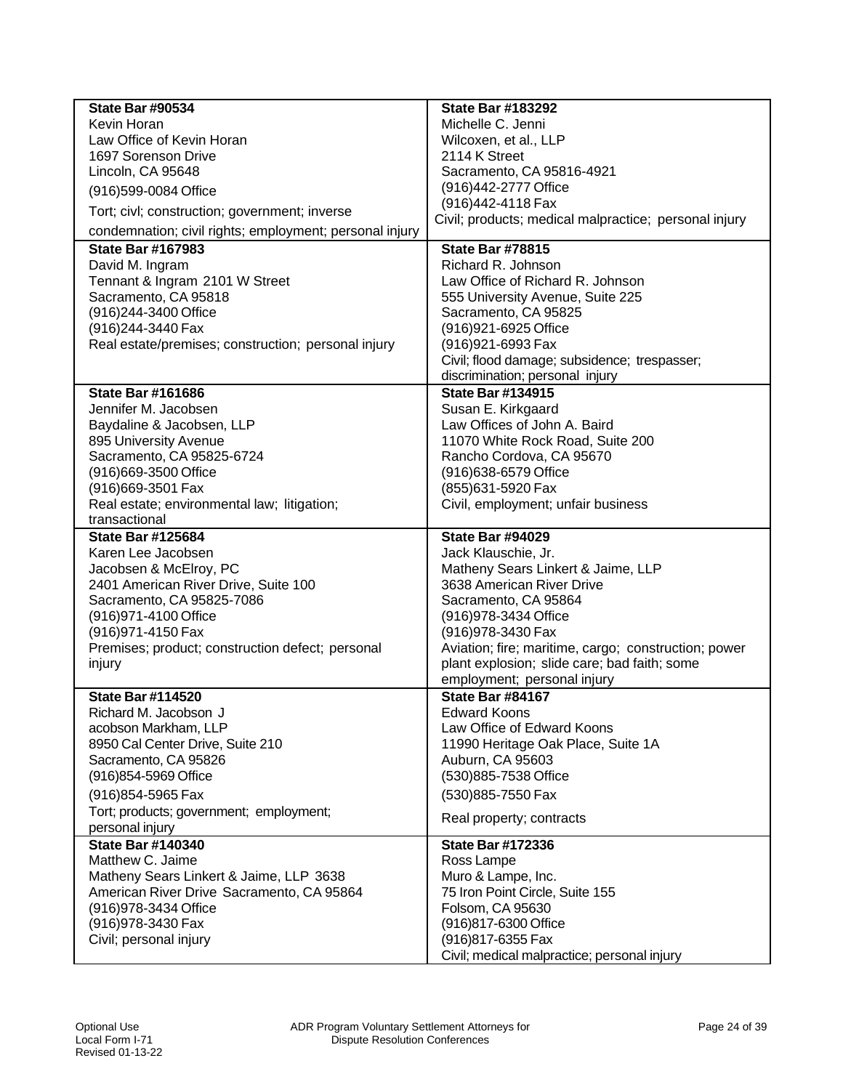| <b>State Bar #90534</b>                                            | <b>State Bar #183292</b>                                                    |
|--------------------------------------------------------------------|-----------------------------------------------------------------------------|
| Kevin Horan                                                        | Michelle C. Jenni                                                           |
| Law Office of Kevin Horan                                          | Wilcoxen, et al., LLP                                                       |
| 1697 Sorenson Drive                                                | 2114 K Street                                                               |
| Lincoln, CA 95648                                                  | Sacramento, CA 95816-4921                                                   |
| (916)599-0084 Office                                               | (916)442-2777 Office                                                        |
| Tort; civl; construction; government; inverse                      | (916)442-4118 Fax                                                           |
| condemnation; civil rights; employment; personal injury            | Civil; products; medical malpractice; personal injury                       |
| <b>State Bar #167983</b>                                           | <b>State Bar #78815</b>                                                     |
| David M. Ingram                                                    | Richard R. Johnson                                                          |
| Tennant & Ingram 2101 W Street                                     | Law Office of Richard R. Johnson                                            |
| Sacramento, CA 95818                                               | 555 University Avenue, Suite 225                                            |
| (916)244-3400 Office                                               | Sacramento, CA 95825                                                        |
| (916) 244-3440 Fax                                                 | (916) 921-6925 Office                                                       |
| Real estate/premises; construction; personal injury                | (916) 921-6993 Fax<br>Civil; flood damage; subsidence; trespasser;          |
|                                                                    | discrimination; personal injury                                             |
| <b>State Bar #161686</b>                                           | <b>State Bar #134915</b>                                                    |
| Jennifer M. Jacobsen                                               | Susan E. Kirkgaard                                                          |
| Baydaline & Jacobsen, LLP                                          | Law Offices of John A. Baird                                                |
| 895 University Avenue                                              | 11070 White Rock Road, Suite 200                                            |
| Sacramento, CA 95825-6724                                          | Rancho Cordova, CA 95670                                                    |
| (916)669-3500 Office                                               | (916)638-6579 Office                                                        |
| (916)669-3501 Fax                                                  | (855)631-5920 Fax                                                           |
| Real estate; environmental law; litigation;                        | Civil, employment; unfair business                                          |
| transactional                                                      |                                                                             |
| <b>State Bar #125684</b>                                           | <b>State Bar #94029</b>                                                     |
| Karen Lee Jacobsen                                                 | Jack Klauschie, Jr.                                                         |
|                                                                    |                                                                             |
| Jacobsen & McElroy, PC                                             | Matheny Sears Linkert & Jaime, LLP                                          |
| 2401 American River Drive, Suite 100                               | 3638 American River Drive                                                   |
| Sacramento, CA 95825-7086                                          | Sacramento, CA 95864                                                        |
| (916) 971-4100 Office                                              | (916) 978-3434 Office                                                       |
| (916) 971-4150 Fax                                                 | (916) 978-3430 Fax                                                          |
| Premises; product; construction defect; personal                   | Aviation; fire; maritime, cargo; construction; power                        |
| injury                                                             | plant explosion; slide care; bad faith; some<br>employment; personal injury |
| <b>State Bar #114520</b>                                           | <b>State Bar #84167</b>                                                     |
| Richard M. Jacobson J                                              | <b>Edward Koons</b>                                                         |
| acobson Markham, LLP                                               | Law Office of Edward Koons                                                  |
| 8950 Cal Center Drive, Suite 210                                   | 11990 Heritage Oak Place, Suite 1A                                          |
| Sacramento, CA 95826                                               | Auburn, CA 95603                                                            |
| (916) 854-5969 Office                                              | (530)885-7538 Office                                                        |
| (916) 854-5965 Fax                                                 | (530) 885-7550 Fax                                                          |
| Tort; products; government; employment;                            | Real property; contracts                                                    |
| personal injury                                                    |                                                                             |
| <b>State Bar #140340</b>                                           | <b>State Bar #172336</b>                                                    |
| Matthew C. Jaime                                                   | Ross Lampe                                                                  |
| Matheny Sears Linkert & Jaime, LLP 3638                            | Muro & Lampe, Inc.                                                          |
| American River Drive Sacramento, CA 95864<br>(916) 978-3434 Office | 75 Iron Point Circle, Suite 155<br>Folsom, CA 95630                         |
| (916) 978-3430 Fax                                                 | (916)817-6300 Office                                                        |
| Civil; personal injury                                             | (916) 817-6355 Fax                                                          |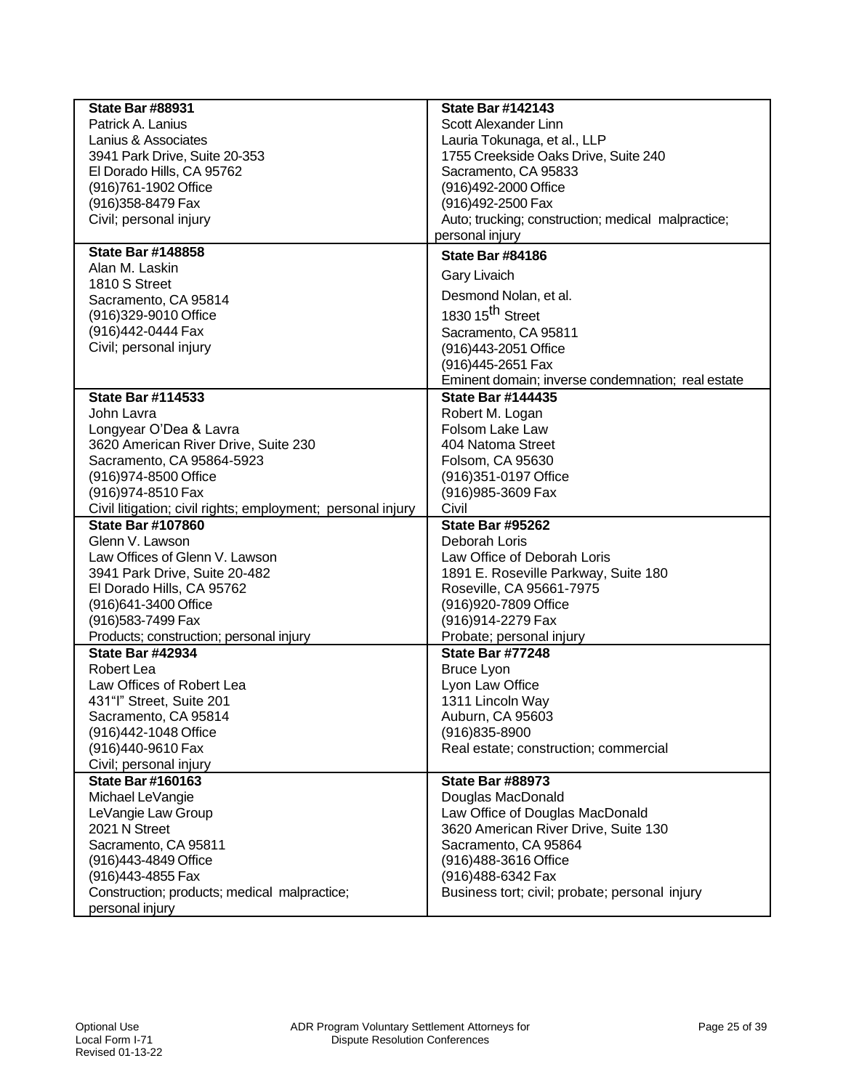| <b>State Bar #88931</b>                                     | <b>State Bar #142143</b>                           |
|-------------------------------------------------------------|----------------------------------------------------|
| Patrick A. Lanius                                           | Scott Alexander Linn                               |
| Lanius & Associates                                         | Lauria Tokunaga, et al., LLP                       |
| 3941 Park Drive, Suite 20-353                               | 1755 Creekside Oaks Drive, Suite 240               |
| El Dorado Hills, CA 95762                                   | Sacramento, CA 95833                               |
| (916)761-1902 Office                                        | (916)492-2000 Office                               |
| (916) 358-8479 Fax                                          | (916)492-2500 Fax                                  |
| Civil; personal injury                                      | Auto; trucking; construction; medical malpractice; |
|                                                             | personal injury                                    |
| <b>State Bar #148858</b>                                    | <b>State Bar #84186</b>                            |
| Alan M. Laskin                                              | <b>Gary Livaich</b>                                |
| 1810 S Street                                               | Desmond Nolan, et al.                              |
| Sacramento, CA 95814                                        | 1830 15 <sup>th</sup> Street                       |
| (916)329-9010 Office                                        |                                                    |
| (916)442-0444 Fax                                           | Sacramento, CA 95811                               |
| Civil; personal injury                                      | (916)443-2051 Office                               |
|                                                             | (916)445-2651 Fax                                  |
|                                                             | Eminent domain; inverse condemnation; real estate  |
| <b>State Bar #114533</b>                                    | <b>State Bar #144435</b>                           |
| John Lavra                                                  | Robert M. Logan                                    |
| Longyear O'Dea & Lavra                                      | Folsom Lake Law                                    |
| 3620 American River Drive, Suite 230                        | 404 Natoma Street                                  |
| Sacramento, CA 95864-5923                                   | Folsom, CA 95630                                   |
| (916) 974-8500 Office                                       | (916) 351-0197 Office                              |
| (916) 974-8510 Fax                                          | (916) 985-3609 Fax                                 |
| Civil litigation; civil rights; employment; personal injury | Civil                                              |
| <b>State Bar #107860</b>                                    | <b>State Bar #95262</b>                            |
| Glenn V. Lawson                                             | Deborah Loris                                      |
| Law Offices of Glenn V. Lawson                              | Law Office of Deborah Loris                        |
| 3941 Park Drive, Suite 20-482                               | 1891 E. Roseville Parkway, Suite 180               |
| El Dorado Hills, CA 95762                                   | Roseville, CA 95661-7975                           |
| (916)641-3400 Office                                        | (916)920-7809 Office                               |
| (916) 583-7499 Fax                                          | (916)914-2279 Fax                                  |
| Products; construction; personal injury                     | Probate; personal injury                           |
| <b>State Bar #42934</b>                                     | <b>State Bar #77248</b>                            |
| Robert Lea                                                  | <b>Bruce Lyon</b>                                  |
| Law Offices of Robert Lea                                   | Lyon Law Office                                    |
| 431"I" Street, Suite 201                                    | 1311 Lincoln Way                                   |
| Sacramento, CA 95814                                        | Auburn, CA 95603                                   |
| (916)442-1048 Office                                        | $(916)835 - 8900$                                  |
| (916)440-9610 Fax                                           | Real estate; construction; commercial              |
| Civil; personal injury                                      |                                                    |
| <b>State Bar #160163</b>                                    | <b>State Bar #88973</b>                            |
| Michael LeVangie                                            | Douglas MacDonald                                  |
| LeVangie Law Group                                          | Law Office of Douglas MacDonald                    |
| 2021 N Street                                               | 3620 American River Drive, Suite 130               |
| Sacramento, CA 95811                                        | Sacramento, CA 95864                               |
| (916)443-4849 Office                                        | (916)488-3616 Office                               |
| (916)443-4855 Fax                                           | (916)488-6342 Fax                                  |
| Construction; products; medical malpractice;                | Business tort; civil; probate; personal injury     |
| personal injury                                             |                                                    |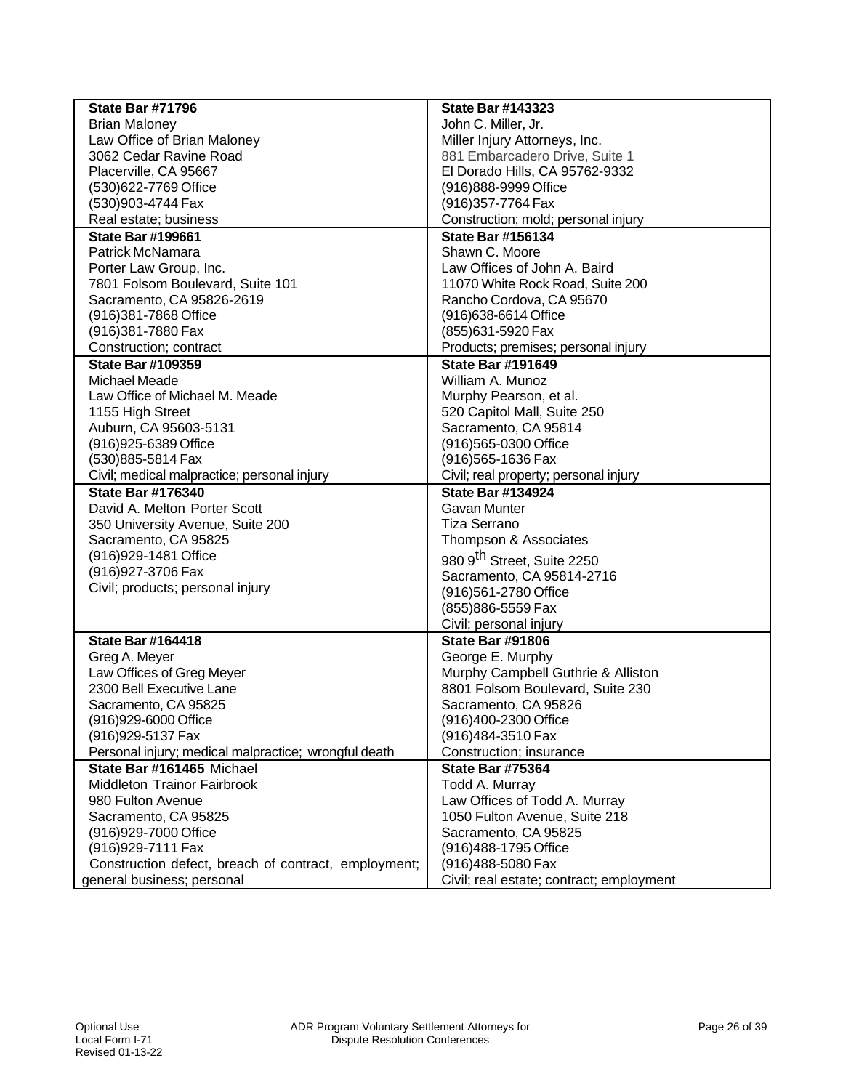| John C. Miller, Jr.<br><b>Brian Maloney</b><br>Law Office of Brian Maloney<br>Miller Injury Attorneys, Inc.<br>881 Embarcadero Drive, Suite 1<br>3062 Cedar Ravine Road<br>Placerville, CA 95667<br>El Dorado Hills, CA 95762-9332<br>(530)622-7769 Office<br>(916)888-9999 Office<br>(916) 357-7764 Fax<br>(530)903-4744 Fax<br>Real estate; business<br>Construction; mold; personal injury<br><b>State Bar #156134</b><br><b>State Bar #199661</b><br>Shawn C. Moore<br>Patrick McNamara<br>Law Offices of John A. Baird<br>Porter Law Group, Inc.<br>7801 Folsom Boulevard, Suite 101<br>11070 White Rock Road, Suite 200<br>Sacramento, CA 95826-2619<br>Rancho Cordova, CA 95670<br>(916)381-7868 Office<br>(916) 638-6614 Office<br>(916)381-7880 Fax<br>(855)631-5920 Fax<br>Construction; contract<br>Products; premises; personal injury<br><b>State Bar #191649</b><br><b>State Bar #109359</b><br>Michael Meade<br>William A. Munoz<br>Law Office of Michael M. Meade<br>Murphy Pearson, et al.<br>1155 High Street<br>520 Capitol Mall, Suite 250<br>Auburn, CA 95603-5131<br>Sacramento, CA 95814<br>(916)565-0300 Office<br>(916) 925-6389 Office<br>(530)885-5814 Fax<br>(916) 565-1636 Fax<br>Civil; medical malpractice; personal injury<br>Civil; real property; personal injury<br><b>State Bar #176340</b><br><b>State Bar #134924</b><br>David A. Melton Porter Scott<br>Gavan Munter<br>350 University Avenue, Suite 200<br><b>Tiza Serrano</b><br>Sacramento, CA 95825<br>Thompson & Associates<br>(916) 929-1481 Office<br>980 9 <sup>th</sup> Street, Suite 2250<br>(916) 927-3706 Fax<br>Sacramento, CA 95814-2716<br>Civil; products; personal injury<br>(916)561-2780 Office<br>(855) 886-5559 Fax<br>Civil; personal injury<br><b>State Bar #164418</b><br><b>State Bar #91806</b><br>Greg A. Meyer<br>George E. Murphy<br>Law Offices of Greg Meyer<br>Murphy Campbell Guthrie & Alliston<br>2300 Bell Executive Lane<br>8801 Folsom Boulevard, Suite 230<br>Sacramento, CA 95826<br>Sacramento, CA 95825<br>(916)929-6000 Office<br>(916)400-2300 Office<br>(916) 929-5137 Fax<br>(916)484-3510 Fax<br>Personal injury; medical malpractice; wrongful death<br>Construction; insurance<br>State Bar #161465 Michael<br><b>State Bar #75364</b><br>Middleton Trainor Fairbrook<br>Todd A. Murray<br>980 Fulton Avenue<br>Law Offices of Todd A. Murray<br>1050 Fulton Avenue, Suite 218<br>Sacramento, CA 95825<br>(916) 929-7000 Office<br>Sacramento, CA 95825<br>(916) 929-7111 Fax<br>(916) 488-1795 Office<br>Construction defect, breach of contract, employment;<br>(916)488-5080 Fax | <b>State Bar #71796</b>    | <b>State Bar #143323</b>                 |
|-----------------------------------------------------------------------------------------------------------------------------------------------------------------------------------------------------------------------------------------------------------------------------------------------------------------------------------------------------------------------------------------------------------------------------------------------------------------------------------------------------------------------------------------------------------------------------------------------------------------------------------------------------------------------------------------------------------------------------------------------------------------------------------------------------------------------------------------------------------------------------------------------------------------------------------------------------------------------------------------------------------------------------------------------------------------------------------------------------------------------------------------------------------------------------------------------------------------------------------------------------------------------------------------------------------------------------------------------------------------------------------------------------------------------------------------------------------------------------------------------------------------------------------------------------------------------------------------------------------------------------------------------------------------------------------------------------------------------------------------------------------------------------------------------------------------------------------------------------------------------------------------------------------------------------------------------------------------------------------------------------------------------------------------------------------------------------------------------------------------------------------------------------------------------------------------------------------------------------------------------------------------------------------------------------------------------------------------------------------------------------------------------------------------------------------------------------------------------------------------------------------------------------------------------------------------------------------------------------------------------------|----------------------------|------------------------------------------|
|                                                                                                                                                                                                                                                                                                                                                                                                                                                                                                                                                                                                                                                                                                                                                                                                                                                                                                                                                                                                                                                                                                                                                                                                                                                                                                                                                                                                                                                                                                                                                                                                                                                                                                                                                                                                                                                                                                                                                                                                                                                                                                                                                                                                                                                                                                                                                                                                                                                                                                                                                                                                                             |                            |                                          |
|                                                                                                                                                                                                                                                                                                                                                                                                                                                                                                                                                                                                                                                                                                                                                                                                                                                                                                                                                                                                                                                                                                                                                                                                                                                                                                                                                                                                                                                                                                                                                                                                                                                                                                                                                                                                                                                                                                                                                                                                                                                                                                                                                                                                                                                                                                                                                                                                                                                                                                                                                                                                                             |                            |                                          |
|                                                                                                                                                                                                                                                                                                                                                                                                                                                                                                                                                                                                                                                                                                                                                                                                                                                                                                                                                                                                                                                                                                                                                                                                                                                                                                                                                                                                                                                                                                                                                                                                                                                                                                                                                                                                                                                                                                                                                                                                                                                                                                                                                                                                                                                                                                                                                                                                                                                                                                                                                                                                                             |                            |                                          |
|                                                                                                                                                                                                                                                                                                                                                                                                                                                                                                                                                                                                                                                                                                                                                                                                                                                                                                                                                                                                                                                                                                                                                                                                                                                                                                                                                                                                                                                                                                                                                                                                                                                                                                                                                                                                                                                                                                                                                                                                                                                                                                                                                                                                                                                                                                                                                                                                                                                                                                                                                                                                                             |                            |                                          |
|                                                                                                                                                                                                                                                                                                                                                                                                                                                                                                                                                                                                                                                                                                                                                                                                                                                                                                                                                                                                                                                                                                                                                                                                                                                                                                                                                                                                                                                                                                                                                                                                                                                                                                                                                                                                                                                                                                                                                                                                                                                                                                                                                                                                                                                                                                                                                                                                                                                                                                                                                                                                                             |                            |                                          |
|                                                                                                                                                                                                                                                                                                                                                                                                                                                                                                                                                                                                                                                                                                                                                                                                                                                                                                                                                                                                                                                                                                                                                                                                                                                                                                                                                                                                                                                                                                                                                                                                                                                                                                                                                                                                                                                                                                                                                                                                                                                                                                                                                                                                                                                                                                                                                                                                                                                                                                                                                                                                                             |                            |                                          |
|                                                                                                                                                                                                                                                                                                                                                                                                                                                                                                                                                                                                                                                                                                                                                                                                                                                                                                                                                                                                                                                                                                                                                                                                                                                                                                                                                                                                                                                                                                                                                                                                                                                                                                                                                                                                                                                                                                                                                                                                                                                                                                                                                                                                                                                                                                                                                                                                                                                                                                                                                                                                                             |                            |                                          |
|                                                                                                                                                                                                                                                                                                                                                                                                                                                                                                                                                                                                                                                                                                                                                                                                                                                                                                                                                                                                                                                                                                                                                                                                                                                                                                                                                                                                                                                                                                                                                                                                                                                                                                                                                                                                                                                                                                                                                                                                                                                                                                                                                                                                                                                                                                                                                                                                                                                                                                                                                                                                                             |                            |                                          |
|                                                                                                                                                                                                                                                                                                                                                                                                                                                                                                                                                                                                                                                                                                                                                                                                                                                                                                                                                                                                                                                                                                                                                                                                                                                                                                                                                                                                                                                                                                                                                                                                                                                                                                                                                                                                                                                                                                                                                                                                                                                                                                                                                                                                                                                                                                                                                                                                                                                                                                                                                                                                                             |                            |                                          |
|                                                                                                                                                                                                                                                                                                                                                                                                                                                                                                                                                                                                                                                                                                                                                                                                                                                                                                                                                                                                                                                                                                                                                                                                                                                                                                                                                                                                                                                                                                                                                                                                                                                                                                                                                                                                                                                                                                                                                                                                                                                                                                                                                                                                                                                                                                                                                                                                                                                                                                                                                                                                                             |                            |                                          |
|                                                                                                                                                                                                                                                                                                                                                                                                                                                                                                                                                                                                                                                                                                                                                                                                                                                                                                                                                                                                                                                                                                                                                                                                                                                                                                                                                                                                                                                                                                                                                                                                                                                                                                                                                                                                                                                                                                                                                                                                                                                                                                                                                                                                                                                                                                                                                                                                                                                                                                                                                                                                                             |                            |                                          |
|                                                                                                                                                                                                                                                                                                                                                                                                                                                                                                                                                                                                                                                                                                                                                                                                                                                                                                                                                                                                                                                                                                                                                                                                                                                                                                                                                                                                                                                                                                                                                                                                                                                                                                                                                                                                                                                                                                                                                                                                                                                                                                                                                                                                                                                                                                                                                                                                                                                                                                                                                                                                                             |                            |                                          |
|                                                                                                                                                                                                                                                                                                                                                                                                                                                                                                                                                                                                                                                                                                                                                                                                                                                                                                                                                                                                                                                                                                                                                                                                                                                                                                                                                                                                                                                                                                                                                                                                                                                                                                                                                                                                                                                                                                                                                                                                                                                                                                                                                                                                                                                                                                                                                                                                                                                                                                                                                                                                                             |                            |                                          |
|                                                                                                                                                                                                                                                                                                                                                                                                                                                                                                                                                                                                                                                                                                                                                                                                                                                                                                                                                                                                                                                                                                                                                                                                                                                                                                                                                                                                                                                                                                                                                                                                                                                                                                                                                                                                                                                                                                                                                                                                                                                                                                                                                                                                                                                                                                                                                                                                                                                                                                                                                                                                                             |                            |                                          |
|                                                                                                                                                                                                                                                                                                                                                                                                                                                                                                                                                                                                                                                                                                                                                                                                                                                                                                                                                                                                                                                                                                                                                                                                                                                                                                                                                                                                                                                                                                                                                                                                                                                                                                                                                                                                                                                                                                                                                                                                                                                                                                                                                                                                                                                                                                                                                                                                                                                                                                                                                                                                                             |                            |                                          |
|                                                                                                                                                                                                                                                                                                                                                                                                                                                                                                                                                                                                                                                                                                                                                                                                                                                                                                                                                                                                                                                                                                                                                                                                                                                                                                                                                                                                                                                                                                                                                                                                                                                                                                                                                                                                                                                                                                                                                                                                                                                                                                                                                                                                                                                                                                                                                                                                                                                                                                                                                                                                                             |                            |                                          |
|                                                                                                                                                                                                                                                                                                                                                                                                                                                                                                                                                                                                                                                                                                                                                                                                                                                                                                                                                                                                                                                                                                                                                                                                                                                                                                                                                                                                                                                                                                                                                                                                                                                                                                                                                                                                                                                                                                                                                                                                                                                                                                                                                                                                                                                                                                                                                                                                                                                                                                                                                                                                                             |                            |                                          |
|                                                                                                                                                                                                                                                                                                                                                                                                                                                                                                                                                                                                                                                                                                                                                                                                                                                                                                                                                                                                                                                                                                                                                                                                                                                                                                                                                                                                                                                                                                                                                                                                                                                                                                                                                                                                                                                                                                                                                                                                                                                                                                                                                                                                                                                                                                                                                                                                                                                                                                                                                                                                                             |                            |                                          |
|                                                                                                                                                                                                                                                                                                                                                                                                                                                                                                                                                                                                                                                                                                                                                                                                                                                                                                                                                                                                                                                                                                                                                                                                                                                                                                                                                                                                                                                                                                                                                                                                                                                                                                                                                                                                                                                                                                                                                                                                                                                                                                                                                                                                                                                                                                                                                                                                                                                                                                                                                                                                                             |                            |                                          |
|                                                                                                                                                                                                                                                                                                                                                                                                                                                                                                                                                                                                                                                                                                                                                                                                                                                                                                                                                                                                                                                                                                                                                                                                                                                                                                                                                                                                                                                                                                                                                                                                                                                                                                                                                                                                                                                                                                                                                                                                                                                                                                                                                                                                                                                                                                                                                                                                                                                                                                                                                                                                                             |                            |                                          |
|                                                                                                                                                                                                                                                                                                                                                                                                                                                                                                                                                                                                                                                                                                                                                                                                                                                                                                                                                                                                                                                                                                                                                                                                                                                                                                                                                                                                                                                                                                                                                                                                                                                                                                                                                                                                                                                                                                                                                                                                                                                                                                                                                                                                                                                                                                                                                                                                                                                                                                                                                                                                                             |                            |                                          |
|                                                                                                                                                                                                                                                                                                                                                                                                                                                                                                                                                                                                                                                                                                                                                                                                                                                                                                                                                                                                                                                                                                                                                                                                                                                                                                                                                                                                                                                                                                                                                                                                                                                                                                                                                                                                                                                                                                                                                                                                                                                                                                                                                                                                                                                                                                                                                                                                                                                                                                                                                                                                                             |                            |                                          |
|                                                                                                                                                                                                                                                                                                                                                                                                                                                                                                                                                                                                                                                                                                                                                                                                                                                                                                                                                                                                                                                                                                                                                                                                                                                                                                                                                                                                                                                                                                                                                                                                                                                                                                                                                                                                                                                                                                                                                                                                                                                                                                                                                                                                                                                                                                                                                                                                                                                                                                                                                                                                                             |                            |                                          |
|                                                                                                                                                                                                                                                                                                                                                                                                                                                                                                                                                                                                                                                                                                                                                                                                                                                                                                                                                                                                                                                                                                                                                                                                                                                                                                                                                                                                                                                                                                                                                                                                                                                                                                                                                                                                                                                                                                                                                                                                                                                                                                                                                                                                                                                                                                                                                                                                                                                                                                                                                                                                                             |                            |                                          |
|                                                                                                                                                                                                                                                                                                                                                                                                                                                                                                                                                                                                                                                                                                                                                                                                                                                                                                                                                                                                                                                                                                                                                                                                                                                                                                                                                                                                                                                                                                                                                                                                                                                                                                                                                                                                                                                                                                                                                                                                                                                                                                                                                                                                                                                                                                                                                                                                                                                                                                                                                                                                                             |                            |                                          |
|                                                                                                                                                                                                                                                                                                                                                                                                                                                                                                                                                                                                                                                                                                                                                                                                                                                                                                                                                                                                                                                                                                                                                                                                                                                                                                                                                                                                                                                                                                                                                                                                                                                                                                                                                                                                                                                                                                                                                                                                                                                                                                                                                                                                                                                                                                                                                                                                                                                                                                                                                                                                                             |                            |                                          |
|                                                                                                                                                                                                                                                                                                                                                                                                                                                                                                                                                                                                                                                                                                                                                                                                                                                                                                                                                                                                                                                                                                                                                                                                                                                                                                                                                                                                                                                                                                                                                                                                                                                                                                                                                                                                                                                                                                                                                                                                                                                                                                                                                                                                                                                                                                                                                                                                                                                                                                                                                                                                                             |                            |                                          |
|                                                                                                                                                                                                                                                                                                                                                                                                                                                                                                                                                                                                                                                                                                                                                                                                                                                                                                                                                                                                                                                                                                                                                                                                                                                                                                                                                                                                                                                                                                                                                                                                                                                                                                                                                                                                                                                                                                                                                                                                                                                                                                                                                                                                                                                                                                                                                                                                                                                                                                                                                                                                                             |                            |                                          |
|                                                                                                                                                                                                                                                                                                                                                                                                                                                                                                                                                                                                                                                                                                                                                                                                                                                                                                                                                                                                                                                                                                                                                                                                                                                                                                                                                                                                                                                                                                                                                                                                                                                                                                                                                                                                                                                                                                                                                                                                                                                                                                                                                                                                                                                                                                                                                                                                                                                                                                                                                                                                                             |                            |                                          |
|                                                                                                                                                                                                                                                                                                                                                                                                                                                                                                                                                                                                                                                                                                                                                                                                                                                                                                                                                                                                                                                                                                                                                                                                                                                                                                                                                                                                                                                                                                                                                                                                                                                                                                                                                                                                                                                                                                                                                                                                                                                                                                                                                                                                                                                                                                                                                                                                                                                                                                                                                                                                                             |                            |                                          |
|                                                                                                                                                                                                                                                                                                                                                                                                                                                                                                                                                                                                                                                                                                                                                                                                                                                                                                                                                                                                                                                                                                                                                                                                                                                                                                                                                                                                                                                                                                                                                                                                                                                                                                                                                                                                                                                                                                                                                                                                                                                                                                                                                                                                                                                                                                                                                                                                                                                                                                                                                                                                                             |                            |                                          |
|                                                                                                                                                                                                                                                                                                                                                                                                                                                                                                                                                                                                                                                                                                                                                                                                                                                                                                                                                                                                                                                                                                                                                                                                                                                                                                                                                                                                                                                                                                                                                                                                                                                                                                                                                                                                                                                                                                                                                                                                                                                                                                                                                                                                                                                                                                                                                                                                                                                                                                                                                                                                                             |                            |                                          |
|                                                                                                                                                                                                                                                                                                                                                                                                                                                                                                                                                                                                                                                                                                                                                                                                                                                                                                                                                                                                                                                                                                                                                                                                                                                                                                                                                                                                                                                                                                                                                                                                                                                                                                                                                                                                                                                                                                                                                                                                                                                                                                                                                                                                                                                                                                                                                                                                                                                                                                                                                                                                                             |                            |                                          |
|                                                                                                                                                                                                                                                                                                                                                                                                                                                                                                                                                                                                                                                                                                                                                                                                                                                                                                                                                                                                                                                                                                                                                                                                                                                                                                                                                                                                                                                                                                                                                                                                                                                                                                                                                                                                                                                                                                                                                                                                                                                                                                                                                                                                                                                                                                                                                                                                                                                                                                                                                                                                                             |                            |                                          |
|                                                                                                                                                                                                                                                                                                                                                                                                                                                                                                                                                                                                                                                                                                                                                                                                                                                                                                                                                                                                                                                                                                                                                                                                                                                                                                                                                                                                                                                                                                                                                                                                                                                                                                                                                                                                                                                                                                                                                                                                                                                                                                                                                                                                                                                                                                                                                                                                                                                                                                                                                                                                                             |                            |                                          |
|                                                                                                                                                                                                                                                                                                                                                                                                                                                                                                                                                                                                                                                                                                                                                                                                                                                                                                                                                                                                                                                                                                                                                                                                                                                                                                                                                                                                                                                                                                                                                                                                                                                                                                                                                                                                                                                                                                                                                                                                                                                                                                                                                                                                                                                                                                                                                                                                                                                                                                                                                                                                                             |                            |                                          |
|                                                                                                                                                                                                                                                                                                                                                                                                                                                                                                                                                                                                                                                                                                                                                                                                                                                                                                                                                                                                                                                                                                                                                                                                                                                                                                                                                                                                                                                                                                                                                                                                                                                                                                                                                                                                                                                                                                                                                                                                                                                                                                                                                                                                                                                                                                                                                                                                                                                                                                                                                                                                                             |                            |                                          |
|                                                                                                                                                                                                                                                                                                                                                                                                                                                                                                                                                                                                                                                                                                                                                                                                                                                                                                                                                                                                                                                                                                                                                                                                                                                                                                                                                                                                                                                                                                                                                                                                                                                                                                                                                                                                                                                                                                                                                                                                                                                                                                                                                                                                                                                                                                                                                                                                                                                                                                                                                                                                                             |                            |                                          |
|                                                                                                                                                                                                                                                                                                                                                                                                                                                                                                                                                                                                                                                                                                                                                                                                                                                                                                                                                                                                                                                                                                                                                                                                                                                                                                                                                                                                                                                                                                                                                                                                                                                                                                                                                                                                                                                                                                                                                                                                                                                                                                                                                                                                                                                                                                                                                                                                                                                                                                                                                                                                                             |                            |                                          |
|                                                                                                                                                                                                                                                                                                                                                                                                                                                                                                                                                                                                                                                                                                                                                                                                                                                                                                                                                                                                                                                                                                                                                                                                                                                                                                                                                                                                                                                                                                                                                                                                                                                                                                                                                                                                                                                                                                                                                                                                                                                                                                                                                                                                                                                                                                                                                                                                                                                                                                                                                                                                                             |                            |                                          |
|                                                                                                                                                                                                                                                                                                                                                                                                                                                                                                                                                                                                                                                                                                                                                                                                                                                                                                                                                                                                                                                                                                                                                                                                                                                                                                                                                                                                                                                                                                                                                                                                                                                                                                                                                                                                                                                                                                                                                                                                                                                                                                                                                                                                                                                                                                                                                                                                                                                                                                                                                                                                                             |                            |                                          |
|                                                                                                                                                                                                                                                                                                                                                                                                                                                                                                                                                                                                                                                                                                                                                                                                                                                                                                                                                                                                                                                                                                                                                                                                                                                                                                                                                                                                                                                                                                                                                                                                                                                                                                                                                                                                                                                                                                                                                                                                                                                                                                                                                                                                                                                                                                                                                                                                                                                                                                                                                                                                                             |                            |                                          |
|                                                                                                                                                                                                                                                                                                                                                                                                                                                                                                                                                                                                                                                                                                                                                                                                                                                                                                                                                                                                                                                                                                                                                                                                                                                                                                                                                                                                                                                                                                                                                                                                                                                                                                                                                                                                                                                                                                                                                                                                                                                                                                                                                                                                                                                                                                                                                                                                                                                                                                                                                                                                                             |                            |                                          |
|                                                                                                                                                                                                                                                                                                                                                                                                                                                                                                                                                                                                                                                                                                                                                                                                                                                                                                                                                                                                                                                                                                                                                                                                                                                                                                                                                                                                                                                                                                                                                                                                                                                                                                                                                                                                                                                                                                                                                                                                                                                                                                                                                                                                                                                                                                                                                                                                                                                                                                                                                                                                                             |                            |                                          |
|                                                                                                                                                                                                                                                                                                                                                                                                                                                                                                                                                                                                                                                                                                                                                                                                                                                                                                                                                                                                                                                                                                                                                                                                                                                                                                                                                                                                                                                                                                                                                                                                                                                                                                                                                                                                                                                                                                                                                                                                                                                                                                                                                                                                                                                                                                                                                                                                                                                                                                                                                                                                                             |                            |                                          |
|                                                                                                                                                                                                                                                                                                                                                                                                                                                                                                                                                                                                                                                                                                                                                                                                                                                                                                                                                                                                                                                                                                                                                                                                                                                                                                                                                                                                                                                                                                                                                                                                                                                                                                                                                                                                                                                                                                                                                                                                                                                                                                                                                                                                                                                                                                                                                                                                                                                                                                                                                                                                                             |                            |                                          |
|                                                                                                                                                                                                                                                                                                                                                                                                                                                                                                                                                                                                                                                                                                                                                                                                                                                                                                                                                                                                                                                                                                                                                                                                                                                                                                                                                                                                                                                                                                                                                                                                                                                                                                                                                                                                                                                                                                                                                                                                                                                                                                                                                                                                                                                                                                                                                                                                                                                                                                                                                                                                                             |                            |                                          |
|                                                                                                                                                                                                                                                                                                                                                                                                                                                                                                                                                                                                                                                                                                                                                                                                                                                                                                                                                                                                                                                                                                                                                                                                                                                                                                                                                                                                                                                                                                                                                                                                                                                                                                                                                                                                                                                                                                                                                                                                                                                                                                                                                                                                                                                                                                                                                                                                                                                                                                                                                                                                                             | general business; personal | Civil; real estate; contract; employment |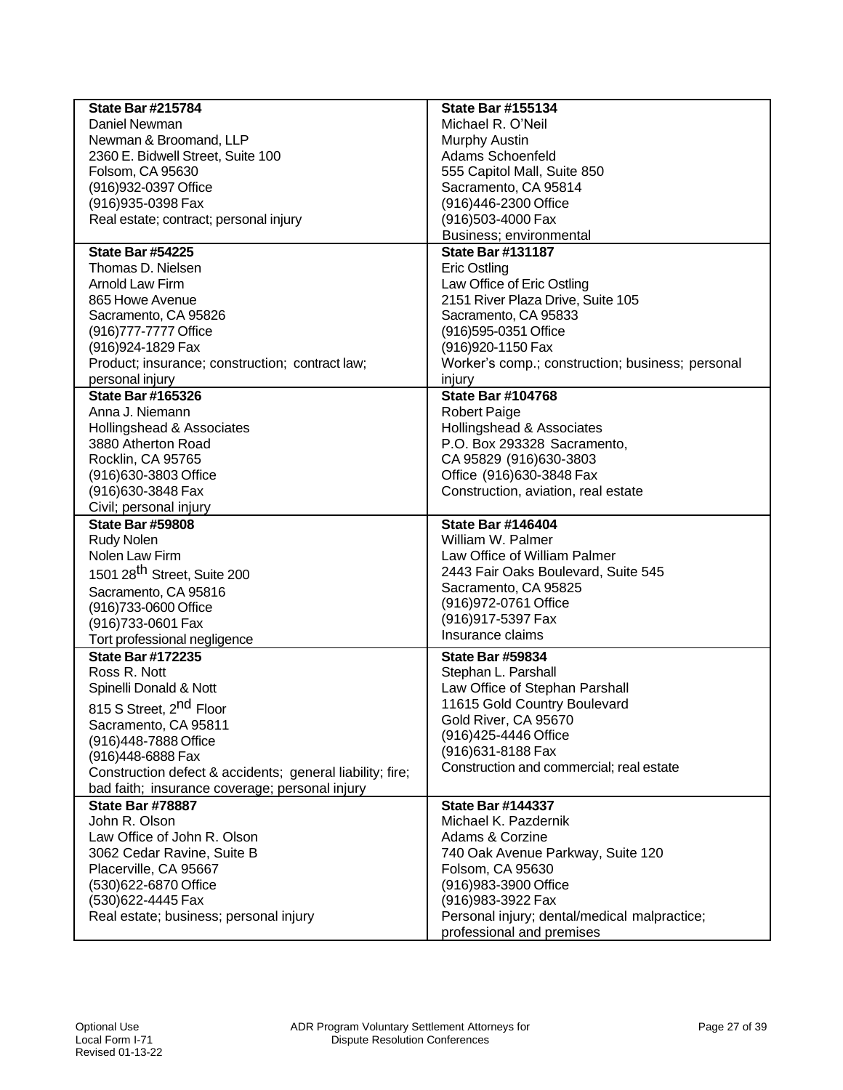| <b>State Bar #215784</b>                                  | <b>State Bar #155134</b>                                                  |
|-----------------------------------------------------------|---------------------------------------------------------------------------|
| Daniel Newman                                             | Michael R. O'Neil                                                         |
| Newman & Broomand, LLP                                    | <b>Murphy Austin</b>                                                      |
| 2360 E. Bidwell Street, Suite 100                         | Adams Schoenfeld                                                          |
| Folsom, CA 95630                                          | 555 Capitol Mall, Suite 850                                               |
| (916) 932-0397 Office                                     | Sacramento, CA 95814                                                      |
| (916) 935-0398 Fax                                        | (916)446-2300 Office                                                      |
| Real estate; contract; personal injury                    | (916)503-4000 Fax                                                         |
|                                                           | Business; environmental                                                   |
| <b>State Bar #54225</b>                                   | <b>State Bar #131187</b>                                                  |
| Thomas D. Nielsen                                         | Eric Ostling                                                              |
| Arnold Law Firm                                           | Law Office of Eric Ostling                                                |
| 865 Howe Avenue                                           | 2151 River Plaza Drive, Suite 105                                         |
| Sacramento, CA 95826                                      | Sacramento, CA 95833                                                      |
| (916)777-7777 Office                                      | (916)595-0351 Office                                                      |
| (916) 924-1829 Fax                                        | (916) 920-1150 Fax                                                        |
| Product; insurance; construction; contract law;           | Worker's comp.; construction; business; personal                          |
| personal injury                                           | injury                                                                    |
| <b>State Bar #165326</b>                                  | <b>State Bar #104768</b>                                                  |
| Anna J. Niemann                                           | <b>Robert Paige</b>                                                       |
| Hollingshead & Associates                                 | Hollingshead & Associates                                                 |
| 3880 Atherton Road                                        | P.O. Box 293328 Sacramento,                                               |
| Rocklin, CA 95765                                         | CA 95829 (916)630-3803                                                    |
| (916) 630-3803 Office                                     | Office (916)630-3848 Fax                                                  |
| (916) 630-3848 Fax                                        | Construction, aviation, real estate                                       |
| Civil; personal injury                                    |                                                                           |
| <b>State Bar #59808</b>                                   | <b>State Bar #146404</b>                                                  |
| Rudy Nolen                                                | William W. Palmer                                                         |
| Nolen Law Firm                                            | Law Office of William Palmer                                              |
| 1501 28 <sup>th</sup> Street, Suite 200                   | 2443 Fair Oaks Boulevard, Suite 545                                       |
| Sacramento, CA 95816                                      | Sacramento, CA 95825                                                      |
| (916)733-0600 Office                                      | (916) 972-0761 Office                                                     |
| (916)733-0601 Fax                                         | (916) 917-5397 Fax<br>Insurance claims                                    |
| Tort professional negligence                              |                                                                           |
| <b>State Bar #172235</b>                                  | <b>State Bar #59834</b>                                                   |
| Ross R. Nott                                              | Stephan L. Parshall                                                       |
| Spinelli Donald & Nott                                    | Law Office of Stephan Parshall                                            |
| 815 S Street, 2 <sup>nd</sup> Floor                       | 11615 Gold Country Boulevard                                              |
| Sacramento, CA 95811                                      | Gold River, CA 95670                                                      |
| (916)448-7888 Office                                      | (916)425-4446 Office                                                      |
| (916)448-6888 Fax                                         | (916) 631-8188 Fax                                                        |
| Construction defect & accidents; general liability; fire; | Construction and commercial; real estate                                  |
| bad faith; insurance coverage; personal injury            |                                                                           |
| <b>State Bar #78887</b>                                   | <b>State Bar #144337</b>                                                  |
| John R. Olson                                             | Michael K. Pazdernik                                                      |
| Law Office of John R. Olson                               | Adams & Corzine                                                           |
| 3062 Cedar Ravine, Suite B                                | 740 Oak Avenue Parkway, Suite 120                                         |
| Placerville, CA 95667                                     | Folsom, CA 95630                                                          |
| (530)622-6870 Office                                      | (916) 983-3900 Office                                                     |
| (530)622-4445 Fax                                         | (916) 983-3922 Fax                                                        |
|                                                           |                                                                           |
| Real estate; business; personal injury                    | Personal injury; dental/medical malpractice;<br>professional and premises |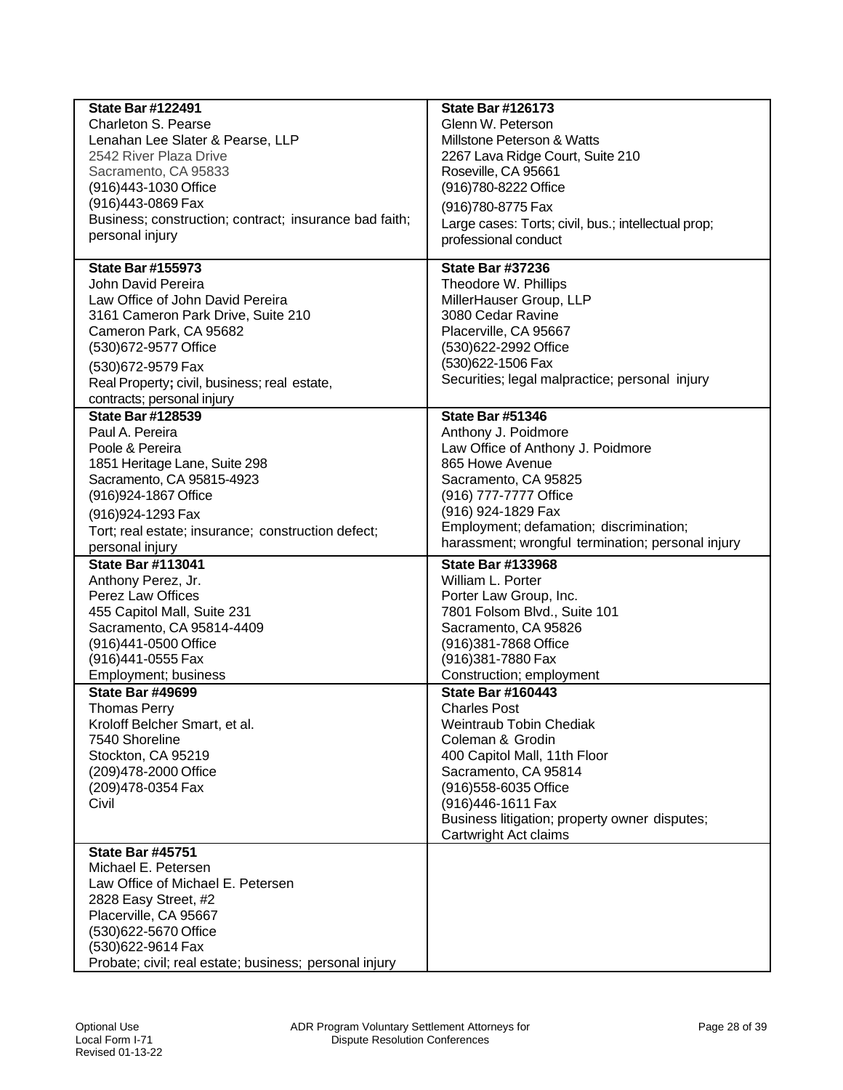| <b>State Bar #122491</b>                               | <b>State Bar #126173</b>                            |
|--------------------------------------------------------|-----------------------------------------------------|
| <b>Charleton S. Pearse</b>                             | Glenn W. Peterson                                   |
| Lenahan Lee Slater & Pearse, LLP                       | Millstone Peterson & Watts                          |
| 2542 River Plaza Drive                                 | 2267 Lava Ridge Court, Suite 210                    |
| Sacramento, CA 95833                                   | Roseville, CA 95661                                 |
| (916)443-1030 Office                                   | (916)780-8222 Office                                |
| (916)443-0869 Fax                                      | (916)780-8775 Fax                                   |
| Business; construction; contract; insurance bad faith; | Large cases: Torts; civil, bus.; intellectual prop; |
| personal injury                                        | professional conduct                                |
|                                                        |                                                     |
| <b>State Bar #155973</b>                               | <b>State Bar #37236</b>                             |
| John David Pereira                                     | Theodore W. Phillips                                |
| Law Office of John David Pereira                       | MillerHauser Group, LLP                             |
| 3161 Cameron Park Drive, Suite 210                     | 3080 Cedar Ravine                                   |
| Cameron Park, CA 95682                                 | Placerville, CA 95667                               |
| (530)672-9577 Office                                   | (530)622-2992 Office                                |
| (530) 672-9579 Fax                                     | (530)622-1506 Fax                                   |
| Real Property; civil, business; real estate,           | Securities; legal malpractice; personal injury      |
| contracts; personal injury                             |                                                     |
| <b>State Bar #128539</b>                               | <b>State Bar #51346</b>                             |
| Paul A. Pereira                                        | Anthony J. Poidmore                                 |
| Poole & Pereira                                        | Law Office of Anthony J. Poidmore                   |
| 1851 Heritage Lane, Suite 298                          | 865 Howe Avenue                                     |
| Sacramento, CA 95815-4923                              | Sacramento, CA 95825                                |
| (916) 924-1867 Office                                  | (916) 777-7777 Office                               |
| (916) 924-1293 Fax                                     | (916) 924-1829 Fax                                  |
| Tort; real estate; insurance; construction defect;     | Employment; defamation; discrimination;             |
| personal injury                                        | harassment; wrongful termination; personal injury   |
| <b>State Bar #113041</b>                               | <b>State Bar #133968</b>                            |
| Anthony Perez, Jr.                                     | William L. Porter                                   |
| <b>Perez Law Offices</b>                               | Porter Law Group, Inc.                              |
| 455 Capitol Mall, Suite 231                            | 7801 Folsom Blvd., Suite 101                        |
| Sacramento, CA 95814-4409                              | Sacramento, CA 95826                                |
| (916)441-0500 Office                                   | (916)381-7868 Office                                |
| (916)441-0555 Fax                                      | (916) 381-7880 Fax                                  |
| Employment; business                                   | Construction; employment                            |
| <b>State Bar #49699</b>                                | <b>State Bar #160443</b>                            |
| <b>Thomas Perry</b>                                    | <b>Charles Post</b>                                 |
| Kroloff Belcher Smart, et al.                          | Weintraub Tobin Chediak                             |
| 7540 Shoreline                                         | Coleman & Grodin                                    |
| Stockton, CA 95219                                     | 400 Capitol Mall, 11th Floor                        |
| (209)478-2000 Office                                   | Sacramento, CA 95814                                |
| (209) 478-0354 Fax                                     | (916) 558-6035 Office                               |
| Civil                                                  | (916)446-1611 Fax                                   |
|                                                        | Business litigation; property owner disputes;       |
|                                                        | Cartwright Act claims                               |
| <b>State Bar #45751</b>                                |                                                     |
| Michael E. Petersen                                    |                                                     |
|                                                        |                                                     |
| Law Office of Michael E. Petersen                      |                                                     |
| 2828 Easy Street, #2                                   |                                                     |
| Placerville, CA 95667                                  |                                                     |
| (530)622-5670 Office                                   |                                                     |
| (530)622-9614 Fax                                      |                                                     |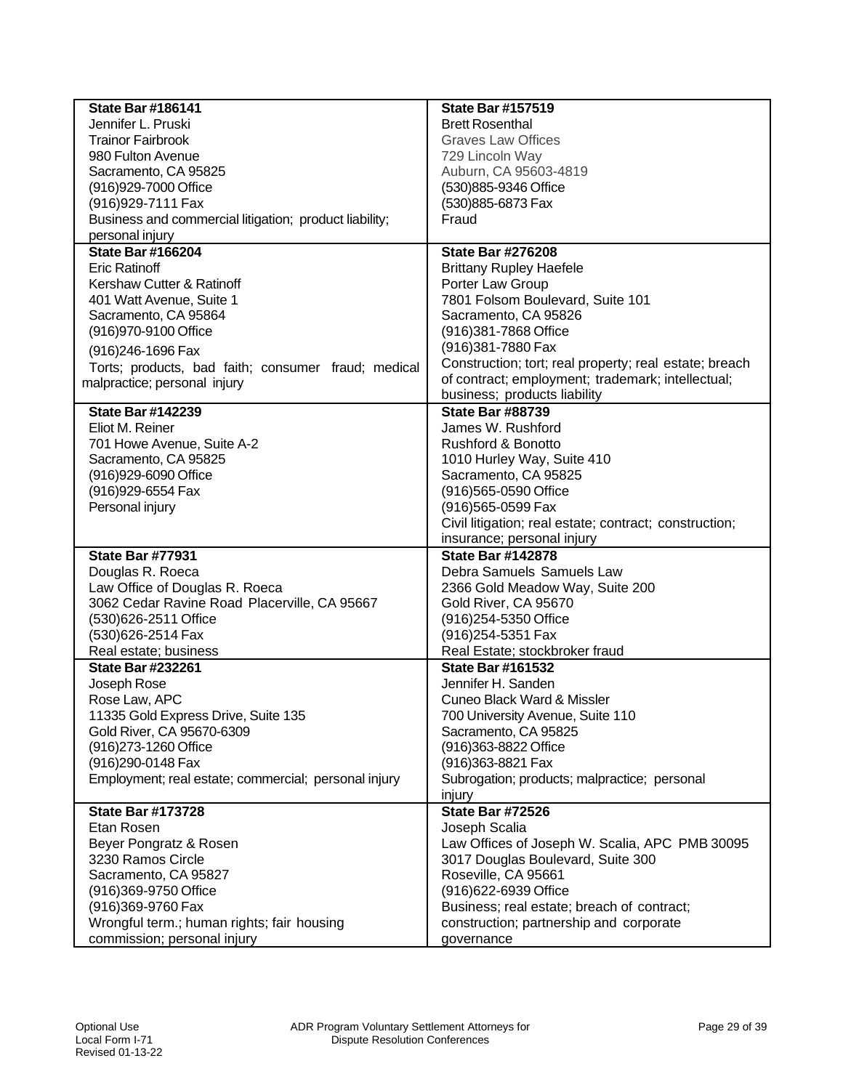| <b>State Bar #186141</b>                               | <b>State Bar #157519</b>                               |
|--------------------------------------------------------|--------------------------------------------------------|
| Jennifer L. Pruski                                     | <b>Brett Rosenthal</b>                                 |
| <b>Trainor Fairbrook</b>                               | <b>Graves Law Offices</b>                              |
| 980 Fulton Avenue                                      | 729 Lincoln Way                                        |
| Sacramento, CA 95825                                   | Auburn, CA 95603-4819                                  |
| (916)929-7000 Office                                   | (530)885-9346 Office                                   |
| (916) 929-7111 Fax                                     | (530)885-6873 Fax                                      |
| Business and commercial litigation; product liability; | Fraud                                                  |
| personal injury                                        |                                                        |
| <b>State Bar #166204</b>                               | <b>State Bar #276208</b>                               |
| <b>Eric Ratinoff</b>                                   | <b>Brittany Rupley Haefele</b>                         |
| Kershaw Cutter & Ratinoff                              | Porter Law Group                                       |
| 401 Watt Avenue, Suite 1                               | 7801 Folsom Boulevard, Suite 101                       |
| Sacramento, CA 95864                                   | Sacramento, CA 95826                                   |
| (916) 970-9100 Office                                  | (916)381-7868 Office                                   |
|                                                        | (916)381-7880 Fax                                      |
| (916) 246-1696 Fax                                     | Construction; tort; real property; real estate; breach |
| Torts; products, bad faith; consumer fraud; medical    | of contract; employment; trademark; intellectual;      |
| malpractice; personal injury                           | business; products liability                           |
| <b>State Bar #142239</b>                               | <b>State Bar #88739</b>                                |
| Eliot M. Reiner                                        | James W. Rushford                                      |
|                                                        |                                                        |
| 701 Howe Avenue, Suite A-2                             | <b>Rushford &amp; Bonotto</b>                          |
| Sacramento, CA 95825                                   | 1010 Hurley Way, Suite 410                             |
| (916)929-6090 Office                                   | Sacramento, CA 95825                                   |
| (916) 929-6554 Fax                                     | (916)565-0590 Office                                   |
| Personal injury                                        | (916)565-0599 Fax                                      |
|                                                        | Civil litigation; real estate; contract; construction; |
|                                                        | insurance; personal injury                             |
| <b>State Bar #77931</b>                                | <b>State Bar #142878</b>                               |
| Douglas R. Roeca                                       | Debra Samuels Samuels Law                              |
| Law Office of Douglas R. Roeca                         | 2366 Gold Meadow Way, Suite 200                        |
| 3062 Cedar Ravine Road Placerville, CA 95667           | Gold River, CA 95670                                   |
| (530)626-2511 Office                                   | (916)254-5350 Office                                   |
| (530)626-2514 Fax                                      | (916) 254-5351 Fax                                     |
| Real estate; business                                  | Real Estate; stockbroker fraud                         |
| <b>State Bar #232261</b>                               | <b>State Bar #161532</b>                               |
| Joseph Rose                                            | Jennifer H. Sanden                                     |
| Rose Law, APC                                          | Cuneo Black Ward & Missler                             |
| 11335 Gold Express Drive, Suite 135                    | 700 University Avenue, Suite 110                       |
| Gold River, CA 95670-6309                              | Sacramento, CA 95825                                   |
| (916) 273-1260 Office                                  | (916)363-8822 Office                                   |
| (916)290-0148 Fax                                      | (916)363-8821 Fax                                      |
| Employment; real estate; commercial; personal injury   | Subrogation; products; malpractice; personal           |
|                                                        | injury                                                 |
| <b>State Bar #173728</b>                               | <b>State Bar #72526</b>                                |
| Etan Rosen                                             | Joseph Scalia                                          |
| Beyer Pongratz & Rosen                                 | Law Offices of Joseph W. Scalia, APC PMB 30095         |
| 3230 Ramos Circle                                      | 3017 Douglas Boulevard, Suite 300                      |
| Sacramento, CA 95827                                   | Roseville, CA 95661                                    |
| (916)369-9750 Office                                   | (916)622-6939 Office                                   |
| (916)369-9760 Fax                                      | Business; real estate; breach of contract;             |
| Wrongful term.; human rights; fair housing             | construction; partnership and corporate                |
| commission; personal injury                            | governance                                             |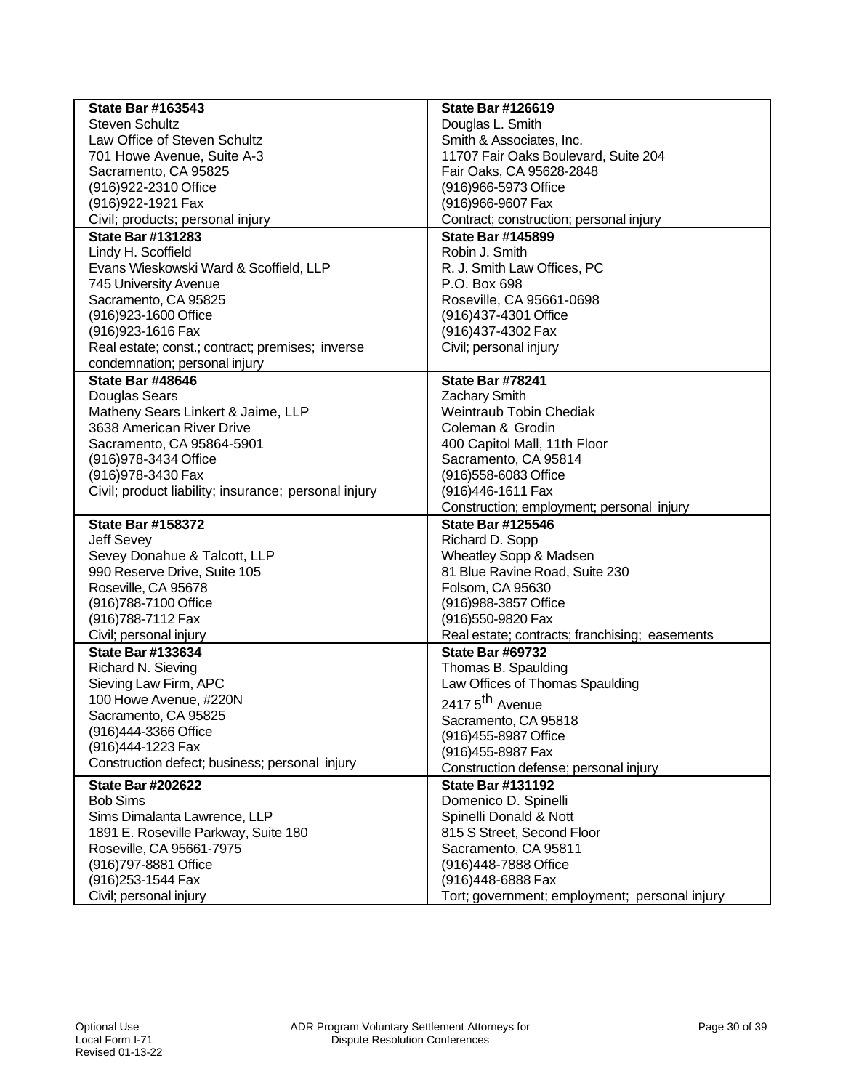| <b>State Bar #163543</b>                             | <b>State Bar #126619</b>                                    |
|------------------------------------------------------|-------------------------------------------------------------|
| <b>Steven Schultz</b>                                | Douglas L. Smith                                            |
| Law Office of Steven Schultz                         | Smith & Associates, Inc.                                    |
| 701 Howe Avenue, Suite A-3                           | 11707 Fair Oaks Boulevard, Suite 204                        |
| Sacramento, CA 95825                                 | Fair Oaks, CA 95628-2848                                    |
| (916) 922-2310 Office                                | (916)966-5973 Office                                        |
| (916) 922-1921 Fax                                   | (916)966-9607 Fax                                           |
| Civil; products; personal injury                     | Contract; construction; personal injury                     |
| <b>State Bar #131283</b>                             | <b>State Bar #145899</b>                                    |
| Lindy H. Scoffield                                   | Robin J. Smith                                              |
| Evans Wieskowski Ward & Scoffield, LLP               | R. J. Smith Law Offices, PC                                 |
| 745 University Avenue                                | P.O. Box 698                                                |
| Sacramento, CA 95825                                 | Roseville, CA 95661-0698                                    |
| (916) 923-1600 Office                                | (916)437-4301 Office                                        |
| (916) 923-1616 Fax                                   | (916)437-4302 Fax                                           |
| Real estate; const.; contract; premises; inverse     | Civil; personal injury                                      |
| condemnation; personal injury                        |                                                             |
| <b>State Bar #48646</b>                              | <b>State Bar #78241</b>                                     |
| Douglas Sears                                        | <b>Zachary Smith</b>                                        |
| Matheny Sears Linkert & Jaime, LLP                   | Weintraub Tobin Chediak                                     |
| 3638 American River Drive                            | Coleman & Grodin                                            |
| Sacramento, CA 95864-5901                            | 400 Capitol Mall, 11th Floor                                |
| (916) 978-3434 Office                                | Sacramento, CA 95814                                        |
| (916) 978-3430 Fax                                   | (916)558-6083 Office                                        |
| Civil; product liability; insurance; personal injury | (916)446-1611 Fax                                           |
|                                                      | Construction; employment; personal injury                   |
| <b>State Bar #158372</b>                             | <b>State Bar #125546</b>                                    |
| Jeff Sevey                                           | Richard D. Sopp                                             |
| Sevey Donahue & Talcott, LLP                         | Wheatley Sopp & Madsen                                      |
| 990 Reserve Drive, Suite 105                         | 81 Blue Ravine Road, Suite 230                              |
| Roseville, CA 95678                                  | Folsom, CA 95630                                            |
| (916) 788-7100 Office                                | (916) 988-3857 Office                                       |
| (916) 788-7112 Fax                                   | (916)550-9820 Fax                                           |
| Civil; personal injury                               | Real estate; contracts; franchising; easements              |
| <b>State Bar #133634</b>                             | <b>State Bar #69732</b>                                     |
| Richard N. Sieving                                   | Thomas B. Spaulding                                         |
| Sieving Law Firm, APC                                | Law Offices of Thomas Spaulding                             |
| 100 Howe Avenue, #220N                               | 2417 5 <sup>th</sup> Avenue                                 |
| Sacramento, CA 95825                                 |                                                             |
| (916)444-3366 Office                                 | Sacramento, CA 95818<br>(916) 455-8987 Office               |
| (916)444-1223 Fax                                    |                                                             |
| Construction defect; business; personal injury       | (916) 455-8987 Fax<br>Construction defense; personal injury |
| <b>State Bar #202622</b>                             | <b>State Bar #131192</b>                                    |
| <b>Bob Sims</b>                                      | Domenico D. Spinelli                                        |
|                                                      |                                                             |
| Sims Dimalanta Lawrence, LLP                         | Spinelli Donald & Nott                                      |
| 1891 E. Roseville Parkway, Suite 180                 | 815 S Street, Second Floor                                  |
| Roseville, CA 95661-7975                             | Sacramento, CA 95811                                        |
| (916) 797-8881 Office                                | (916)448-7888 Office                                        |
| (916) 253-1544 Fax                                   | (916)448-6888 Fax                                           |
| Civil; personal injury                               | Tort; government; employment; personal injury               |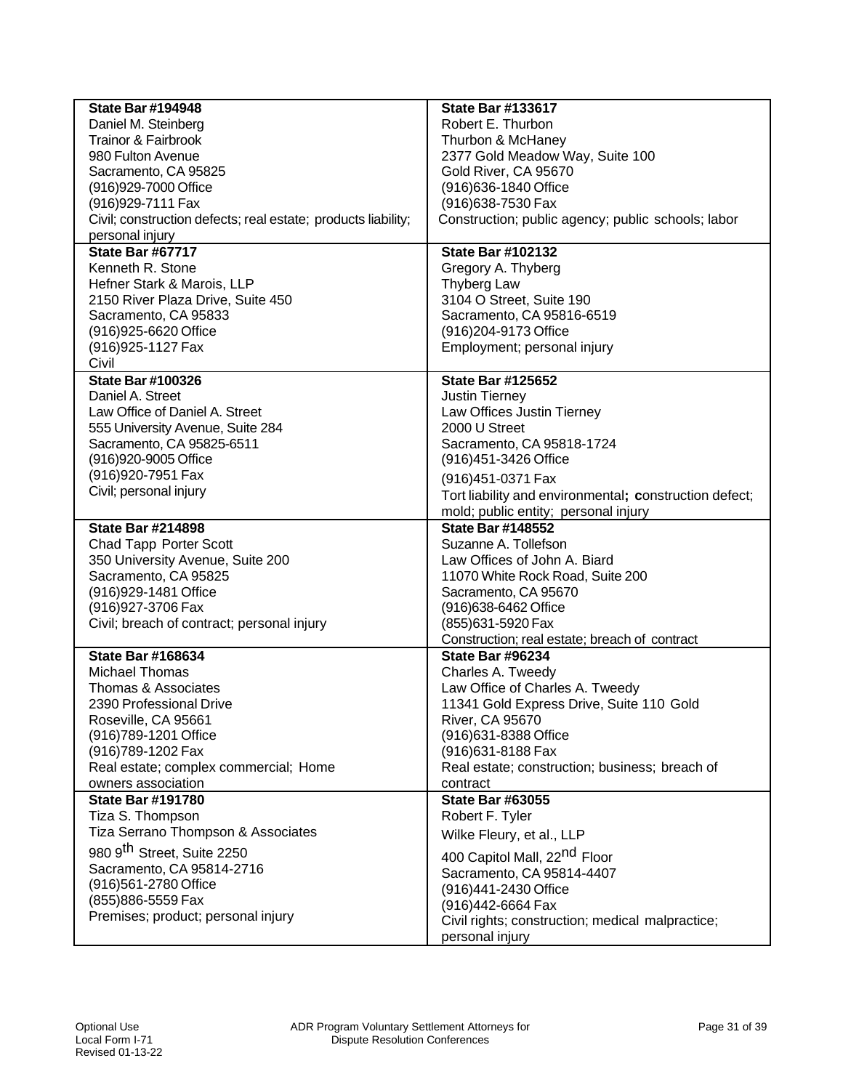| <b>State Bar #194948</b>                                      | <b>State Bar #133617</b>                               |
|---------------------------------------------------------------|--------------------------------------------------------|
| Daniel M. Steinberg                                           | Robert E. Thurbon                                      |
| Trainor & Fairbrook                                           | Thurbon & McHaney                                      |
| 980 Fulton Avenue                                             | 2377 Gold Meadow Way, Suite 100                        |
| Sacramento, CA 95825                                          | Gold River, CA 95670                                   |
| (916) 929-7000 Office                                         | (916) 636-1840 Office                                  |
| (916) 929-7111 Fax                                            | (916) 638-7530 Fax                                     |
| Civil; construction defects; real estate; products liability; | Construction; public agency; public schools; labor     |
| personal injury                                               |                                                        |
| State Bar #67717                                              | <b>State Bar #102132</b>                               |
| Kenneth R. Stone                                              | Gregory A. Thyberg                                     |
| Hefner Stark & Marois, LLP                                    | <b>Thyberg Law</b>                                     |
| 2150 River Plaza Drive, Suite 450                             | 3104 O Street, Suite 190                               |
| Sacramento, CA 95833                                          | Sacramento, CA 95816-6519                              |
| (916) 925-6620 Office                                         | (916) 204-9173 Office                                  |
| (916) 925-1127 Fax                                            | Employment; personal injury                            |
| Civil                                                         |                                                        |
| <b>State Bar #100326</b>                                      | <b>State Bar #125652</b>                               |
| Daniel A. Street                                              | Justin Tierney                                         |
| Law Office of Daniel A. Street                                | Law Offices Justin Tierney                             |
| 555 University Avenue, Suite 284                              | 2000 U Street                                          |
| Sacramento, CA 95825-6511                                     | Sacramento, CA 95818-1724                              |
| (916)920-9005 Office                                          | (916) 451-3426 Office                                  |
| (916) 920-7951 Fax                                            | (916) 451-0371 Fax                                     |
| Civil; personal injury                                        | Tort liability and environmental; construction defect; |
|                                                               | mold; public entity; personal injury                   |
| <b>State Bar #214898</b>                                      | <b>State Bar #148552</b>                               |
| Chad Tapp Porter Scott                                        | Suzanne A. Tollefson                                   |
| 350 University Avenue, Suite 200                              | Law Offices of John A. Biard                           |
| Sacramento, CA 95825                                          | 11070 White Rock Road, Suite 200                       |
| (916) 929-1481 Office                                         | Sacramento, CA 95670                                   |
| (916) 927-3706 Fax                                            | (916)638-6462 Office                                   |
| Civil; breach of contract; personal injury                    | (855)631-5920 Fax                                      |
|                                                               | Construction; real estate; breach of contract          |
| <b>State Bar #168634</b>                                      | <b>State Bar #96234</b>                                |
| <b>Michael Thomas</b>                                         | Charles A. Tweedy                                      |
| Thomas & Associates                                           | Law Office of Charles A. Tweedy                        |
| 2390 Professional Drive                                       | 11341 Gold Express Drive, Suite 110 Gold               |
| Roseville, CA 95661                                           | <b>River, CA 95670</b>                                 |
| (916)789-1201 Office                                          | (916)631-8388 Office                                   |
| (916)789-1202 Fax                                             | (916) 631-8188 Fax                                     |
| Real estate; complex commercial; Home                         | Real estate; construction; business; breach of         |
| owners association                                            | contract                                               |
| <b>State Bar #191780</b>                                      | <b>State Bar #63055</b>                                |
| Tiza S. Thompson                                              | Robert F. Tyler                                        |
| Tiza Serrano Thompson & Associates                            |                                                        |
|                                                               | Wilke Fleury, et al., LLP                              |
| 980 9 <sup>th</sup> Street, Suite 2250                        | 400 Capitol Mall, 22 <sup>nd</sup> Floor               |
| Sacramento, CA 95814-2716                                     | Sacramento, CA 95814-4407                              |
| (916)561-2780 Office                                          | (916)441-2430 Office                                   |
| (855) 886-5559 Fax                                            | (916)442-6664 Fax                                      |
| Premises; product; personal injury                            | Civil rights; construction; medical malpractice;       |
|                                                               | personal injury                                        |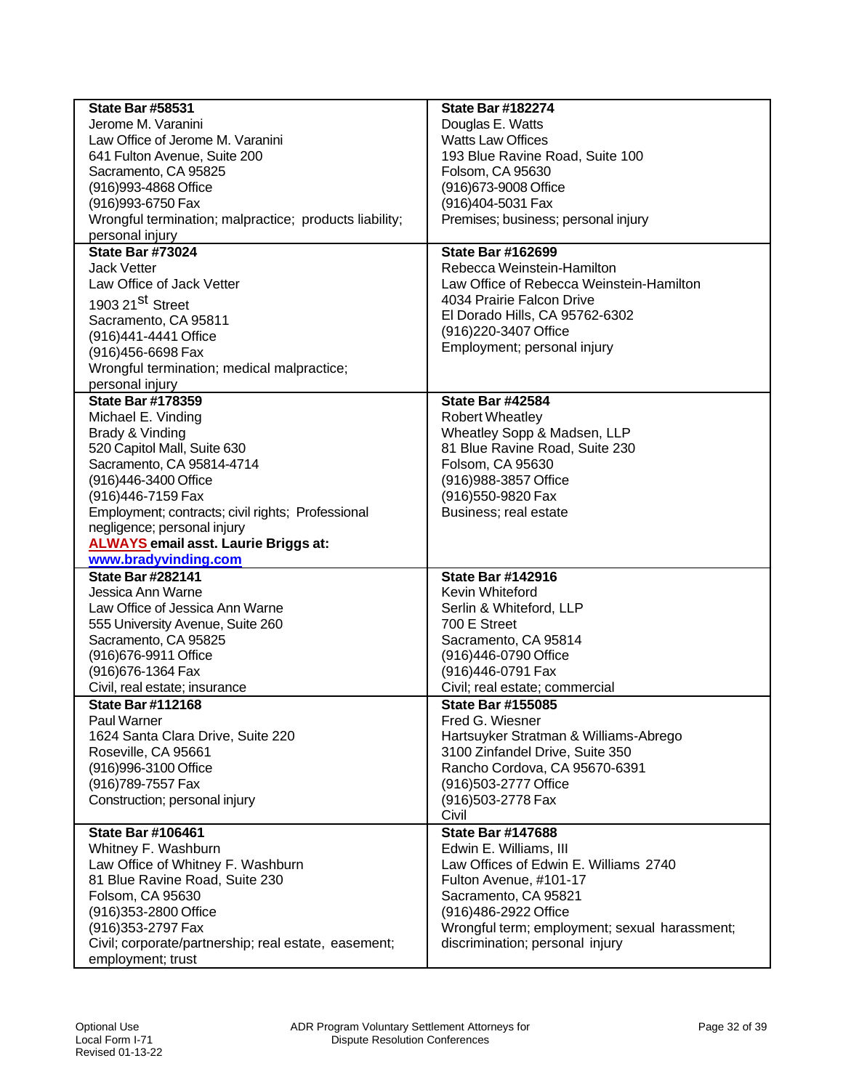| <b>State Bar #58531</b>                                  | <b>State Bar #182274</b>                                        |
|----------------------------------------------------------|-----------------------------------------------------------------|
| Jerome M. Varanini                                       | Douglas E. Watts                                                |
| Law Office of Jerome M. Varanini                         | <b>Watts Law Offices</b>                                        |
| 641 Fulton Avenue, Suite 200                             | 193 Blue Ravine Road, Suite 100                                 |
| Sacramento, CA 95825                                     | Folsom, CA 95630                                                |
| (916) 993-4868 Office                                    | (916) 673-9008 Office                                           |
| (916) 993-6750 Fax                                       | (916)404-5031 Fax                                               |
| Wrongful termination; malpractice; products liability;   | Premises; business; personal injury                             |
| personal injury                                          |                                                                 |
| <b>State Bar #73024</b>                                  | <b>State Bar #162699</b>                                        |
| <b>Jack Vetter</b>                                       | Rebecca Weinstein-Hamilton                                      |
| Law Office of Jack Vetter                                | Law Office of Rebecca Weinstein-Hamilton                        |
| 1903 21 <sup>St</sup> Street                             | 4034 Prairie Falcon Drive                                       |
| Sacramento, CA 95811                                     | El Dorado Hills, CA 95762-6302                                  |
| (916)441-4441 Office                                     | (916) 220-3407 Office                                           |
| (916)456-6698 Fax                                        | Employment; personal injury                                     |
| Wrongful termination; medical malpractice;               |                                                                 |
| personal injury                                          |                                                                 |
| <b>State Bar #178359</b>                                 | <b>State Bar #42584</b>                                         |
| Michael E. Vinding                                       | <b>Robert Wheatley</b>                                          |
| Brady & Vinding                                          | Wheatley Sopp & Madsen, LLP                                     |
| 520 Capitol Mall, Suite 630                              | 81 Blue Ravine Road, Suite 230                                  |
| Sacramento, CA 95814-4714                                | Folsom, CA 95630                                                |
| (916)446-3400 Office                                     | (916) 988-3857 Office                                           |
| (916)446-7159 Fax                                        | (916) 550-9820 Fax                                              |
| Employment; contracts; civil rights; Professional        | Business; real estate                                           |
| negligence; personal injury                              |                                                                 |
| <b>ALWAYS</b> email asst. Laurie Briggs at:              |                                                                 |
| www.bradyvinding.com                                     |                                                                 |
| <b>State Bar #282141</b>                                 | <b>State Bar #142916</b>                                        |
| Jessica Ann Warne                                        | Kevin Whiteford                                                 |
| Law Office of Jessica Ann Warne                          | Serlin & Whiteford, LLP                                         |
| 555 University Avenue, Suite 260                         | 700 E Street                                                    |
| Sacramento, CA 95825                                     | Sacramento, CA 95814                                            |
| (916) 676-9911 Office                                    | (916)446-0790 Office                                            |
| (916) 676-1364 Fax                                       | (916)446-0791 Fax                                               |
| Civil, real estate; insurance                            | Civil; real estate; commercial                                  |
| <b>State Bar #112168</b>                                 | <b>State Bar #155085</b>                                        |
| Paul Warner                                              | Fred G. Wiesner                                                 |
| 1624 Santa Clara Drive, Suite 220                        | Hartsuyker Stratman & Williams-Abrego                           |
| Roseville, CA 95661                                      | 3100 Zinfandel Drive, Suite 350                                 |
| (916)996-3100 Office                                     | Rancho Cordova, CA 95670-6391                                   |
| (916) 789-7557 Fax                                       | (916)503-2777 Office                                            |
| Construction; personal injury                            | (916) 503-2778 Fax<br>Civil                                     |
| <b>State Bar #106461</b>                                 | <b>State Bar #147688</b>                                        |
|                                                          |                                                                 |
| Whitney F. Washburn<br>Law Office of Whitney F. Washburn | Edwin E. Williams, III<br>Law Offices of Edwin E. Williams 2740 |
| 81 Blue Ravine Road, Suite 230                           | Fulton Avenue, #101-17                                          |
| Folsom, CA 95630                                         | Sacramento, CA 95821                                            |
| (916) 353-2800 Office                                    | (916)486-2922 Office                                            |
| (916) 353-2797 Fax                                       | Wrongful term; employment; sexual harassment;                   |
| Civil; corporate/partnership; real estate, easement;     | discrimination; personal injury                                 |
| employment; trust                                        |                                                                 |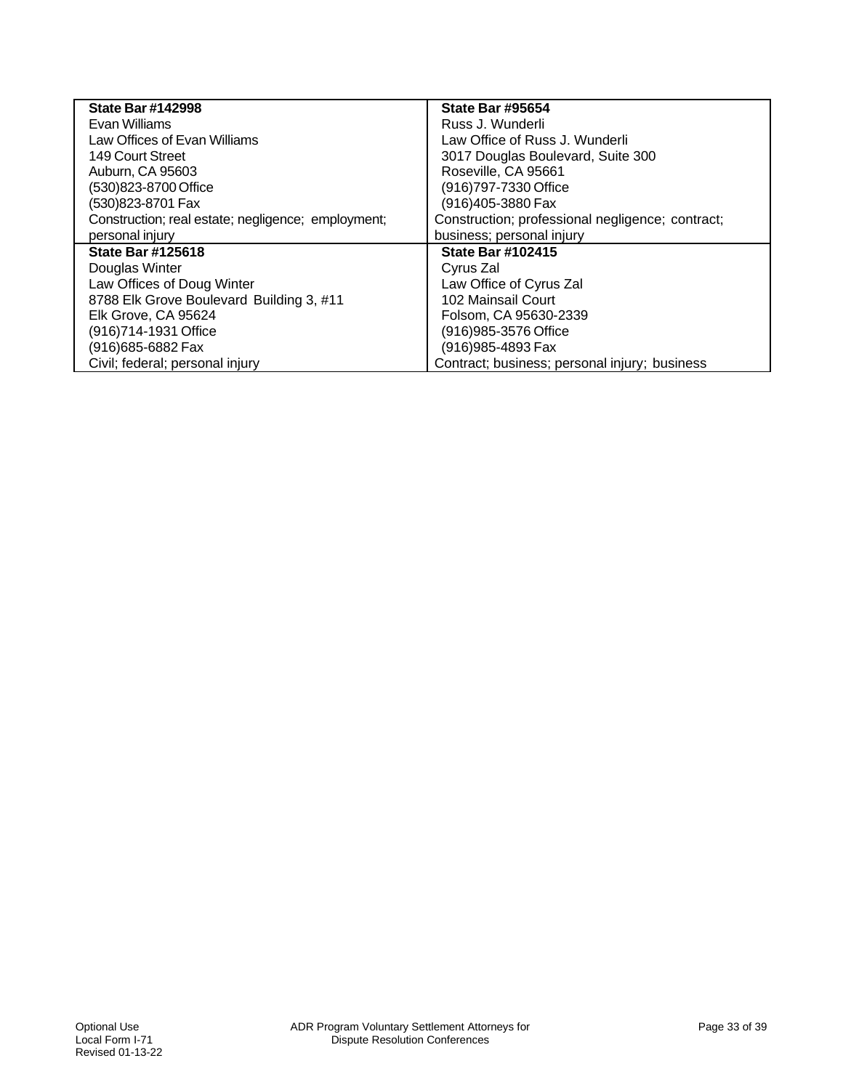| <b>State Bar #142998</b>                           | <b>State Bar #95654</b>                          |
|----------------------------------------------------|--------------------------------------------------|
| Evan Williams                                      | Russ J. Wunderli                                 |
| Law Offices of Evan Williams                       | Law Office of Russ J. Wunderli                   |
| 149 Court Street                                   | 3017 Douglas Boulevard, Suite 300                |
| Auburn, CA 95603                                   | Roseville, CA 95661                              |
| (530)823-8700 Office                               | (916)797-7330 Office                             |
| (530)823-8701 Fax                                  | (916)405-3880 Fax                                |
| Construction; real estate; negligence; employment; | Construction; professional negligence; contract; |
| personal injury                                    | business; personal injury                        |
| <b>State Bar #125618</b>                           | <b>State Bar #102415</b>                         |
| Douglas Winter                                     | Cyrus Zal                                        |
| Law Offices of Doug Winter                         | Law Office of Cyrus Zal                          |
| 8788 Elk Grove Boulevard Building 3, #11           | 102 Mainsail Court                               |
| Elk Grove, CA 95624                                | Folsom, CA 95630-2339                            |
| (916)714-1931 Office                               | (916) 985-3576 Office                            |
| (916)685-6882 Fax                                  | (916) 985-4893 Fax                               |
| Civil; federal; personal injury                    | Contract; business; personal injury; business    |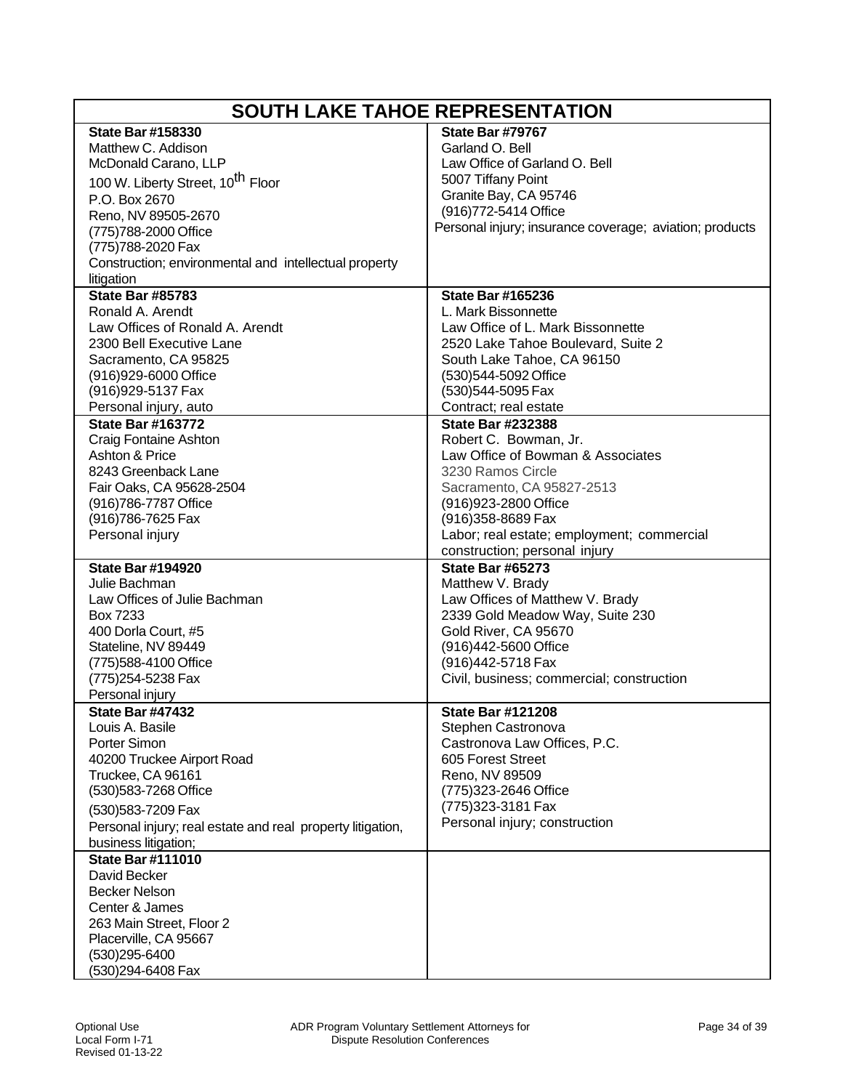| <b>SOUTH LAKE TAHOE REPRESENTATION</b>                                             |                                                         |
|------------------------------------------------------------------------------------|---------------------------------------------------------|
| <b>State Bar #158330</b>                                                           | State Bar #79767                                        |
| Matthew C. Addison                                                                 | Garland O. Bell                                         |
| McDonald Carano, LLP                                                               | Law Office of Garland O. Bell                           |
| 100 W. Liberty Street, 10 <sup>th</sup> Floor                                      | 5007 Tiffany Point                                      |
| P.O. Box 2670                                                                      | Granite Bay, CA 95746                                   |
| Reno, NV 89505-2670                                                                | (916) 772-5414 Office                                   |
| (775) 788-2000 Office                                                              | Personal injury; insurance coverage; aviation; products |
| (775)788-2020 Fax                                                                  |                                                         |
| Construction; environmental and intellectual property                              |                                                         |
| litigation                                                                         |                                                         |
| <b>State Bar #85783</b>                                                            | <b>State Bar #165236</b>                                |
| Ronald A. Arendt                                                                   | L. Mark Bissonnette                                     |
| Law Offices of Ronald A. Arendt                                                    | Law Office of L. Mark Bissonnette                       |
| 2300 Bell Executive Lane                                                           | 2520 Lake Tahoe Boulevard, Suite 2                      |
| Sacramento, CA 95825                                                               | South Lake Tahoe, CA 96150                              |
| (916)929-6000 Office                                                               | (530)544-5092 Office                                    |
| (916) 929-5137 Fax                                                                 | (530)544-5095 Fax                                       |
| Personal injury, auto                                                              | Contract; real estate                                   |
| <b>State Bar #163772</b>                                                           | <b>State Bar #232388</b>                                |
| Craig Fontaine Ashton                                                              | Robert C. Bowman, Jr.                                   |
| Ashton & Price                                                                     | Law Office of Bowman & Associates                       |
| 8243 Greenback Lane                                                                | 3230 Ramos Circle                                       |
| Fair Oaks, CA 95628-2504                                                           | Sacramento, CA 95827-2513                               |
| (916) 786-7787 Office                                                              | (916) 923-2800 Office                                   |
| (916) 786-7625 Fax                                                                 | (916) 358-8689 Fax                                      |
| Personal injury                                                                    | Labor; real estate; employment; commercial              |
|                                                                                    | construction; personal injury                           |
| <b>State Bar #194920</b>                                                           | <b>State Bar #65273</b>                                 |
| Julie Bachman                                                                      | Matthew V. Brady                                        |
| Law Offices of Julie Bachman                                                       | Law Offices of Matthew V. Brady                         |
| Box 7233                                                                           | 2339 Gold Meadow Way, Suite 230                         |
| 400 Dorla Court, #5                                                                | Gold River, CA 95670                                    |
| Stateline, NV 89449                                                                | (916)442-5600 Office<br>(916)442-5718 Fax               |
| (775)588-4100 Office                                                               | Civil, business; commercial; construction               |
| (775) 254-5238 Fax<br>Personal injury                                              |                                                         |
| <b>State Bar #47432</b>                                                            | <b>State Bar #121208</b>                                |
| Louis A. Basile                                                                    | Stephen Castronova                                      |
| Porter Simon                                                                       | Castronova Law Offices, P.C.                            |
| 40200 Truckee Airport Road                                                         | 605 Forest Street                                       |
| Truckee, CA 96161                                                                  | Reno, NV 89509                                          |
| (530) 583-7268 Office                                                              | (775)323-2646 Office                                    |
|                                                                                    | (775) 323-3181 Fax                                      |
| (530)583-7209 Fax                                                                  | Personal injury; construction                           |
| Personal injury; real estate and real property litigation,<br>business litigation; |                                                         |
| <b>State Bar #111010</b>                                                           |                                                         |
| David Becker                                                                       |                                                         |
| <b>Becker Nelson</b>                                                               |                                                         |
| Center & James                                                                     |                                                         |
| 263 Main Street, Floor 2                                                           |                                                         |
| Placerville, CA 95667                                                              |                                                         |
| (530)295-6400                                                                      |                                                         |
| (530)294-6408 Fax                                                                  |                                                         |
|                                                                                    |                                                         |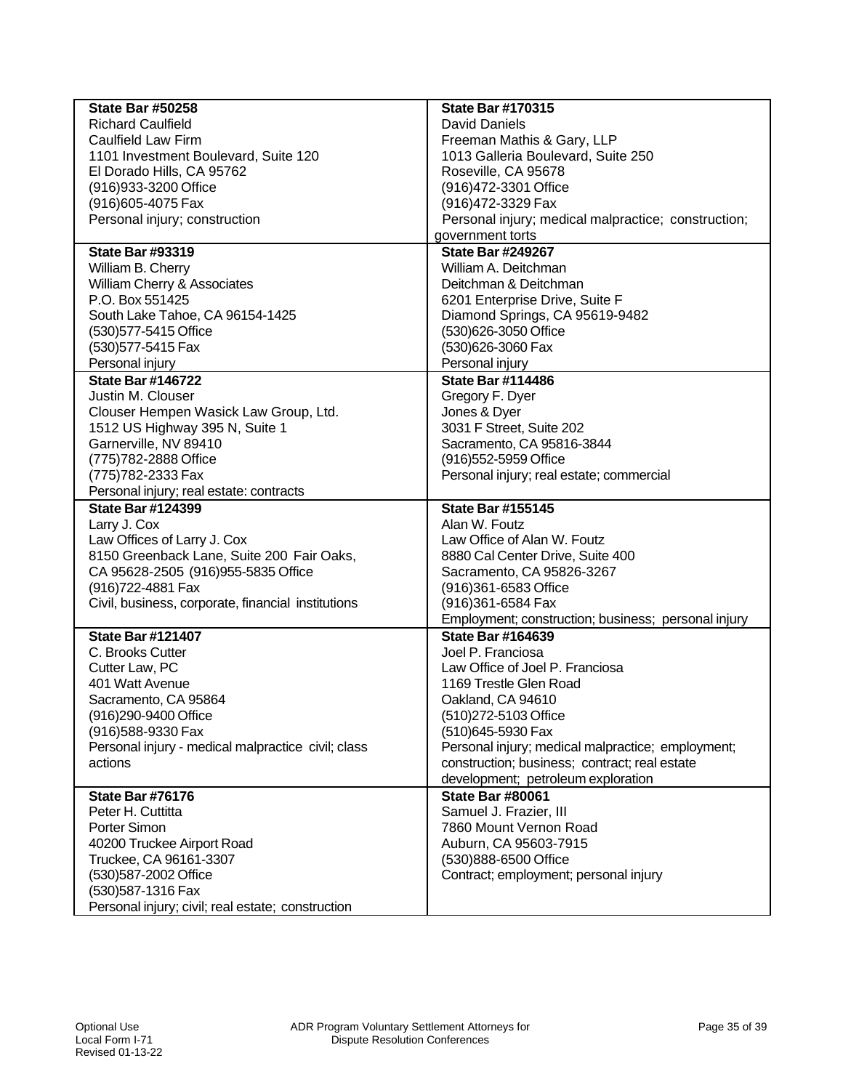| <b>State Bar #50258</b>                            | <b>State Bar #170315</b>                            |
|----------------------------------------------------|-----------------------------------------------------|
| <b>Richard Caulfield</b>                           | David Daniels                                       |
| <b>Caulfield Law Firm</b>                          | Freeman Mathis & Gary, LLP                          |
| 1101 Investment Boulevard, Suite 120               | 1013 Galleria Boulevard, Suite 250                  |
| El Dorado Hills, CA 95762                          | Roseville, CA 95678                                 |
| (916) 933-3200 Office                              | (916)472-3301 Office                                |
| (916) 605-4075 Fax                                 | (916)472-3329 Fax                                   |
| Personal injury; construction                      | Personal injury; medical malpractice; construction; |
|                                                    | government torts                                    |
| <b>State Bar #93319</b>                            | <b>State Bar #249267</b>                            |
| William B. Cherry                                  | William A. Deitchman                                |
| William Cherry & Associates                        | Deitchman & Deitchman                               |
| P.O. Box 551425                                    | 6201 Enterprise Drive, Suite F                      |
| South Lake Tahoe, CA 96154-1425                    | Diamond Springs, CA 95619-9482                      |
| (530) 577-5415 Office                              | (530)626-3050 Office                                |
| (530) 577-5415 Fax                                 | (530)626-3060 Fax                                   |
| Personal injury                                    | Personal injury                                     |
| <b>State Bar #146722</b>                           | <b>State Bar #114486</b>                            |
| Justin M. Clouser                                  | Gregory F. Dyer                                     |
| Clouser Hempen Wasick Law Group, Ltd.              | Jones & Dyer                                        |
| 1512 US Highway 395 N, Suite 1                     | 3031 F Street, Suite 202                            |
| Garnerville, NV 89410                              | Sacramento, CA 95816-3844                           |
| (775) 782-2888 Office                              | (916) 552-5959 Office                               |
| (775) 782-2333 Fax                                 | Personal injury; real estate; commercial            |
| Personal injury; real estate: contracts            |                                                     |
| <b>State Bar #124399</b>                           | <b>State Bar #155145</b>                            |
|                                                    | Alan W. Foutz                                       |
| Larry J. Cox                                       | Law Office of Alan W. Foutz                         |
| Law Offices of Larry J. Cox                        |                                                     |
| 8150 Greenback Lane, Suite 200 Fair Oaks,          | 8880 Cal Center Drive, Suite 400                    |
| CA 95628-2505 (916)955-5835 Office                 | Sacramento, CA 95826-3267                           |
| (916) 722-4881 Fax                                 | (916)361-6583 Office                                |
| Civil, business, corporate, financial institutions | (916)361-6584 Fax                                   |
|                                                    | Employment; construction; business; personal injury |
| <b>State Bar #121407</b>                           | <b>State Bar #164639</b>                            |
| C. Brooks Cutter                                   | Joel P. Franciosa                                   |
| Cutter Law, PC                                     | Law Office of Joel P. Franciosa                     |
| 401 Watt Avenue                                    | 1169 Trestle Glen Road                              |
| Sacramento, CA 95864                               | Oakland, CA 94610                                   |
| (916)290-9400 Office                               | (510)272-5103 Office                                |
| (916)588-9330 Fax                                  | (510)645-5930 Fax                                   |
| Personal injury - medical malpractice civil; class | Personal injury; medical malpractice; employment;   |
| actions                                            | construction; business; contract; real estate       |
|                                                    | development; petroleum exploration                  |
| State Bar #76176                                   | <b>State Bar #80061</b>                             |
| Peter H. Cuttitta                                  | Samuel J. Frazier, III                              |
| Porter Simon                                       | 7860 Mount Vernon Road                              |
| 40200 Truckee Airport Road                         | Auburn, CA 95603-7915                               |
| Truckee, CA 96161-3307                             | (530)888-6500 Office                                |
| (530)587-2002 Office                               | Contract; employment; personal injury               |
| (530) 587-1316 Fax                                 |                                                     |
| Personal injury; civil; real estate; construction  |                                                     |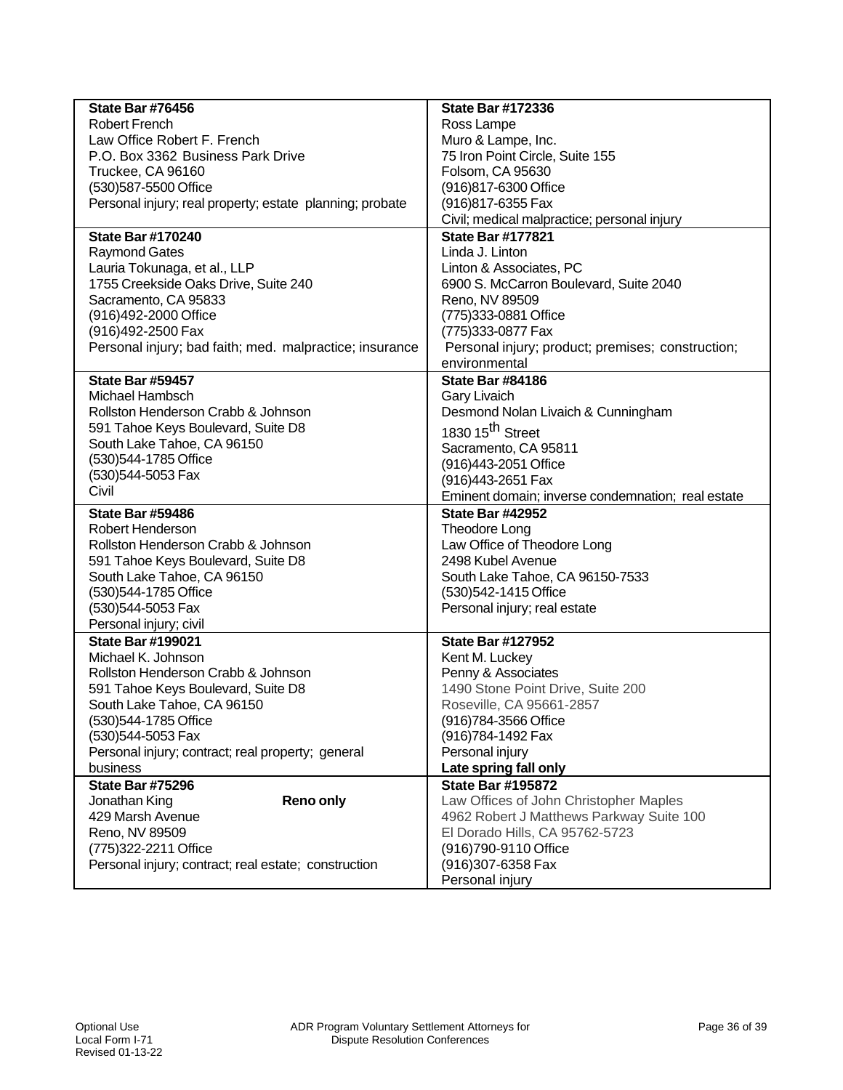| <b>State Bar #76456</b>                                  | <b>State Bar #172336</b>                                                     |
|----------------------------------------------------------|------------------------------------------------------------------------------|
| <b>Robert French</b>                                     | Ross Lampe                                                                   |
| Law Office Robert F. French                              | Muro & Lampe, Inc.                                                           |
| P.O. Box 3362 Business Park Drive                        | 75 Iron Point Circle, Suite 155                                              |
| Truckee, CA 96160                                        | Folsom, CA 95630                                                             |
| (530)587-5500 Office                                     | (916)817-6300 Office                                                         |
| Personal injury; real property; estate planning; probate | (916) 817-6355 Fax                                                           |
|                                                          | Civil; medical malpractice; personal injury                                  |
| <b>State Bar #170240</b>                                 | <b>State Bar #177821</b>                                                     |
| <b>Raymond Gates</b>                                     | Linda J. Linton                                                              |
| Lauria Tokunaga, et al., LLP                             | Linton & Associates, PC                                                      |
| 1755 Creekside Oaks Drive, Suite 240                     | 6900 S. McCarron Boulevard, Suite 2040                                       |
| Sacramento, CA 95833                                     | Reno, NV 89509                                                               |
| (916)492-2000 Office                                     | (775)333-0881 Office                                                         |
| (916)492-2500 Fax                                        | (775)333-0877 Fax                                                            |
| Personal injury; bad faith; med. malpractice; insurance  | Personal injury; product; premises; construction;                            |
|                                                          | environmental                                                                |
| State Bar #59457                                         | <b>State Bar #84186</b>                                                      |
| Michael Hambsch                                          | <b>Gary Livaich</b>                                                          |
| Rollston Henderson Crabb & Johnson                       | Desmond Nolan Livaich & Cunningham                                           |
| 591 Tahoe Keys Boulevard, Suite D8                       | 1830 15 <sup>th</sup> Street                                                 |
| South Lake Tahoe, CA 96150                               |                                                                              |
| (530) 544-1785 Office                                    | Sacramento, CA 95811                                                         |
| (530)544-5053 Fax                                        | (916)443-2051 Office                                                         |
| Civil                                                    | (916)443-2651 Fax                                                            |
|                                                          | Eminent domain; inverse condemnation; real estate<br><b>State Bar #42952</b> |
| <b>State Bar #59486</b><br>Robert Henderson              |                                                                              |
| Rollston Henderson Crabb & Johnson                       | Theodore Long                                                                |
|                                                          | Law Office of Theodore Long                                                  |
| 591 Tahoe Keys Boulevard, Suite D8                       | 2498 Kubel Avenue                                                            |
| South Lake Tahoe, CA 96150                               | South Lake Tahoe, CA 96150-7533                                              |
| (530) 544-1785 Office                                    | (530) 542-1415 Office                                                        |
| (530)544-5053 Fax                                        | Personal injury; real estate                                                 |
| Personal injury; civil                                   |                                                                              |
| <b>State Bar #199021</b>                                 | <b>State Bar #127952</b>                                                     |
| Michael K. Johnson                                       | Kent M. Luckey                                                               |
| Rollston Henderson Crabb & Johnson                       | Penny & Associates                                                           |
| 591 Tahoe Keys Boulevard, Suite D8                       | 1490 Stone Point Drive, Suite 200                                            |
| South Lake Tahoe, CA 96150                               | Roseville, CA 95661-2857                                                     |
| (530)544-1785 Office                                     | (916)784-3566 Office                                                         |
| (530)544-5053 Fax                                        | (916)784-1492 Fax                                                            |
| Personal injury; contract; real property; general        | Personal injury                                                              |
| business                                                 | Late spring fall only                                                        |
| <b>State Bar #75296</b>                                  | <b>State Bar #195872</b>                                                     |
| <b>Reno only</b><br>Jonathan King                        | Law Offices of John Christopher Maples                                       |
| 429 Marsh Avenue                                         | 4962 Robert J Matthews Parkway Suite 100                                     |
| Reno, NV 89509                                           | El Dorado Hills, CA 95762-5723                                               |
| (775)322-2211 Office                                     | (916)790-9110 Office                                                         |
| Personal injury; contract; real estate; construction     | (916) 307-6358 Fax                                                           |
|                                                          | Personal injury                                                              |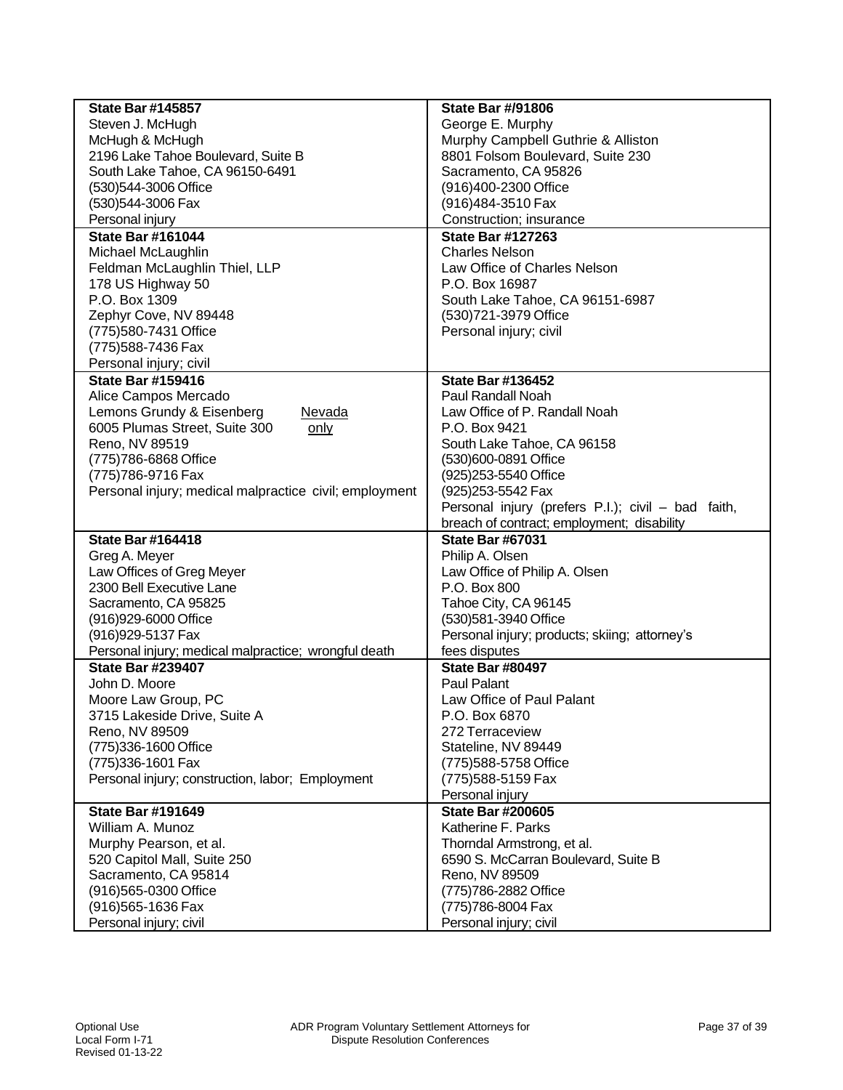| <b>State Bar #145857</b>                               | <b>State Bar #/91806</b>                           |
|--------------------------------------------------------|----------------------------------------------------|
| Steven J. McHugh                                       | George E. Murphy                                   |
| McHugh & McHugh                                        | Murphy Campbell Guthrie & Alliston                 |
| 2196 Lake Tahoe Boulevard, Suite B                     | 8801 Folsom Boulevard, Suite 230                   |
| South Lake Tahoe, CA 96150-6491                        | Sacramento, CA 95826                               |
| (530)544-3006 Office                                   | (916)400-2300 Office                               |
| (530)544-3006 Fax                                      | (916)484-3510 Fax                                  |
| Personal injury                                        | Construction; insurance                            |
| <b>State Bar #161044</b>                               | <b>State Bar #127263</b>                           |
| Michael McLaughlin                                     | <b>Charles Nelson</b>                              |
| Feldman McLaughlin Thiel, LLP                          | Law Office of Charles Nelson                       |
| 178 US Highway 50                                      | P.O. Box 16987                                     |
| P.O. Box 1309                                          | South Lake Tahoe, CA 96151-6987                    |
| Zephyr Cove, NV 89448                                  | (530)721-3979 Office                               |
| (775)580-7431 Office                                   | Personal injury; civil                             |
| (775) 588-7436 Fax                                     |                                                    |
| Personal injury; civil                                 |                                                    |
| <b>State Bar #159416</b>                               | <b>State Bar #136452</b>                           |
| Alice Campos Mercado                                   | Paul Randall Noah                                  |
| Lemons Grundy & Eisenberg<br>Nevada                    | Law Office of P. Randall Noah                      |
| 6005 Plumas Street, Suite 300<br>only                  | P.O. Box 9421                                      |
| Reno, NV 89519                                         | South Lake Tahoe, CA 96158                         |
| (775) 786-6868 Office                                  | (530)600-0891 Office                               |
| (775) 786-9716 Fax                                     | (925) 253-5540 Office                              |
| Personal injury; medical malpractice civil; employment | (925) 253-5542 Fax                                 |
|                                                        | Personal injury (prefers P.I.); civil - bad faith, |
|                                                        | breach of contract; employment; disability         |
| <b>State Bar #164418</b>                               | <b>State Bar #67031</b>                            |
| Greg A. Meyer                                          | Philip A. Olsen                                    |
| Law Offices of Greg Meyer                              | Law Office of Philip A. Olsen                      |
| 2300 Bell Executive Lane                               | P.O. Box 800                                       |
| Sacramento, CA 95825                                   | Tahoe City, CA 96145                               |
| (916)929-6000 Office                                   | (530)581-3940 Office                               |
| (916) 929-5137 Fax                                     | Personal injury; products; skiing; attorney's      |
| Personal injury; medical malpractice; wrongful death   | fees disputes                                      |
| <b>State Bar #239407</b>                               | <b>State Bar #80497</b>                            |
| John D. Moore                                          | <b>Paul Palant</b>                                 |
| Moore Law Group, PC                                    | Law Office of Paul Palant                          |
| 3715 Lakeside Drive, Suite A                           | P.O. Box 6870                                      |
| Reno, NV 89509                                         | 272 Terraceview                                    |
| (775)336-1600 Office                                   | Stateline, NV 89449                                |
| (775)336-1601 Fax                                      | (775)588-5758 Office                               |
| Personal injury; construction, labor; Employment       | (775)588-5159 Fax                                  |
|                                                        | Personal injury                                    |
| <b>State Bar #191649</b>                               | <b>State Bar #200605</b>                           |
| William A. Munoz                                       | Katherine F. Parks                                 |
| Murphy Pearson, et al.                                 | Thorndal Armstrong, et al.                         |
| 520 Capitol Mall, Suite 250                            | 6590 S. McCarran Boulevard, Suite B                |
| Sacramento, CA 95814                                   | Reno, NV 89509                                     |
| (916)565-0300 Office                                   | (775) 786-2882 Office                              |
| (916) 565-1636 Fax                                     | (775) 786-8004 Fax                                 |
| Personal injury; civil                                 | Personal injury; civil                             |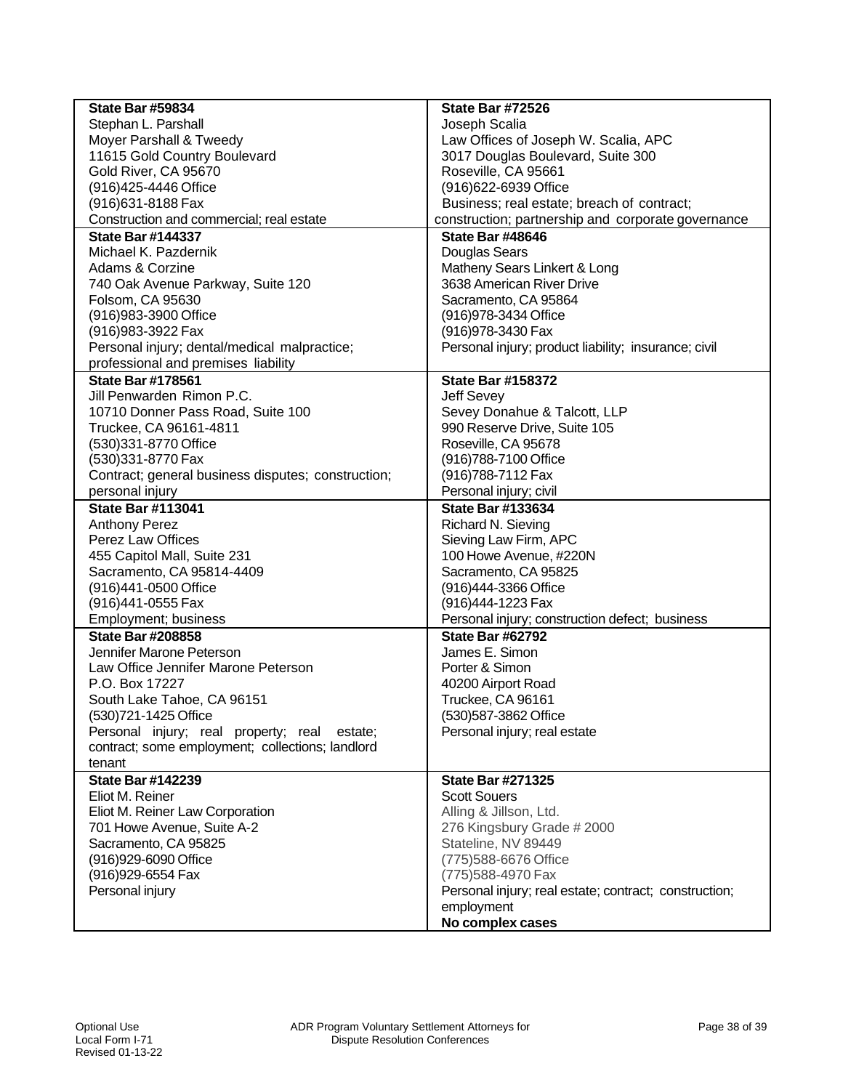| <b>State Bar #59834</b>                            | <b>State Bar #72526</b>                               |
|----------------------------------------------------|-------------------------------------------------------|
| Stephan L. Parshall                                | Joseph Scalia                                         |
| Moyer Parshall & Tweedy                            | Law Offices of Joseph W. Scalia, APC                  |
| 11615 Gold Country Boulevard                       | 3017 Douglas Boulevard, Suite 300                     |
| Gold River, CA 95670                               | Roseville, CA 95661                                   |
| (916) 425-4446 Office                              | (916)622-6939 Office                                  |
| (916) 631-8188 Fax                                 | Business; real estate; breach of contract;            |
| Construction and commercial; real estate           | construction; partnership and corporate governance    |
| <b>State Bar #144337</b>                           | <b>State Bar #48646</b>                               |
| Michael K. Pazdernik                               | <b>Douglas Sears</b>                                  |
| Adams & Corzine                                    | Matheny Sears Linkert & Long                          |
| 740 Oak Avenue Parkway, Suite 120                  | 3638 American River Drive                             |
| Folsom, CA 95630                                   | Sacramento, CA 95864                                  |
| (916) 983-3900 Office                              | (916) 978-3434 Office                                 |
| (916) 983-3922 Fax                                 | (916) 978-3430 Fax                                    |
| Personal injury; dental/medical malpractice;       | Personal injury; product liability; insurance; civil  |
| professional and premises liability                |                                                       |
| <b>State Bar #178561</b>                           | <b>State Bar #158372</b>                              |
| Jill Penwarden Rimon P.C.                          | Jeff Sevey                                            |
| 10710 Donner Pass Road, Suite 100                  | Sevey Donahue & Talcott, LLP                          |
| Truckee, CA 96161-4811                             | 990 Reserve Drive, Suite 105                          |
| (530)331-8770 Office                               | Roseville, CA 95678                                   |
| (530)331-8770 Fax                                  | (916)788-7100 Office                                  |
| Contract; general business disputes; construction; | (916) 788-7112 Fax                                    |
| personal injury                                    | Personal injury; civil                                |
| <b>State Bar #113041</b>                           | <b>State Bar #133634</b>                              |
| <b>Anthony Perez</b>                               | Richard N. Sieving                                    |
| Perez Law Offices                                  | Sieving Law Firm, APC                                 |
| 455 Capitol Mall, Suite 231                        | 100 Howe Avenue, #220N                                |
| Sacramento, CA 95814-4409                          | Sacramento, CA 95825                                  |
| (916)441-0500 Office                               | (916)444-3366 Office                                  |
| (916)441-0555 Fax                                  | (916)444-1223 Fax                                     |
| Employment; business                               | Personal injury; construction defect; business        |
| <b>State Bar #208858</b>                           | <b>State Bar #62792</b>                               |
| Jennifer Marone Peterson                           | James E. Simon                                        |
| Law Office Jennifer Marone Peterson                | Porter & Simon                                        |
| P.O. Box 17227                                     | 40200 Airport Road                                    |
| South Lake Tahoe, CA 96151                         | Truckee, CA 96161                                     |
| (530)721-1425 Office                               | (530)587-3862 Office                                  |
| Personal injury; real property; real estate;       | Personal injury; real estate                          |
| contract; some employment; collections; landlord   |                                                       |
| tenant                                             |                                                       |
| <b>State Bar #142239</b>                           | <b>State Bar #271325</b>                              |
| Eliot M. Reiner                                    | <b>Scott Souers</b>                                   |
| Eliot M. Reiner Law Corporation                    | Alling & Jillson, Ltd.                                |
| 701 Howe Avenue, Suite A-2                         | 276 Kingsbury Grade # 2000                            |
| Sacramento, CA 95825                               | Stateline, NV 89449                                   |
| (916)929-6090 Office                               | (775) 588-6676 Office                                 |
| (916) 929-6554 Fax                                 | (775) 588-4970 Fax                                    |
| Personal injury                                    | Personal injury; real estate; contract; construction; |
|                                                    | employment                                            |
|                                                    | No complex cases                                      |